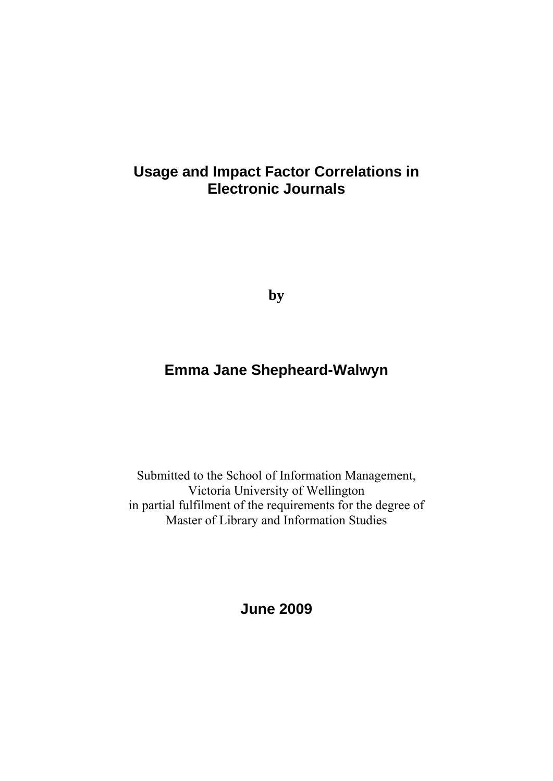# **Usage and Impact Factor Correlations in Electronic Journals**

**by** 

# **Emma Jane Shepheard-Walwyn**

Submitted to the School of Information Management, Victoria University of Wellington in partial fulfilment of the requirements for the degree of Master of Library and Information Studies

**June 2009**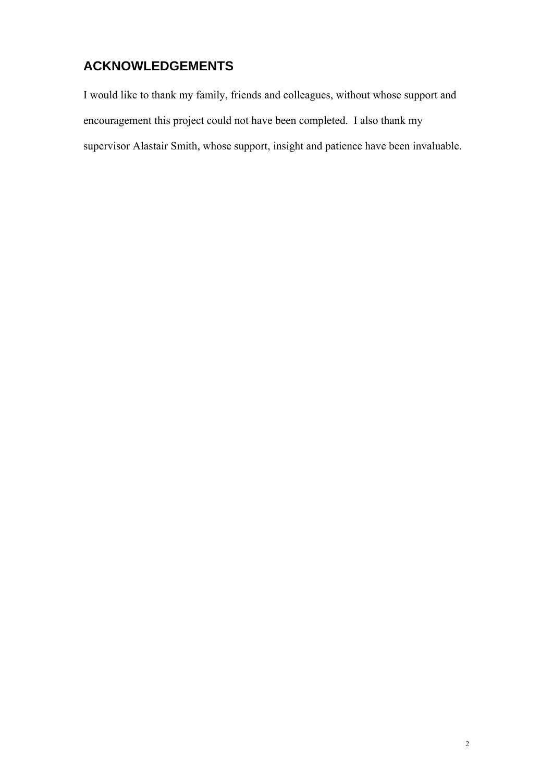# **ACKNOWLEDGEMENTS**

I would like to thank my family, friends and colleagues, without whose support and encouragement this project could not have been completed. I also thank my supervisor Alastair Smith, whose support, insight and patience have been invaluable.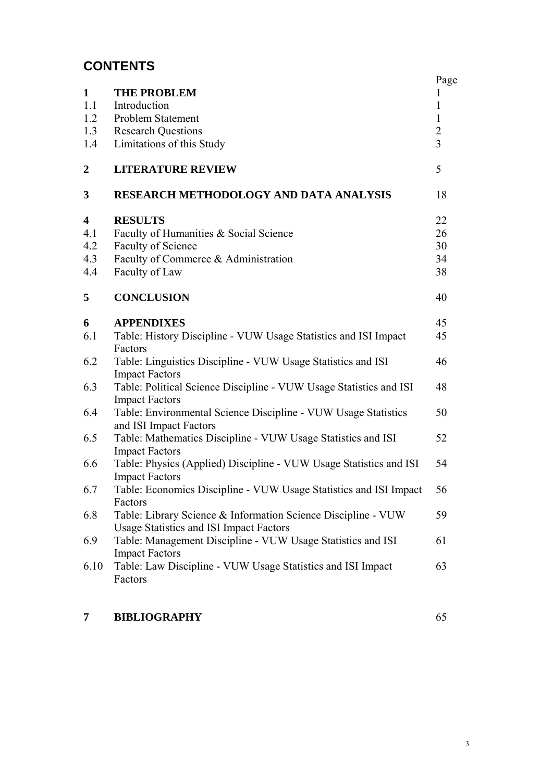# **CONTENTS**

| $\mathbf{1}$            | <b>THE PROBLEM</b>                                                                                              | Page<br>1                        |
|-------------------------|-----------------------------------------------------------------------------------------------------------------|----------------------------------|
| 1.1                     | Introduction                                                                                                    | 1                                |
| 1.2                     | Problem Statement                                                                                               | $\mathbf{1}$                     |
| 1.3                     | <b>Research Questions</b>                                                                                       | $\overline{2}$<br>$\overline{3}$ |
| 1.4                     | Limitations of this Study                                                                                       |                                  |
| $\boldsymbol{2}$        | <b>LITERATURE REVIEW</b>                                                                                        | 5                                |
| 3                       | RESEARCH METHODOLOGY AND DATA ANALYSIS                                                                          | 18                               |
| $\overline{\mathbf{4}}$ | <b>RESULTS</b>                                                                                                  | 22                               |
| 4.1                     | Faculty of Humanities & Social Science                                                                          | 26                               |
| 4.2                     | Faculty of Science                                                                                              | 30                               |
| 4.3                     | Faculty of Commerce & Administration                                                                            | 34                               |
| 4.4                     | Faculty of Law                                                                                                  | 38                               |
| 5                       | <b>CONCLUSION</b>                                                                                               | 40                               |
| 6                       | <b>APPENDIXES</b>                                                                                               | 45                               |
| 6.1                     | Table: History Discipline - VUW Usage Statistics and ISI Impact                                                 | 45                               |
|                         | Factors                                                                                                         |                                  |
| 6.2                     | Table: Linguistics Discipline - VUW Usage Statistics and ISI<br><b>Impact Factors</b>                           | 46                               |
| 6.3                     | Table: Political Science Discipline - VUW Usage Statistics and ISI<br><b>Impact Factors</b>                     | 48                               |
| 6.4                     | Table: Environmental Science Discipline - VUW Usage Statistics<br>and ISI Impact Factors                        | 50                               |
| 6.5                     | Table: Mathematics Discipline - VUW Usage Statistics and ISI<br><b>Impact Factors</b>                           | 52                               |
| 6.6                     | Table: Physics (Applied) Discipline - VUW Usage Statistics and ISI<br><b>Impact Factors</b>                     | 54                               |
| 6.7                     | Table: Economics Discipline - VUW Usage Statistics and ISI Impact<br>Factors                                    | 56                               |
| 6.8                     | Table: Library Science & Information Science Discipline - VUW<br><b>Usage Statistics and ISI Impact Factors</b> | 59                               |
| 6.9                     | Table: Management Discipline - VUW Usage Statistics and ISI<br><b>Impact Factors</b>                            | 61                               |
| 6.10                    | Table: Law Discipline - VUW Usage Statistics and ISI Impact<br>Factors                                          | 63                               |
|                         |                                                                                                                 |                                  |

# **7 BIBLIOGRAPHY** 65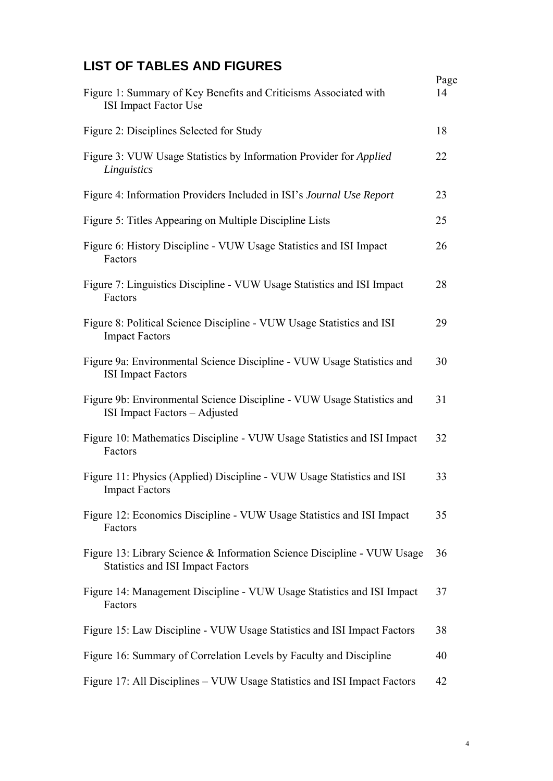# **LIST OF TABLES AND FIGURES**

| Figure 1: Summary of Key Benefits and Criticisms Associated with                                                    | Page<br>14 |
|---------------------------------------------------------------------------------------------------------------------|------------|
| <b>ISI Impact Factor Use</b>                                                                                        |            |
| Figure 2: Disciplines Selected for Study                                                                            | 18         |
| Figure 3: VUW Usage Statistics by Information Provider for Applied<br>Linguistics                                   | 22         |
| Figure 4: Information Providers Included in ISI's Journal Use Report                                                | 23         |
| Figure 5: Titles Appearing on Multiple Discipline Lists                                                             | 25         |
| Figure 6: History Discipline - VUW Usage Statistics and ISI Impact<br>Factors                                       | 26         |
| Figure 7: Linguistics Discipline - VUW Usage Statistics and ISI Impact<br>Factors                                   | 28         |
| Figure 8: Political Science Discipline - VUW Usage Statistics and ISI<br><b>Impact Factors</b>                      | 29         |
| Figure 9a: Environmental Science Discipline - VUW Usage Statistics and<br><b>ISI</b> Impact Factors                 | 30         |
| Figure 9b: Environmental Science Discipline - VUW Usage Statistics and<br>ISI Impact Factors - Adjusted             | 31         |
| Figure 10: Mathematics Discipline - VUW Usage Statistics and ISI Impact<br>Factors                                  | 32         |
| Figure 11: Physics (Applied) Discipline - VUW Usage Statistics and ISI<br><b>Impact Factors</b>                     | 33         |
| Figure 12: Economics Discipline - VUW Usage Statistics and ISI Impact<br>Factors                                    | 35         |
| Figure 13: Library Science & Information Science Discipline - VUW Usage<br><b>Statistics and ISI Impact Factors</b> | 36         |
| Figure 14: Management Discipline - VUW Usage Statistics and ISI Impact<br>Factors                                   | 37         |
| Figure 15: Law Discipline - VUW Usage Statistics and ISI Impact Factors                                             | 38         |
| Figure 16: Summary of Correlation Levels by Faculty and Discipline                                                  | 40         |
| Figure 17: All Disciplines – VUW Usage Statistics and ISI Impact Factors                                            | 42         |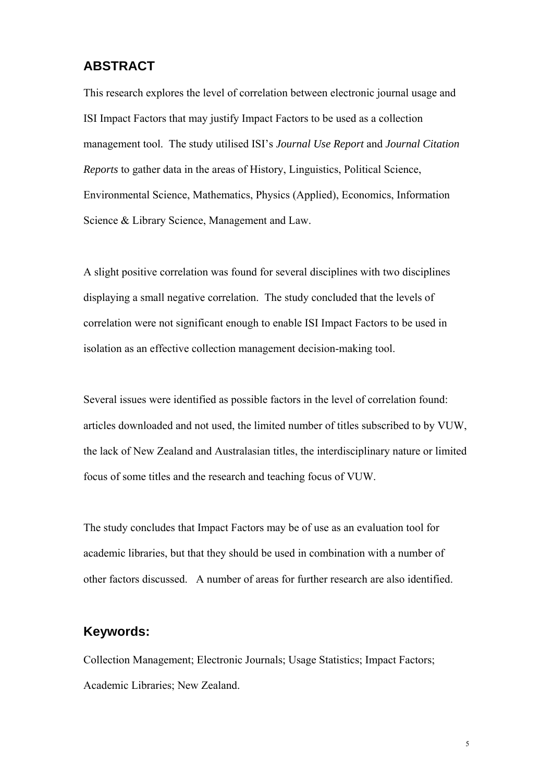## **ABSTRACT**

This research explores the level of correlation between electronic journal usage and ISI Impact Factors that may justify Impact Factors to be used as a collection management tool. The study utilised ISI's *Journal Use Report* and *Journal Citation Reports* to gather data in the areas of History, Linguistics, Political Science, Environmental Science, Mathematics, Physics (Applied), Economics, Information Science & Library Science, Management and Law.

A slight positive correlation was found for several disciplines with two disciplines displaying a small negative correlation. The study concluded that the levels of correlation were not significant enough to enable ISI Impact Factors to be used in isolation as an effective collection management decision-making tool.

Several issues were identified as possible factors in the level of correlation found: articles downloaded and not used, the limited number of titles subscribed to by VUW, the lack of New Zealand and Australasian titles, the interdisciplinary nature or limited focus of some titles and the research and teaching focus of VUW.

The study concludes that Impact Factors may be of use as an evaluation tool for academic libraries, but that they should be used in combination with a number of other factors discussed. A number of areas for further research are also identified.

## **Keywords:**

Collection Management; Electronic Journals; Usage Statistics; Impact Factors; Academic Libraries; New Zealand.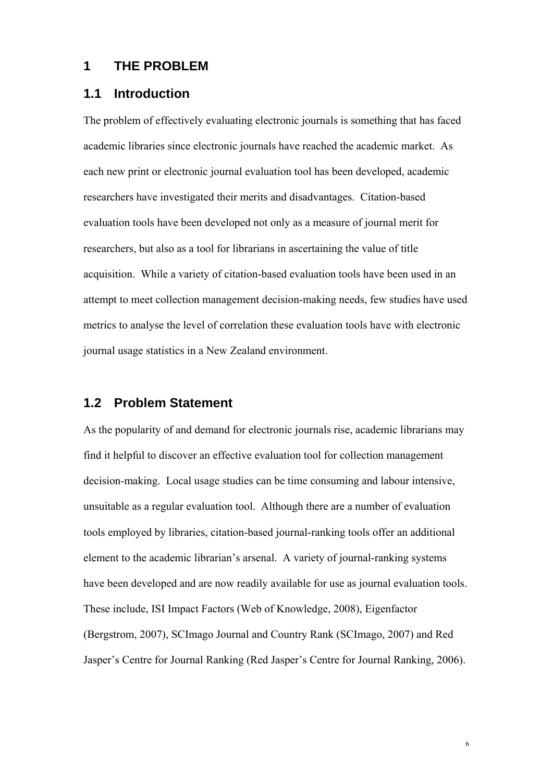### **1 THE PROBLEM**

### **1.1 Introduction**

The problem of effectively evaluating electronic journals is something that has faced academic libraries since electronic journals have reached the academic market. As each new print or electronic journal evaluation tool has been developed, academic researchers have investigated their merits and disadvantages. Citation-based evaluation tools have been developed not only as a measure of journal merit for researchers, but also as a tool for librarians in ascertaining the value of title acquisition. While a variety of citation-based evaluation tools have been used in an attempt to meet collection management decision-making needs, few studies have used metrics to analyse the level of correlation these evaluation tools have with electronic journal usage statistics in a New Zealand environment.

## **1.2 Problem Statement**

As the popularity of and demand for electronic journals rise, academic librarians may find it helpful to discover an effective evaluation tool for collection management decision-making. Local usage studies can be time consuming and labour intensive, unsuitable as a regular evaluation tool. Although there are a number of evaluation tools employed by libraries, citation-based journal-ranking tools offer an additional element to the academic librarian's arsenal. A variety of journal-ranking systems have been developed and are now readily available for use as journal evaluation tools. These include, ISI Impact Factors (Web of Knowledge, 2008), Eigenfactor (Bergstrom, 2007), SCImago Journal and Country Rank (SCImago, 2007) and Red Jasper's Centre for Journal Ranking (Red Jasper's Centre for Journal Ranking, 2006).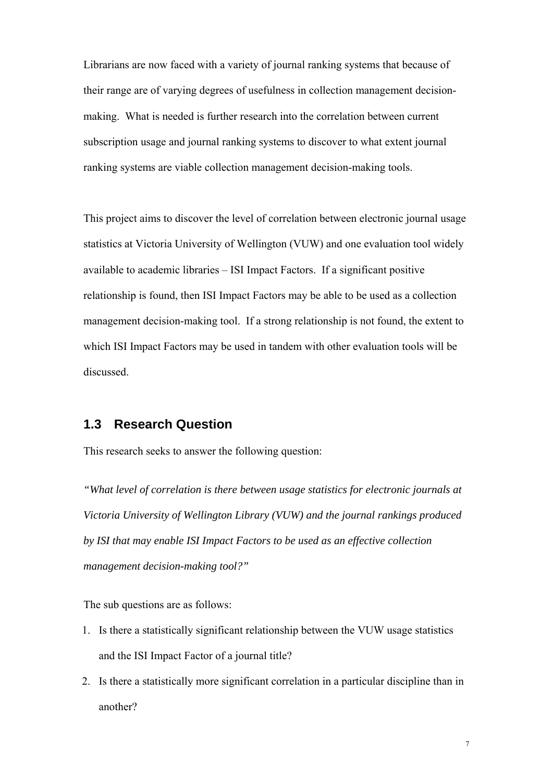Librarians are now faced with a variety of journal ranking systems that because of their range are of varying degrees of usefulness in collection management decisionmaking. What is needed is further research into the correlation between current subscription usage and journal ranking systems to discover to what extent journal ranking systems are viable collection management decision-making tools.

This project aims to discover the level of correlation between electronic journal usage statistics at Victoria University of Wellington (VUW) and one evaluation tool widely available to academic libraries – ISI Impact Factors. If a significant positive relationship is found, then ISI Impact Factors may be able to be used as a collection management decision-making tool. If a strong relationship is not found, the extent to which ISI Impact Factors may be used in tandem with other evaluation tools will be discussed.

## **1.3 Research Question**

This research seeks to answer the following question:

*"What level of correlation is there between usage statistics for electronic journals at Victoria University of Wellington Library (VUW) and the journal rankings produced by ISI that may enable ISI Impact Factors to be used as an effective collection management decision-making tool?"* 

The sub questions are as follows:

- 1. Is there a statistically significant relationship between the VUW usage statistics and the ISI Impact Factor of a journal title?
- 2. Is there a statistically more significant correlation in a particular discipline than in another?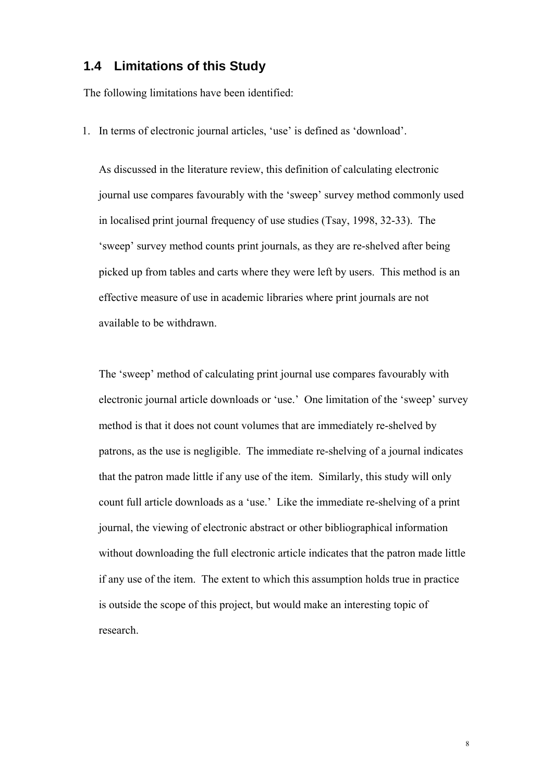### **1.4 Limitations of this Study**

The following limitations have been identified:

1. In terms of electronic journal articles, 'use' is defined as 'download'.

As discussed in the literature review, this definition of calculating electronic journal use compares favourably with the 'sweep' survey method commonly used in localised print journal frequency of use studies (Tsay, 1998, 32-33). The 'sweep' survey method counts print journals, as they are re-shelved after being picked up from tables and carts where they were left by users. This method is an effective measure of use in academic libraries where print journals are not available to be withdrawn.

The 'sweep' method of calculating print journal use compares favourably with electronic journal article downloads or 'use.' One limitation of the 'sweep' survey method is that it does not count volumes that are immediately re-shelved by patrons, as the use is negligible. The immediate re-shelving of a journal indicates that the patron made little if any use of the item. Similarly, this study will only count full article downloads as a 'use.' Like the immediate re-shelving of a print journal, the viewing of electronic abstract or other bibliographical information without downloading the full electronic article indicates that the patron made little if any use of the item. The extent to which this assumption holds true in practice is outside the scope of this project, but would make an interesting topic of research.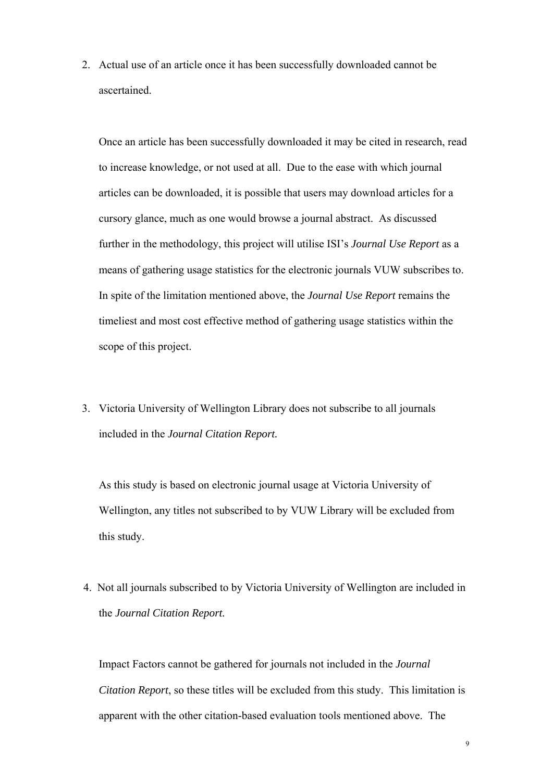2. Actual use of an article once it has been successfully downloaded cannot be ascertained.

Once an article has been successfully downloaded it may be cited in research, read to increase knowledge, or not used at all. Due to the ease with which journal articles can be downloaded, it is possible that users may download articles for a cursory glance, much as one would browse a journal abstract. As discussed further in the methodology, this project will utilise ISI's *Journal Use Report* as a means of gathering usage statistics for the electronic journals VUW subscribes to. In spite of the limitation mentioned above, the *Journal Use Report* remains the timeliest and most cost effective method of gathering usage statistics within the scope of this project.

3. Victoria University of Wellington Library does not subscribe to all journals included in the *Journal Citation Report.*

As this study is based on electronic journal usage at Victoria University of Wellington, any titles not subscribed to by VUW Library will be excluded from this study.

4. Not all journals subscribed to by Victoria University of Wellington are included in the *Journal Citation Report.* 

Impact Factors cannot be gathered for journals not included in the *Journal Citation Report*, so these titles will be excluded from this study. This limitation is apparent with the other citation-based evaluation tools mentioned above. The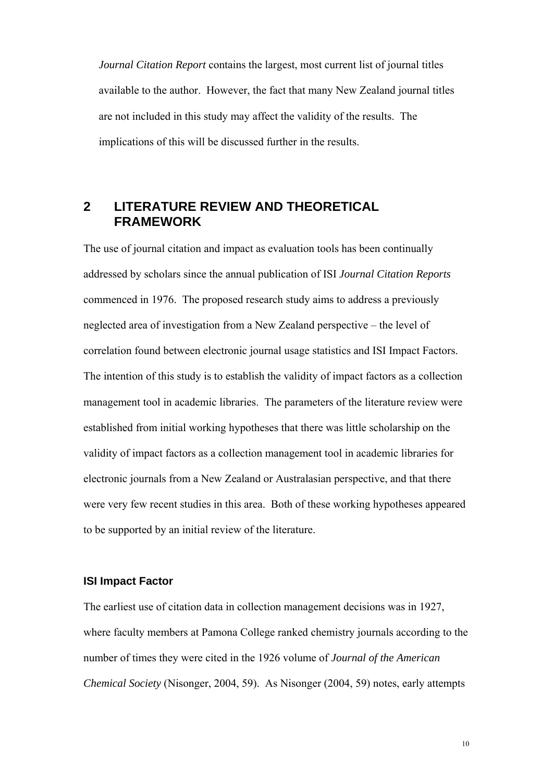*Journal Citation Report* contains the largest, most current list of journal titles available to the author. However, the fact that many New Zealand journal titles are not included in this study may affect the validity of the results. The implications of this will be discussed further in the results.

## **2 LITERATURE REVIEW AND THEORETICAL FRAMEWORK**

The use of journal citation and impact as evaluation tools has been continually addressed by scholars since the annual publication of ISI *Journal Citation Reports*  commenced in 1976. The proposed research study aims to address a previously neglected area of investigation from a New Zealand perspective – the level of correlation found between electronic journal usage statistics and ISI Impact Factors. The intention of this study is to establish the validity of impact factors as a collection management tool in academic libraries. The parameters of the literature review were established from initial working hypotheses that there was little scholarship on the validity of impact factors as a collection management tool in academic libraries for electronic journals from a New Zealand or Australasian perspective, and that there were very few recent studies in this area. Both of these working hypotheses appeared to be supported by an initial review of the literature.

#### **ISI Impact Factor**

The earliest use of citation data in collection management decisions was in 1927, where faculty members at Pamona College ranked chemistry journals according to the number of times they were cited in the 1926 volume of *Journal of the American Chemical Society* (Nisonger, 2004, 59). As Nisonger (2004, 59) notes, early attempts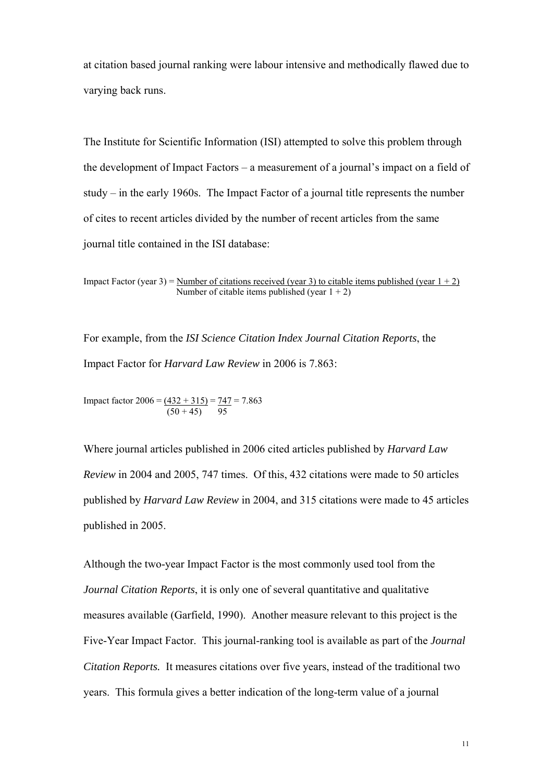at citation based journal ranking were labour intensive and methodically flawed due to varying back runs.

The Institute for Scientific Information (ISI) attempted to solve this problem through the development of Impact Factors – a measurement of a journal's impact on a field of study – in the early 1960s. The Impact Factor of a journal title represents the number of cites to recent articles divided by the number of recent articles from the same journal title contained in the ISI database:

Impact Factor (year 3) = Number of citations received (year 3) to citable items published (year  $1 + 2$ ) Number of citable items published (year  $1 + 2$ )

For example, from the *ISI Science Citation Index Journal Citation Reports*, the Impact Factor for *Harvard Law Review* in 2006 is 7.863:

Impact factor  $2006 = (432 + 315) = 747 = 7.863$  $(50 + 45)$  95

Where journal articles published in 2006 cited articles published by *Harvard Law Review* in 2004 and 2005, 747 times. Of this, 432 citations were made to 50 articles published by *Harvard Law Review* in 2004, and 315 citations were made to 45 articles published in 2005.

Although the two-year Impact Factor is the most commonly used tool from the *Journal Citation Reports*, it is only one of several quantitative and qualitative measures available (Garfield, 1990). Another measure relevant to this project is the Five-Year Impact Factor. This journal-ranking tool is available as part of the *Journal Citation Reports.* It measures citations over five years, instead of the traditional two years. This formula gives a better indication of the long-term value of a journal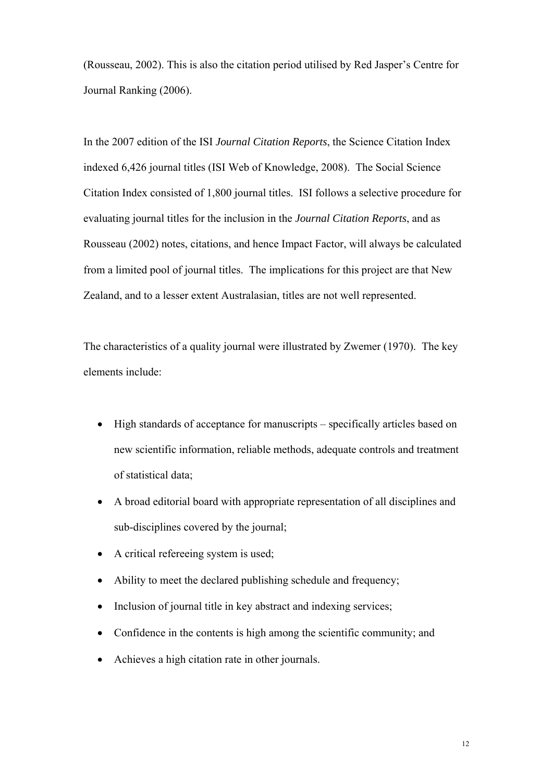(Rousseau, 2002). This is also the citation period utilised by Red Jasper's Centre for Journal Ranking (2006).

In the 2007 edition of the ISI *Journal Citation Reports*, the Science Citation Index indexed 6,426 journal titles (ISI Web of Knowledge, 2008). The Social Science Citation Index consisted of 1,800 journal titles. ISI follows a selective procedure for evaluating journal titles for the inclusion in the *Journal Citation Reports*, and as Rousseau (2002) notes, citations, and hence Impact Factor, will always be calculated from a limited pool of journal titles. The implications for this project are that New Zealand, and to a lesser extent Australasian, titles are not well represented.

The characteristics of a quality journal were illustrated by Zwemer (1970). The key elements include:

- High standards of acceptance for manuscripts specifically articles based on new scientific information, reliable methods, adequate controls and treatment of statistical data;
- A broad editorial board with appropriate representation of all disciplines and sub-disciplines covered by the journal;
- A critical refereeing system is used;
- Ability to meet the declared publishing schedule and frequency;
- Inclusion of journal title in key abstract and indexing services:
- Confidence in the contents is high among the scientific community; and
- Achieves a high citation rate in other journals.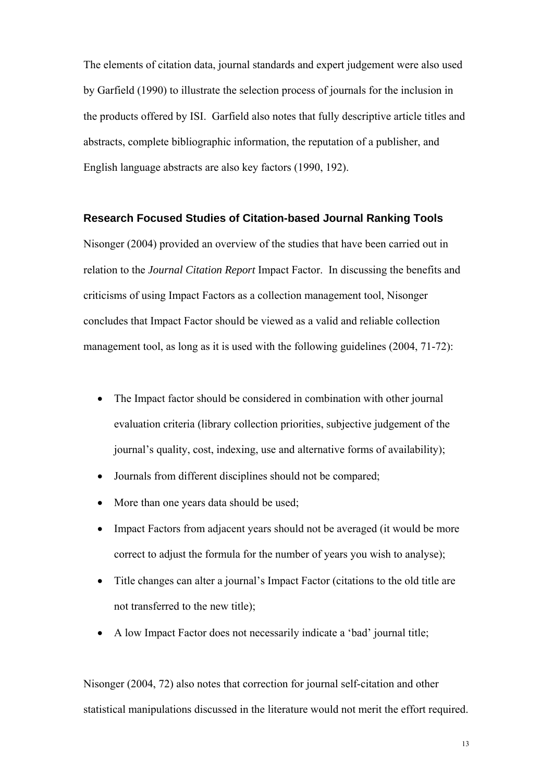The elements of citation data, journal standards and expert judgement were also used by Garfield (1990) to illustrate the selection process of journals for the inclusion in the products offered by ISI. Garfield also notes that fully descriptive article titles and abstracts, complete bibliographic information, the reputation of a publisher, and English language abstracts are also key factors (1990, 192).

#### **Research Focused Studies of Citation-based Journal Ranking Tools**

Nisonger (2004) provided an overview of the studies that have been carried out in relation to the *Journal Citation Report* Impact Factor. In discussing the benefits and criticisms of using Impact Factors as a collection management tool, Nisonger concludes that Impact Factor should be viewed as a valid and reliable collection management tool, as long as it is used with the following guidelines (2004, 71-72):

- The Impact factor should be considered in combination with other journal evaluation criteria (library collection priorities, subjective judgement of the journal's quality, cost, indexing, use and alternative forms of availability);
- Journals from different disciplines should not be compared;
- More than one years data should be used;
- Impact Factors from adjacent years should not be averaged (it would be more correct to adjust the formula for the number of years you wish to analyse);
- Title changes can alter a journal's Impact Factor (citations to the old title are not transferred to the new title);
- A low Impact Factor does not necessarily indicate a 'bad' journal title;

Nisonger (2004, 72) also notes that correction for journal self-citation and other statistical manipulations discussed in the literature would not merit the effort required.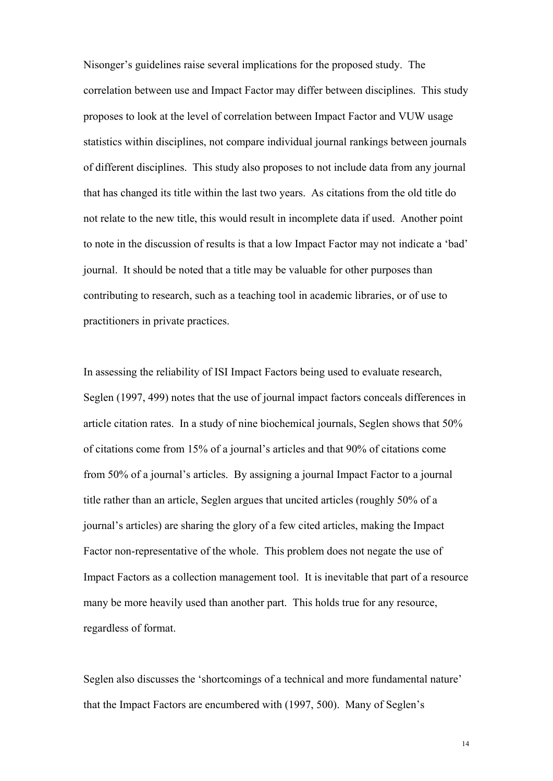Nisonger's guidelines raise several implications for the proposed study. The correlation between use and Impact Factor may differ between disciplines. This study proposes to look at the level of correlation between Impact Factor and VUW usage statistics within disciplines, not compare individual journal rankings between journals of different disciplines. This study also proposes to not include data from any journal that has changed its title within the last two years. As citations from the old title do not relate to the new title, this would result in incomplete data if used. Another point to note in the discussion of results is that a low Impact Factor may not indicate a 'bad' journal. It should be noted that a title may be valuable for other purposes than contributing to research, such as a teaching tool in academic libraries, or of use to practitioners in private practices.

In assessing the reliability of ISI Impact Factors being used to evaluate research, Seglen (1997, 499) notes that the use of journal impact factors conceals differences in article citation rates. In a study of nine biochemical journals, Seglen shows that 50% of citations come from 15% of a journal's articles and that 90% of citations come from 50% of a journal's articles. By assigning a journal Impact Factor to a journal title rather than an article, Seglen argues that uncited articles (roughly 50% of a journal's articles) are sharing the glory of a few cited articles, making the Impact Factor non-representative of the whole. This problem does not negate the use of Impact Factors as a collection management tool. It is inevitable that part of a resource many be more heavily used than another part. This holds true for any resource, regardless of format.

Seglen also discusses the 'shortcomings of a technical and more fundamental nature' that the Impact Factors are encumbered with (1997, 500). Many of Seglen's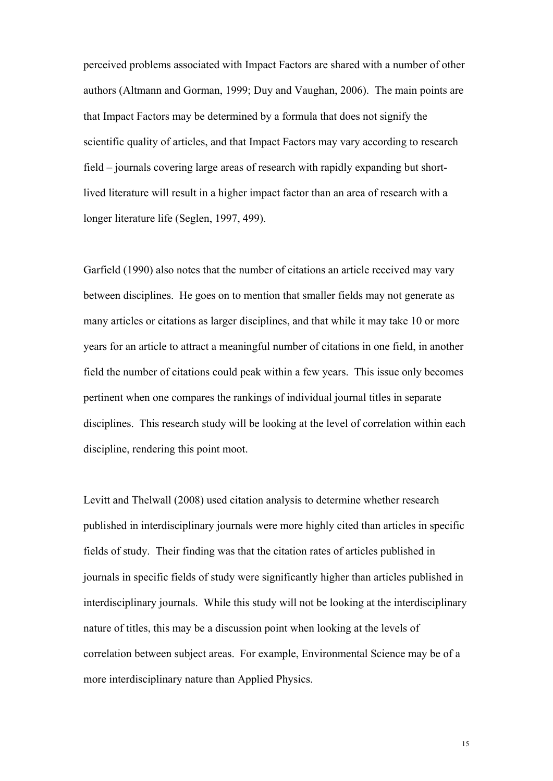perceived problems associated with Impact Factors are shared with a number of other authors (Altmann and Gorman, 1999; Duy and Vaughan, 2006). The main points are that Impact Factors may be determined by a formula that does not signify the scientific quality of articles, and that Impact Factors may vary according to research field – journals covering large areas of research with rapidly expanding but shortlived literature will result in a higher impact factor than an area of research with a longer literature life (Seglen, 1997, 499).

Garfield (1990) also notes that the number of citations an article received may vary between disciplines. He goes on to mention that smaller fields may not generate as many articles or citations as larger disciplines, and that while it may take 10 or more years for an article to attract a meaningful number of citations in one field, in another field the number of citations could peak within a few years. This issue only becomes pertinent when one compares the rankings of individual journal titles in separate disciplines. This research study will be looking at the level of correlation within each discipline, rendering this point moot.

Levitt and Thelwall (2008) used citation analysis to determine whether research published in interdisciplinary journals were more highly cited than articles in specific fields of study. Their finding was that the citation rates of articles published in journals in specific fields of study were significantly higher than articles published in interdisciplinary journals. While this study will not be looking at the interdisciplinary nature of titles, this may be a discussion point when looking at the levels of correlation between subject areas. For example, Environmental Science may be of a more interdisciplinary nature than Applied Physics.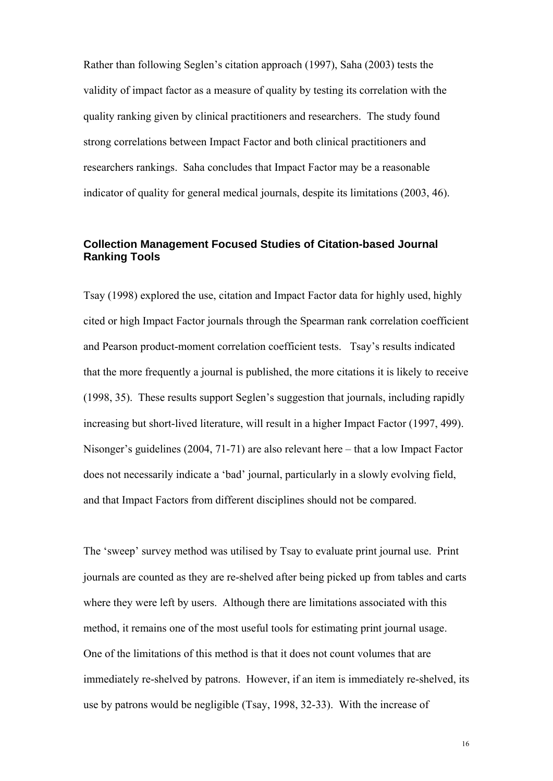Rather than following Seglen's citation approach (1997), Saha (2003) tests the validity of impact factor as a measure of quality by testing its correlation with the quality ranking given by clinical practitioners and researchers. The study found strong correlations between Impact Factor and both clinical practitioners and researchers rankings. Saha concludes that Impact Factor may be a reasonable indicator of quality for general medical journals, despite its limitations (2003, 46).

### **Collection Management Focused Studies of Citation-based Journal Ranking Tools**

Tsay (1998) explored the use, citation and Impact Factor data for highly used, highly cited or high Impact Factor journals through the Spearman rank correlation coefficient and Pearson product-moment correlation coefficient tests. Tsay's results indicated that the more frequently a journal is published, the more citations it is likely to receive (1998, 35). These results support Seglen's suggestion that journals, including rapidly increasing but short-lived literature, will result in a higher Impact Factor (1997, 499). Nisonger's guidelines (2004, 71-71) are also relevant here – that a low Impact Factor does not necessarily indicate a 'bad' journal, particularly in a slowly evolving field, and that Impact Factors from different disciplines should not be compared.

The 'sweep' survey method was utilised by Tsay to evaluate print journal use. Print journals are counted as they are re-shelved after being picked up from tables and carts where they were left by users. Although there are limitations associated with this method, it remains one of the most useful tools for estimating print journal usage. One of the limitations of this method is that it does not count volumes that are immediately re-shelved by patrons. However, if an item is immediately re-shelved, its use by patrons would be negligible (Tsay, 1998, 32-33). With the increase of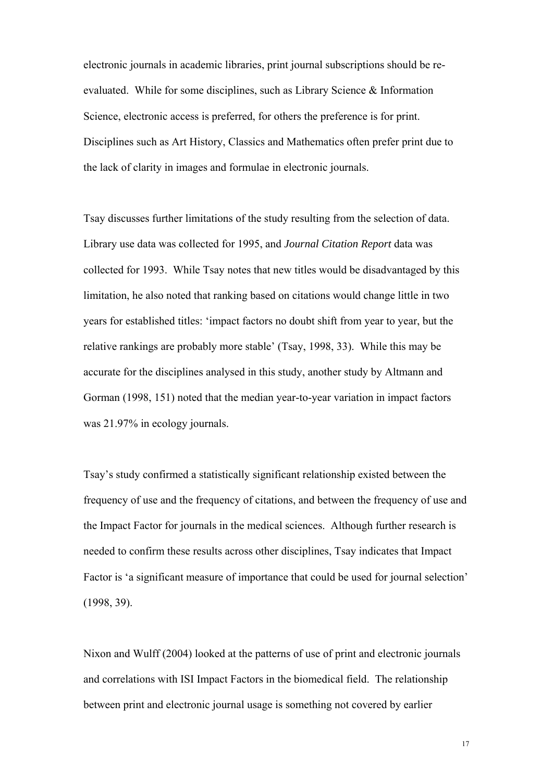electronic journals in academic libraries, print journal subscriptions should be reevaluated. While for some disciplines, such as Library Science & Information Science, electronic access is preferred, for others the preference is for print. Disciplines such as Art History, Classics and Mathematics often prefer print due to the lack of clarity in images and formulae in electronic journals.

Tsay discusses further limitations of the study resulting from the selection of data. Library use data was collected for 1995, and *Journal Citation Report* data was collected for 1993. While Tsay notes that new titles would be disadvantaged by this limitation, he also noted that ranking based on citations would change little in two years for established titles: 'impact factors no doubt shift from year to year, but the relative rankings are probably more stable' (Tsay, 1998, 33). While this may be accurate for the disciplines analysed in this study, another study by Altmann and Gorman (1998, 151) noted that the median year-to-year variation in impact factors was 21.97% in ecology journals.

Tsay's study confirmed a statistically significant relationship existed between the frequency of use and the frequency of citations, and between the frequency of use and the Impact Factor for journals in the medical sciences. Although further research is needed to confirm these results across other disciplines, Tsay indicates that Impact Factor is 'a significant measure of importance that could be used for journal selection' (1998, 39).

Nixon and Wulff (2004) looked at the patterns of use of print and electronic journals and correlations with ISI Impact Factors in the biomedical field. The relationship between print and electronic journal usage is something not covered by earlier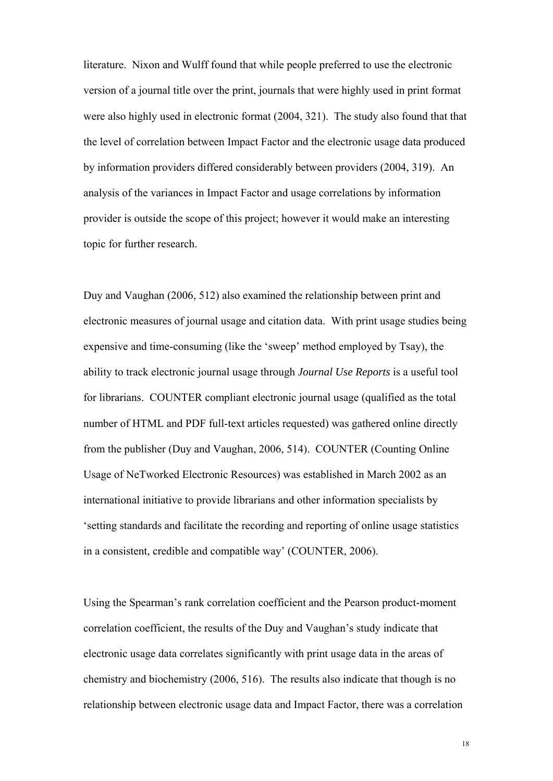literature. Nixon and Wulff found that while people preferred to use the electronic version of a journal title over the print, journals that were highly used in print format were also highly used in electronic format (2004, 321). The study also found that that the level of correlation between Impact Factor and the electronic usage data produced by information providers differed considerably between providers (2004, 319). An analysis of the variances in Impact Factor and usage correlations by information provider is outside the scope of this project; however it would make an interesting topic for further research.

Duy and Vaughan (2006, 512) also examined the relationship between print and electronic measures of journal usage and citation data. With print usage studies being expensive and time-consuming (like the 'sweep' method employed by Tsay), the ability to track electronic journal usage through *Journal Use Reports* is a useful tool for librarians. COUNTER compliant electronic journal usage (qualified as the total number of HTML and PDF full-text articles requested) was gathered online directly from the publisher (Duy and Vaughan, 2006, 514). COUNTER (Counting Online Usage of NeTworked Electronic Resources) was established in March 2002 as an international initiative to provide librarians and other information specialists by 'setting standards and facilitate the recording and reporting of online usage statistics in a consistent, credible and compatible way' (COUNTER, 2006).

Using the Spearman's rank correlation coefficient and the Pearson product-moment correlation coefficient, the results of the Duy and Vaughan's study indicate that electronic usage data correlates significantly with print usage data in the areas of chemistry and biochemistry (2006, 516). The results also indicate that though is no relationship between electronic usage data and Impact Factor, there was a correlation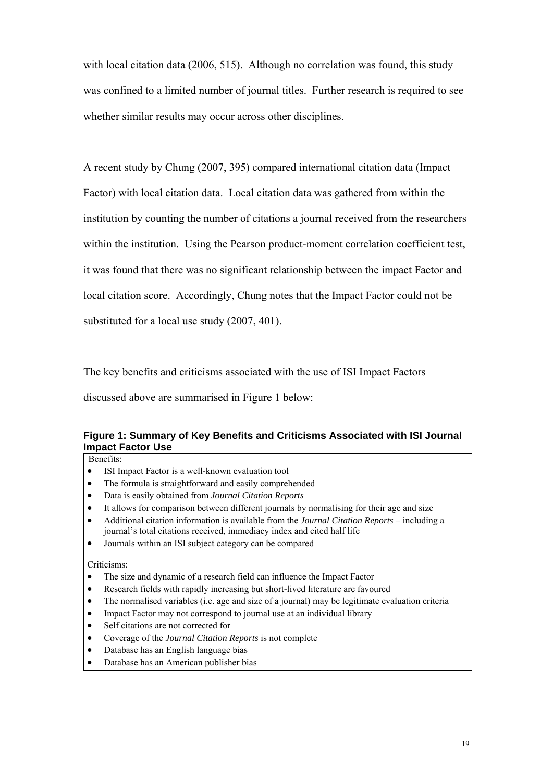with local citation data (2006, 515). Although no correlation was found, this study was confined to a limited number of journal titles. Further research is required to see whether similar results may occur across other disciplines.

A recent study by Chung (2007, 395) compared international citation data (Impact Factor) with local citation data. Local citation data was gathered from within the institution by counting the number of citations a journal received from the researchers within the institution. Using the Pearson product-moment correlation coefficient test, it was found that there was no significant relationship between the impact Factor and local citation score. Accordingly, Chung notes that the Impact Factor could not be substituted for a local use study (2007, 401).

The key benefits and criticisms associated with the use of ISI Impact Factors

discussed above are summarised in Figure 1 below:

#### **Figure 1: Summary of Key Benefits and Criticisms Associated with ISI Journal Impact Factor Use**

Benefits:

- ISI Impact Factor is a well-known evaluation tool
- The formula is straightforward and easily comprehended
- Data is easily obtained from *Journal Citation Reports*
- It allows for comparison between different journals by normalising for their age and size
- Additional citation information is available from the *Journal Citation Reports* including a journal's total citations received, immediacy index and cited half life
- Journals within an ISI subject category can be compared

#### Criticisms:

- The size and dynamic of a research field can influence the Impact Factor
- Research fields with rapidly increasing but short-lived literature are favoured
- The normalised variables (i.e. age and size of a journal) may be legitimate evaluation criteria
- Impact Factor may not correspond to journal use at an individual library
- Self citations are not corrected for
- Coverage of the *Journal Citation Reports* is not complete
- Database has an English language bias
- Database has an American publisher bias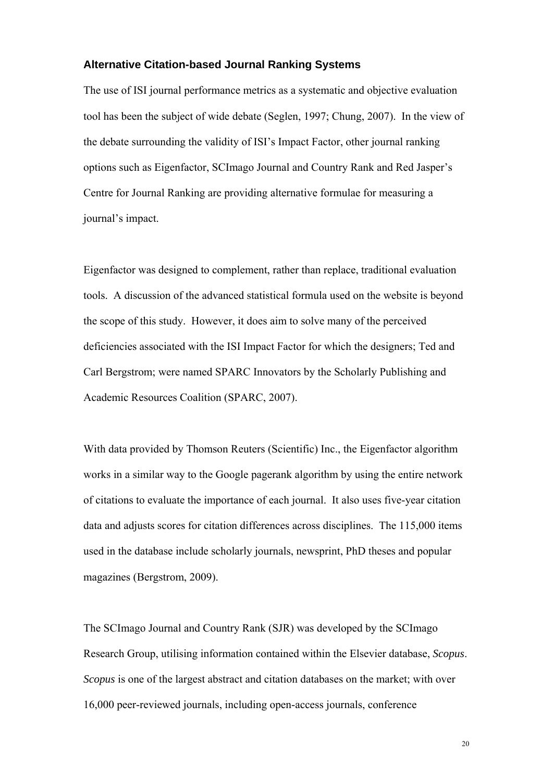#### **Alternative Citation-based Journal Ranking Systems**

The use of ISI journal performance metrics as a systematic and objective evaluation tool has been the subject of wide debate (Seglen, 1997; Chung, 2007). In the view of the debate surrounding the validity of ISI's Impact Factor, other journal ranking options such as Eigenfactor, SCImago Journal and Country Rank and Red Jasper's Centre for Journal Ranking are providing alternative formulae for measuring a journal's impact.

Eigenfactor was designed to complement, rather than replace, traditional evaluation tools. A discussion of the advanced statistical formula used on the website is beyond the scope of this study. However, it does aim to solve many of the perceived deficiencies associated with the ISI Impact Factor for which the designers; Ted and Carl Bergstrom; were named SPARC Innovators by the Scholarly Publishing and Academic Resources Coalition (SPARC, 2007).

With data provided by Thomson Reuters (Scientific) Inc., the Eigenfactor algorithm works in a similar way to the Google pagerank algorithm by using the entire network of citations to evaluate the importance of each journal. It also uses five-year citation data and adjusts scores for citation differences across disciplines. The 115,000 items used in the database include scholarly journals, newsprint, PhD theses and popular magazines (Bergstrom, 2009).

The SCImago Journal and Country Rank (SJR) was developed by the SCImago Research Group, utilising information contained within the Elsevier database, *Scopus*. *Scopus* is one of the largest abstract and citation databases on the market; with over 16,000 peer-reviewed journals, including open-access journals, conference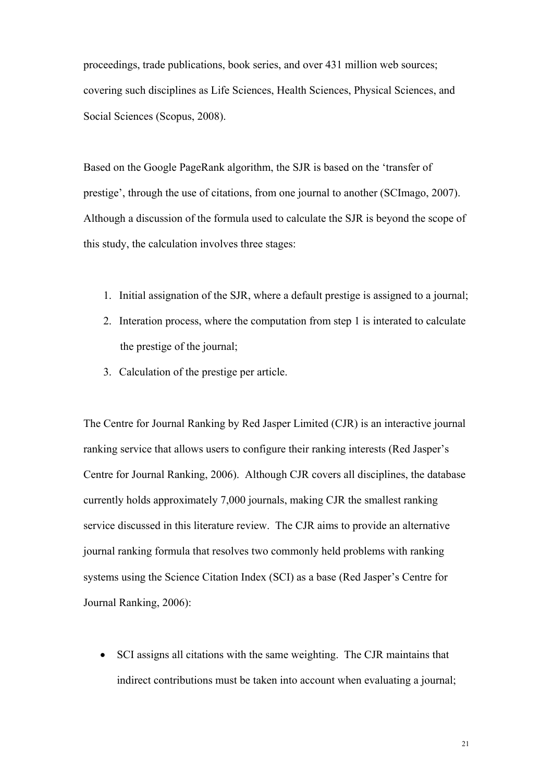proceedings, trade publications, book series, and over 431 million web sources; covering such disciplines as Life Sciences, Health Sciences, Physical Sciences, and Social Sciences (Scopus, 2008).

Based on the Google PageRank algorithm, the SJR is based on the 'transfer of prestige', through the use of citations, from one journal to another (SCImago, 2007). Although a discussion of the formula used to calculate the SJR is beyond the scope of this study, the calculation involves three stages:

- 1. Initial assignation of the SJR, where a default prestige is assigned to a journal;
- 2. Interation process, where the computation from step 1 is interated to calculate the prestige of the journal;
- 3. Calculation of the prestige per article.

The Centre for Journal Ranking by Red Jasper Limited (CJR) is an interactive journal ranking service that allows users to configure their ranking interests (Red Jasper's Centre for Journal Ranking, 2006). Although CJR covers all disciplines, the database currently holds approximately 7,000 journals, making CJR the smallest ranking service discussed in this literature review. The CJR aims to provide an alternative journal ranking formula that resolves two commonly held problems with ranking systems using the Science Citation Index (SCI) as a base (Red Jasper's Centre for Journal Ranking, 2006):

• SCI assigns all citations with the same weighting. The CJR maintains that indirect contributions must be taken into account when evaluating a journal;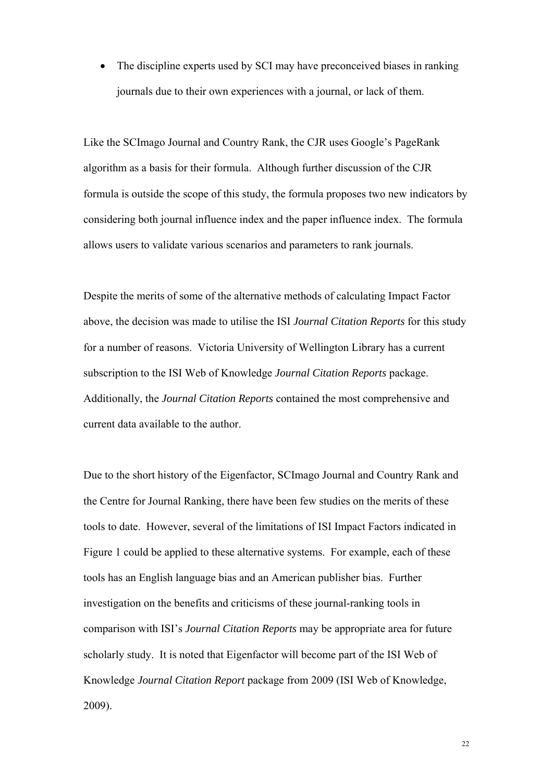The discipline experts used by SCI may have preconceived biases in ranking journals due to their own experiences with a journal, or lack of them.

Like the SCImago Journal and Country Rank, the CJR uses Google's PageRank algorithm as a basis for their formula. Although further discussion of the CJR formula is outside the scope of this study, the formula proposes two new indicators by considering both journal influence index and the paper influence index. The formula allows users to validate various scenarios and parameters to rank journals.

Despite the merits of some of the alternative methods of calculating Impact Factor above, the decision was made to utilise the ISI *Journal Citation Reports* for this study for a number of reasons. Victoria University of Wellington Library has a current subscription to the ISI Web of Knowledge *Journal Citation Reports* package. Additionally, the *Journal Citation Reports* contained the most comprehensive and current data available to the author.

Due to the short history of the Eigenfactor, SCImago Journal and Country Rank and the Centre for Journal Ranking, there have been few studies on the merits of these tools to date. However, several of the limitations of ISI Impact Factors indicated in Figure 1 could be applied to these alternative systems. For example, each of these tools has an English language bias and an American publisher bias. Further investigation on the benefits and criticisms of these journal-ranking tools in comparison with ISI's *Journal Citation Reports* may be appropriate area for future scholarly study. It is noted that Eigenfactor will become part of the ISI Web of Knowledge *Journal Citation Report* package from 2009 (ISI Web of Knowledge, 2009).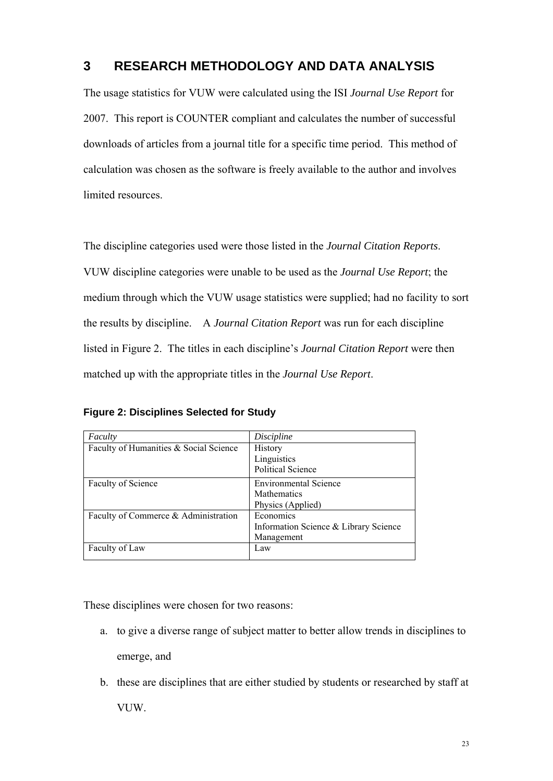## **3 RESEARCH METHODOLOGY AND DATA ANALYSIS**

The usage statistics for VUW were calculated using the ISI *Journal Use Report* for 2007. This report is COUNTER compliant and calculates the number of successful downloads of articles from a journal title for a specific time period. This method of calculation was chosen as the software is freely available to the author and involves limited resources.

The discipline categories used were those listed in the *Journal Citation Reports*. VUW discipline categories were unable to be used as the *Journal Use Report*; the medium through which the VUW usage statistics were supplied; had no facility to sort the results by discipline. A *Journal Citation Report* was run for each discipline listed in Figure 2. The titles in each discipline's *Journal Citation Report* were then matched up with the appropriate titles in the *Journal Use Report*.

**Figure 2: Disciplines Selected for Study** 

| Faculty                                | Discipline                                                              |
|----------------------------------------|-------------------------------------------------------------------------|
| Faculty of Humanities & Social Science | <b>History</b><br>Linguistics                                           |
|                                        | <b>Political Science</b>                                                |
| Faculty of Science                     | <b>Environmental Science</b><br><b>Mathematics</b><br>Physics (Applied) |
| Faculty of Commerce & Administration   | Economics<br>Information Science & Library Science<br>Management        |
| Faculty of Law                         | Law                                                                     |

These disciplines were chosen for two reasons:

- a. to give a diverse range of subject matter to better allow trends in disciplines to emerge, and
- b. these are disciplines that are either studied by students or researched by staff at VUW.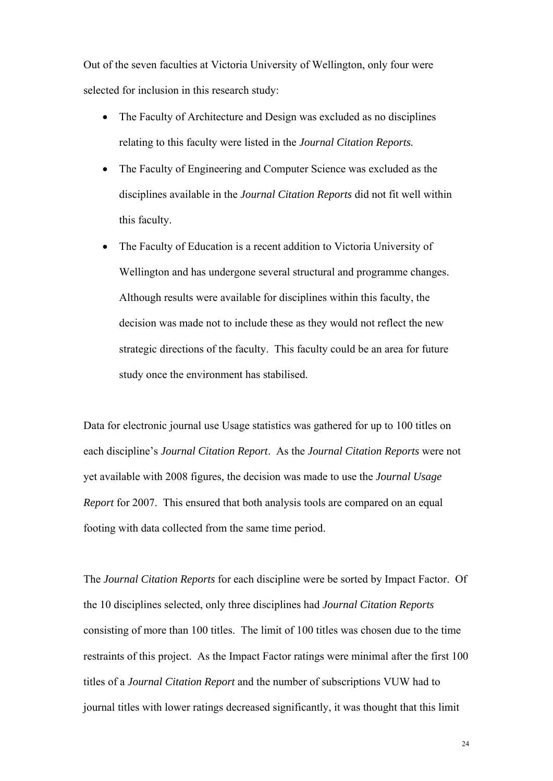Out of the seven faculties at Victoria University of Wellington, only four were selected for inclusion in this research study:

- The Faculty of Architecture and Design was excluded as no disciplines relating to this faculty were listed in the *Journal Citation Reports.*
- The Faculty of Engineering and Computer Science was excluded as the disciplines available in the *Journal Citation Reports* did not fit well within this faculty.
- The Faculty of Education is a recent addition to Victoria University of Wellington and has undergone several structural and programme changes. Although results were available for disciplines within this faculty, the decision was made not to include these as they would not reflect the new strategic directions of the faculty. This faculty could be an area for future study once the environment has stabilised.

Data for electronic journal use Usage statistics was gathered for up to 100 titles on each discipline's *Journal Citation Report*. As the *Journal Citation Reports* were not yet available with 2008 figures*,* the decision was made to use the *Journal Usage Report* for 2007. This ensured that both analysis tools are compared on an equal footing with data collected from the same time period.

The *Journal Citation Reports* for each discipline were be sorted by Impact Factor. Of the 10 disciplines selected, only three disciplines had *Journal Citation Reports*  consisting of more than 100 titles. The limit of 100 titles was chosen due to the time restraints of this project. As the Impact Factor ratings were minimal after the first 100 titles of a *Journal Citation Report* and the number of subscriptions VUW had to journal titles with lower ratings decreased significantly, it was thought that this limit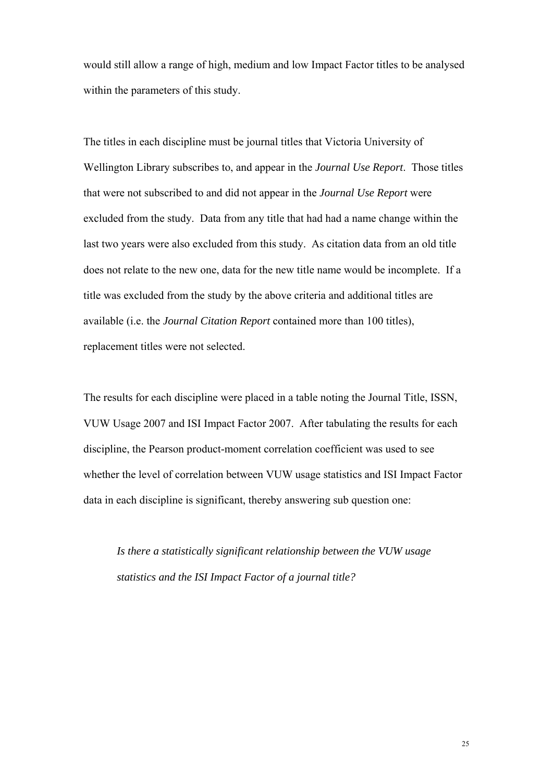would still allow a range of high, medium and low Impact Factor titles to be analysed within the parameters of this study.

The titles in each discipline must be journal titles that Victoria University of Wellington Library subscribes to, and appear in the *Journal Use Report*. Those titles that were not subscribed to and did not appear in the *Journal Use Report* were excluded from the study. Data from any title that had had a name change within the last two years were also excluded from this study. As citation data from an old title does not relate to the new one, data for the new title name would be incomplete. If a title was excluded from the study by the above criteria and additional titles are available (i.e. the *Journal Citation Report* contained more than 100 titles), replacement titles were not selected.

The results for each discipline were placed in a table noting the Journal Title, ISSN, VUW Usage 2007 and ISI Impact Factor 2007. After tabulating the results for each discipline, the Pearson product-moment correlation coefficient was used to see whether the level of correlation between VUW usage statistics and ISI Impact Factor data in each discipline is significant, thereby answering sub question one:

*Is there a statistically significant relationship between the VUW usage statistics and the ISI Impact Factor of a journal title?*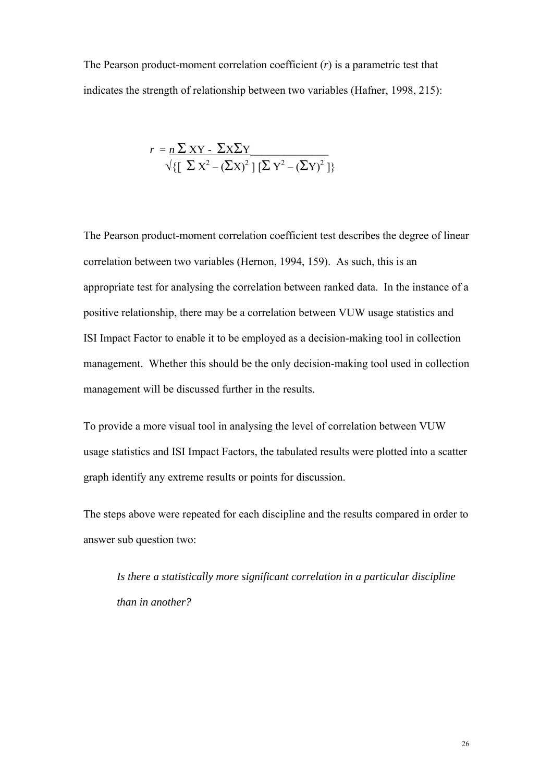The Pearson product-moment correlation coefficient (*r*) is a parametric test that indicates the strength of relationship between two variables (Hafner, 1998, 215):

$$
r = n \sum XY - \sum X \sum Y
$$
  

$$
\sqrt{\left[\sum X^2 - (\sum X)^2\right] [\sum Y^2 - (\sum Y)^2]}
$$

The Pearson product-moment correlation coefficient test describes the degree of linear correlation between two variables (Hernon, 1994, 159). As such, this is an appropriate test for analysing the correlation between ranked data. In the instance of a positive relationship, there may be a correlation between VUW usage statistics and ISI Impact Factor to enable it to be employed as a decision-making tool in collection management. Whether this should be the only decision-making tool used in collection management will be discussed further in the results.

To provide a more visual tool in analysing the level of correlation between VUW usage statistics and ISI Impact Factors, the tabulated results were plotted into a scatter graph identify any extreme results or points for discussion.

The steps above were repeated for each discipline and the results compared in order to answer sub question two:

*Is there a statistically more significant correlation in a particular discipline than in another?*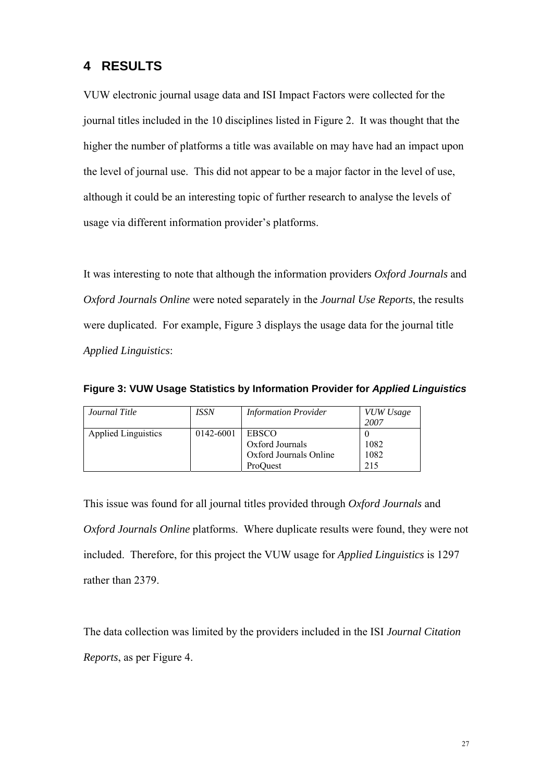## **4 RESULTS**

VUW electronic journal usage data and ISI Impact Factors were collected for the journal titles included in the 10 disciplines listed in Figure 2. It was thought that the higher the number of platforms a title was available on may have had an impact upon the level of journal use. This did not appear to be a major factor in the level of use, although it could be an interesting topic of further research to analyse the levels of usage via different information provider's platforms.

It was interesting to note that although the information providers *Oxford Journals* and *Oxford Journals Online* were noted separately in the *Journal Use Reports*, the results were duplicated. For example, Figure 3 displays the usage data for the journal title *Applied Linguistics*:

| Journal Title              | <i>ISSN</i> | <b>Information Provider</b> | VUW Usage |
|----------------------------|-------------|-----------------------------|-----------|
|                            |             |                             | 2007      |
| <b>Applied Linguistics</b> | 0142-6001   | EBSCO                       |           |
|                            |             | Oxford Journals             | 1082      |
|                            |             | Oxford Journals Online      | 1082      |
|                            |             | ProOuest                    | 215       |

**Figure 3: VUW Usage Statistics by Information Provider for** *Applied Linguistics* 

This issue was found for all journal titles provided through *Oxford Journals* and *Oxford Journals Online* platforms. Where duplicate results were found, they were not included. Therefore, for this project the VUW usage for *Applied Linguistics* is 1297 rather than 2379.

The data collection was limited by the providers included in the ISI *Journal Citation Reports*, as per Figure 4.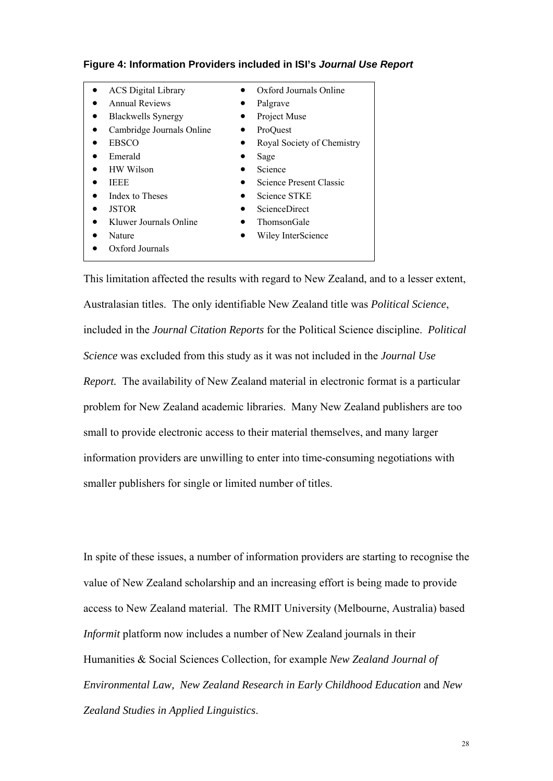| <b>ACS</b> Digital Library | $\bullet$ | Oxford Journals Online     |
|----------------------------|-----------|----------------------------|
| <b>Annual Reviews</b>      |           | Palgrave                   |
| <b>Blackwells Synergy</b>  |           | Project Muse               |
| Cambridge Journals Online  | ٠         | ProQuest                   |
| <b>EBSCO</b>               |           | Royal Society of Chemistry |
| Emerald                    |           | Sage                       |
| HW Wilson                  |           | Science                    |
| <b>IEEE</b>                |           | Science Present Classic    |
| Index to Theses            |           | Science STKE               |
| <b>JSTOR</b>               |           | <b>ScienceDirect</b>       |
| Kluwer Journals Online     |           | <b>ThomsonGale</b>         |
| Nature                     |           | Wiley InterScience         |
| Oxford Journals            |           |                            |

#### **Figure 4: Information Providers included in ISI's** *Journal Use Report*

This limitation affected the results with regard to New Zealand, and to a lesser extent, Australasian titles. The only identifiable New Zealand title was *Political Science*, included in the *Journal Citation Reports* for the Political Science discipline. *Political Science* was excluded from this study as it was not included in the *Journal Use Report.* The availability of New Zealand material in electronic format is a particular problem for New Zealand academic libraries. Many New Zealand publishers are too small to provide electronic access to their material themselves, and many larger information providers are unwilling to enter into time-consuming negotiations with smaller publishers for single or limited number of titles.

In spite of these issues, a number of information providers are starting to recognise the value of New Zealand scholarship and an increasing effort is being made to provide access to New Zealand material. The RMIT University (Melbourne, Australia) based *Informit* platform now includes a number of New Zealand journals in their Humanities & Social Sciences Collection, for example *New Zealand Journal of Environmental Law, New Zealand Research in Early Childhood Education* and *New Zealand Studies in Applied Linguistics*.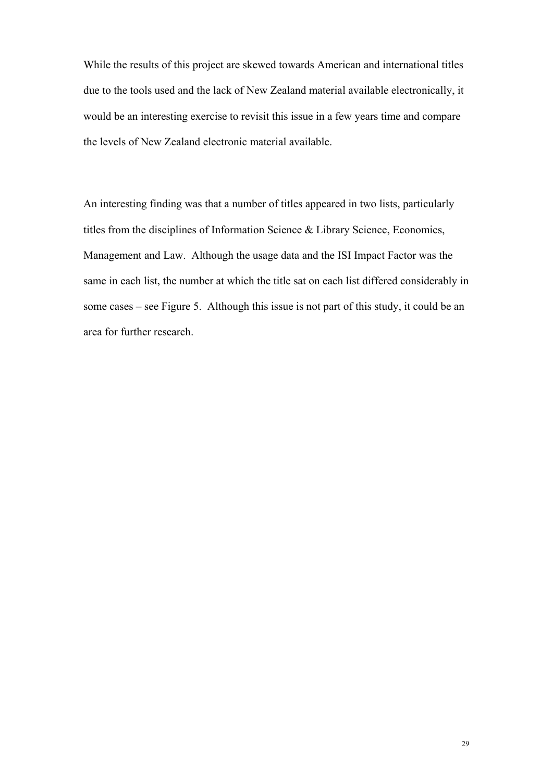While the results of this project are skewed towards American and international titles due to the tools used and the lack of New Zealand material available electronically, it would be an interesting exercise to revisit this issue in a few years time and compare the levels of New Zealand electronic material available.

An interesting finding was that a number of titles appeared in two lists, particularly titles from the disciplines of Information Science & Library Science, Economics, Management and Law. Although the usage data and the ISI Impact Factor was the same in each list, the number at which the title sat on each list differed considerably in some cases – see Figure 5. Although this issue is not part of this study, it could be an area for further research.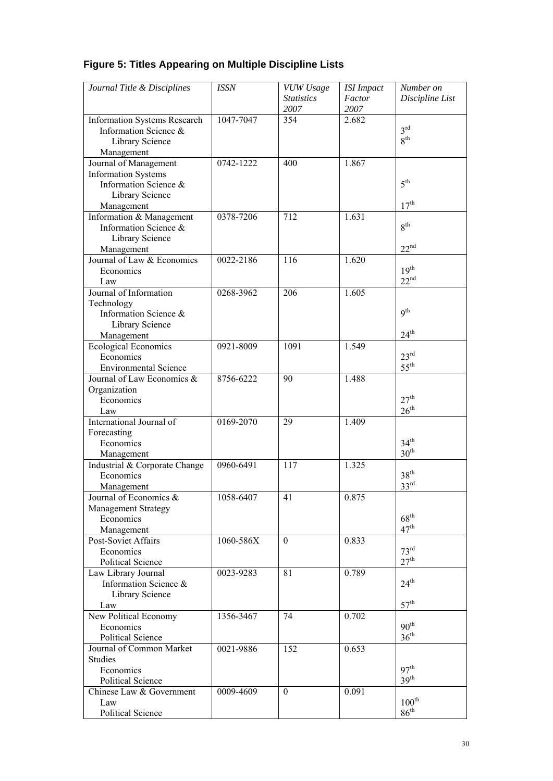## **Figure 5: Titles Appearing on Multiple Discipline Lists**

| Journal Title & Disciplines              | <b>ISSN</b> | VUW Usage         | <b>ISI</b> Impact | Number on         |
|------------------------------------------|-------------|-------------------|-------------------|-------------------|
|                                          |             | <b>Statistics</b> | Factor            | Discipline List   |
|                                          |             | 2007              | 2007              |                   |
| <b>Information Systems Research</b>      | 1047-7047   | 354               | 2.682             |                   |
| Information Science &                    |             |                   |                   | 3 <sup>rd</sup>   |
| Library Science                          |             |                   |                   | 8 <sup>th</sup>   |
| Management                               |             |                   |                   |                   |
| Journal of Management                    | 0742-1222   | 400               | 1.867             |                   |
| <b>Information Systems</b>               |             |                   |                   |                   |
| Information Science &                    |             |                   |                   | 5 <sup>th</sup>   |
| Library Science                          |             |                   |                   |                   |
| Management                               |             |                   |                   | 17 <sup>th</sup>  |
| Information & Management                 | 0378-7206   | 712               | 1.631             | 8 <sup>th</sup>   |
| Information Science &                    |             |                   |                   |                   |
| Library Science                          |             |                   |                   | 22 <sup>nd</sup>  |
| Management<br>Journal of Law & Economics | 0022-2186   | 116               | 1.620             |                   |
| Economics                                |             |                   |                   | 19 <sup>th</sup>  |
| Law                                      |             |                   |                   | 22 <sup>nd</sup>  |
| Journal of Information                   | 0268-3962   | 206               | 1.605             |                   |
| Technology                               |             |                   |                   |                   |
| Information Science &                    |             |                   |                   | q <sup>th</sup>   |
| Library Science                          |             |                   |                   |                   |
| Management                               |             |                   |                   | $24^{\text{th}}$  |
| <b>Ecological Economics</b>              | 0921-8009   | 1091              | 1.549             |                   |
| Economics                                |             |                   |                   | 23 <sup>rd</sup>  |
| <b>Environmental Science</b>             |             |                   |                   | $55^{\rm th}$     |
| Journal of Law Economics &               | 8756-6222   | 90                | 1.488             |                   |
| Organization                             |             |                   |                   |                   |
| Economics                                |             |                   |                   | 27 <sup>th</sup>  |
| Law                                      |             |                   |                   | 26 <sup>th</sup>  |
| International Journal of                 | 0169-2070   | 29                | 1.409             |                   |
| Forecasting                              |             |                   |                   |                   |
| Economics                                |             |                   |                   | 34 <sup>th</sup>  |
| Management                               |             |                   |                   | $30^{\text{th}}$  |
| Industrial & Corporate Change            | 0960-6491   | 117               | 1.325             |                   |
| Economics                                |             |                   |                   | 38 <sup>th</sup>  |
| Management                               |             |                   |                   | $33^{rd}$         |
| Journal of Economics &                   | 1058-6407   | 41                | 0.875             |                   |
| <b>Management Strategy</b>               |             |                   |                   | $68^{\text{th}}$  |
| Economics                                |             |                   |                   | 47 <sup>th</sup>  |
| Management<br>Post-Soviet Affairs        | 1060-586X   | $\theta$          | 0.833             |                   |
| Economics                                |             |                   |                   | 73 <sup>rd</sup>  |
| Political Science                        |             |                   |                   | 27 <sup>th</sup>  |
| Law Library Journal                      | 0023-9283   | 81                | 0.789             |                   |
| Information Science &                    |             |                   |                   | $24^{\text{th}}$  |
| Library Science                          |             |                   |                   |                   |
| Law                                      |             |                   |                   | 57 <sup>th</sup>  |
| New Political Economy                    | 1356-3467   | 74                | 0.702             |                   |
| Economics                                |             |                   |                   | 90 <sup>th</sup>  |
| Political Science                        |             |                   |                   | $36^{\text{th}}$  |
| Journal of Common Market                 | 0021-9886   | 152               | 0.653             |                   |
| <b>Studies</b>                           |             |                   |                   |                   |
| Economics                                |             |                   |                   | 97 <sup>th</sup>  |
| Political Science                        |             |                   |                   | 39 <sup>th</sup>  |
| Chinese Law & Government                 | 0009-4609   | $\boldsymbol{0}$  | 0.091             |                   |
| Law                                      |             |                   |                   | $100^{\text{th}}$ |
| <b>Political Science</b>                 |             |                   |                   | $86^{\text{th}}$  |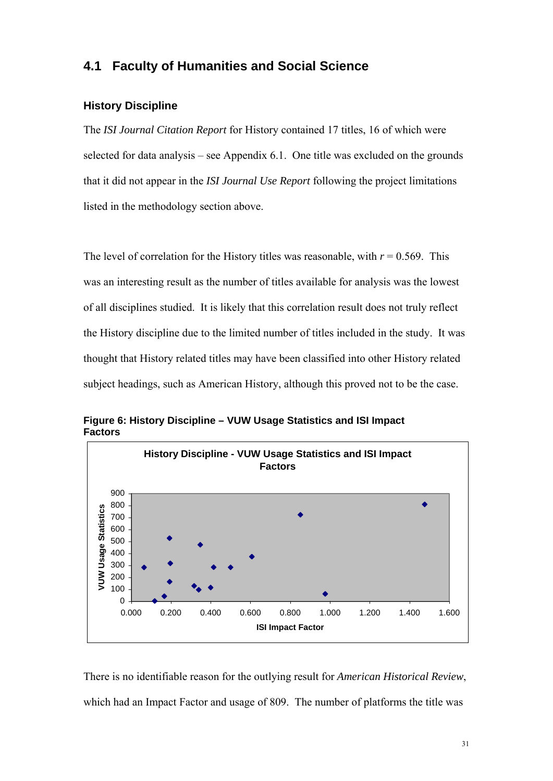## **4.1 Faculty of Humanities and Social Science**

#### **History Discipline**

The *ISI Journal Citation Report* for History contained 17 titles, 16 of which were selected for data analysis – see Appendix 6.1. One title was excluded on the grounds that it did not appear in the *ISI Journal Use Report* following the project limitations listed in the methodology section above.

The level of correlation for the History titles was reasonable, with  $r = 0.569$ . This was an interesting result as the number of titles available for analysis was the lowest of all disciplines studied. It is likely that this correlation result does not truly reflect the History discipline due to the limited number of titles included in the study. It was thought that History related titles may have been classified into other History related subject headings, such as American History, although this proved not to be the case.



**Figure 6: History Discipline – VUW Usage Statistics and ISI Impact Factors**

There is no identifiable reason for the outlying result for *American Historical Review*, which had an Impact Factor and usage of 809. The number of platforms the title was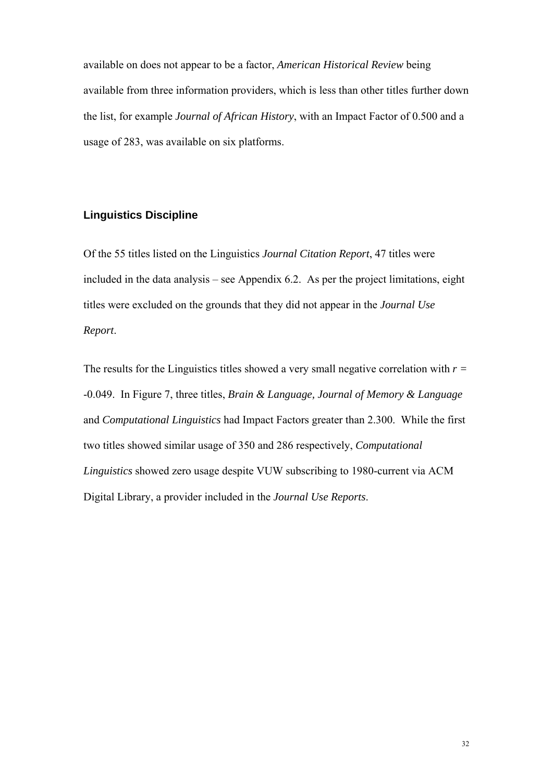available on does not appear to be a factor, *American Historical Review* being available from three information providers, which is less than other titles further down the list, for example *Journal of African History*, with an Impact Factor of 0.500 and a usage of 283, was available on six platforms.

#### **Linguistics Discipline**

Of the 55 titles listed on the Linguistics *Journal Citation Report*, 47 titles were included in the data analysis – see Appendix 6.2. As per the project limitations, eight titles were excluded on the grounds that they did not appear in the *Journal Use Report*.

The results for the Linguistics titles showed a very small negative correlation with *r =*  -0.049. In Figure 7, three titles, *Brain & Language, Journal of Memory & Language*  and *Computational Linguistics* had Impact Factors greater than 2.300. While the first two titles showed similar usage of 350 and 286 respectively, *Computational Linguistics* showed zero usage despite VUW subscribing to 1980-current via ACM Digital Library, a provider included in the *Journal Use Reports*.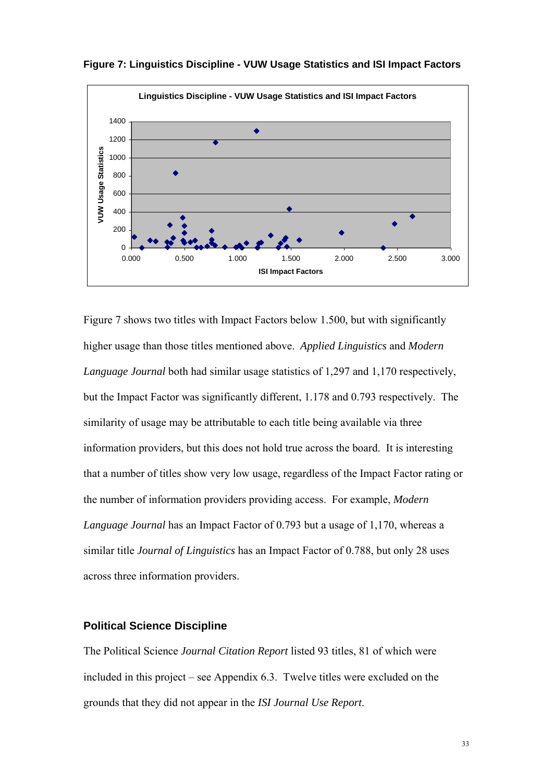

**Figure 7: Linguistics Discipline - VUW Usage Statistics and ISI Impact Factors**

Figure 7 shows two titles with Impact Factors below 1.500, but with significantly higher usage than those titles mentioned above. *Applied Linguistics* and *Modern Language Journal* both had similar usage statistics of 1,297 and 1,170 respectively, but the Impact Factor was significantly different, 1.178 and 0.793 respectively. The similarity of usage may be attributable to each title being available via three information providers, but this does not hold true across the board. It is interesting that a number of titles show very low usage, regardless of the Impact Factor rating or the number of information providers providing access. For example, *Modern Language Journal* has an Impact Factor of 0.793 but a usage of 1,170, whereas a similar title *Journal of Linguistics* has an Impact Factor of 0.788, but only 28 uses across three information providers.

#### **Political Science Discipline**

The Political Science *Journal Citation Report* listed 93 titles, 81 of which were included in this project – see Appendix 6.3. Twelve titles were excluded on the grounds that they did not appear in the *ISI Journal Use Report*.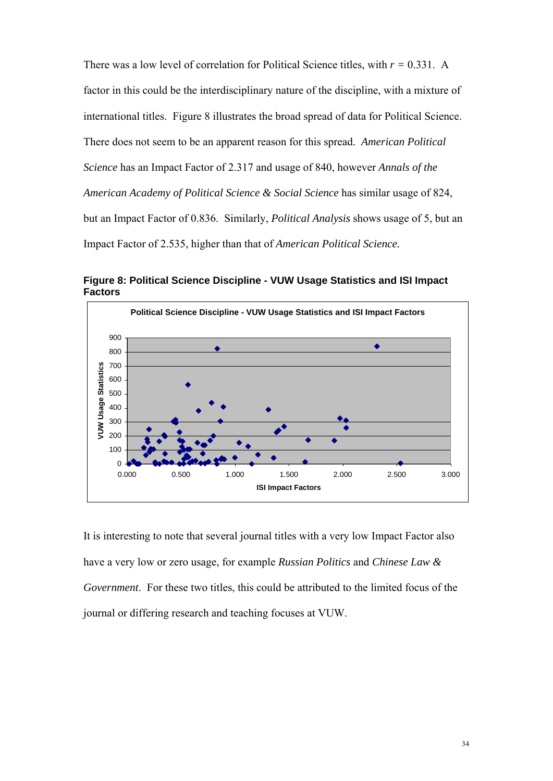There was a low level of correlation for Political Science titles, with *r =* 0.331. A factor in this could be the interdisciplinary nature of the discipline, with a mixture of international titles. Figure 8 illustrates the broad spread of data for Political Science. There does not seem to be an apparent reason for this spread. *American Political Science* has an Impact Factor of 2.317 and usage of 840, however *Annals of the American Academy of Political Science & Social Science* has similar usage of 824, but an Impact Factor of 0.836. Similarly, *Political Analysis* shows usage of 5, but an Impact Factor of 2.535, higher than that of *American Political Science.* 

**Political Science Discipline - VUW Usage Statistics and ISI Impact Factors** 900  $\bullet$ ▲ 800 700 **JUW Usage Statistics VUW Usage Statistics** 600  $\bullet$ 500 400 300 200 100  $\overline{0}$ 0.000 0.500 1.000 1.500 2.000 2.500 3.000 **ISI Impact Factors**

**Figure 8: Political Science Discipline - VUW Usage Statistics and ISI Impact Factors**

It is interesting to note that several journal titles with a very low Impact Factor also have a very low or zero usage, for example *Russian Politics* and *Chinese Law & Government*. For these two titles, this could be attributed to the limited focus of the journal or differing research and teaching focuses at VUW.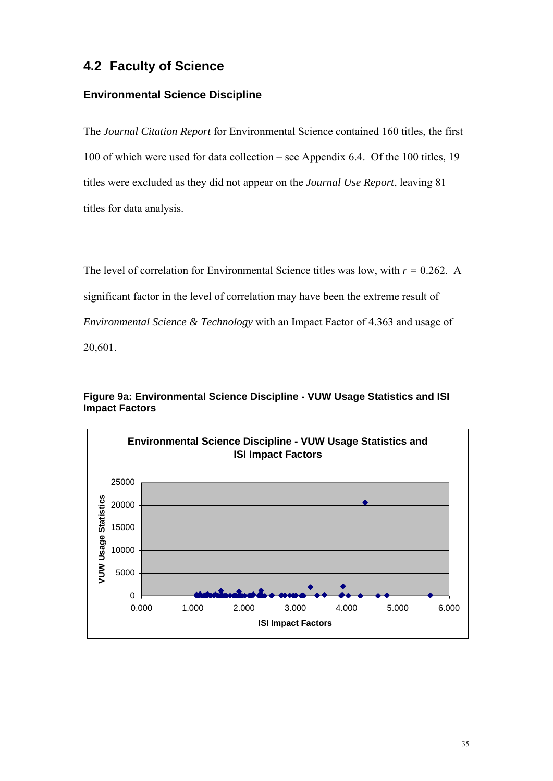## **4.2 Faculty of Science**

### **Environmental Science Discipline**

The *Journal Citation Report* for Environmental Science contained 160 titles, the first 100 of which were used for data collection – see Appendix 6.4. Of the 100 titles, 19 titles were excluded as they did not appear on the *Journal Use Report*, leaving 81 titles for data analysis.

The level of correlation for Environmental Science titles was low, with  $r = 0.262$ . A significant factor in the level of correlation may have been the extreme result of *Environmental Science & Technology* with an Impact Factor of 4.363 and usage of 20,601.



**Figure 9a: Environmental Science Discipline - VUW Usage Statistics and ISI Impact Factors**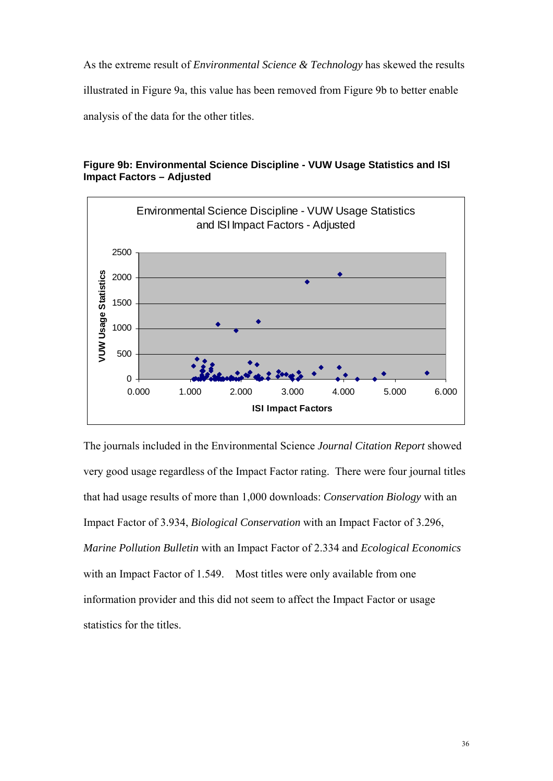As the extreme result of *Environmental Science & Technology* has skewed the results illustrated in Figure 9a, this value has been removed from Figure 9b to better enable analysis of the data for the other titles.



**Figure 9b: Environmental Science Discipline - VUW Usage Statistics and ISI Impact Factors – Adjusted** 

The journals included in the Environmental Science *Journal Citation Report* showed very good usage regardless of the Impact Factor rating. There were four journal titles that had usage results of more than 1,000 downloads: *Conservation Biology* with an Impact Factor of 3.934, *Biological Conservation* with an Impact Factor of 3.296, *Marine Pollution Bulletin* with an Impact Factor of 2.334 and *Ecological Economics* with an Impact Factor of 1.549. Most titles were only available from one information provider and this did not seem to affect the Impact Factor or usage statistics for the titles.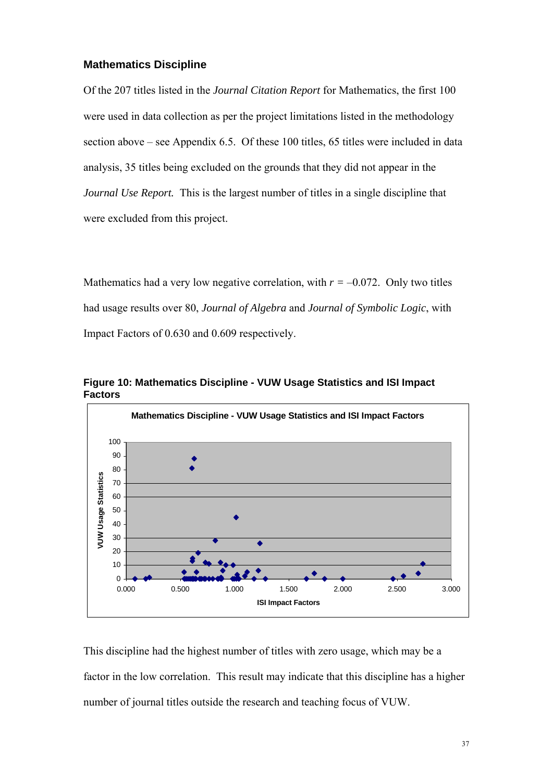#### **Mathematics Discipline**

Of the 207 titles listed in the *Journal Citation Report* for Mathematics, the first 100 were used in data collection as per the project limitations listed in the methodology section above – see Appendix 6.5. Of these 100 titles, 65 titles were included in data analysis, 35 titles being excluded on the grounds that they did not appear in the *Journal Use Report.* This is the largest number of titles in a single discipline that were excluded from this project.

Mathematics had a very low negative correlation, with  $r = -0.072$ . Only two titles had usage results over 80, *Journal of Algebra* and *Journal of Symbolic Logic*, with Impact Factors of 0.630 and 0.609 respectively.



**Figure 10: Mathematics Discipline - VUW Usage Statistics and ISI Impact Factors**

This discipline had the highest number of titles with zero usage, which may be a factor in the low correlation. This result may indicate that this discipline has a higher number of journal titles outside the research and teaching focus of VUW.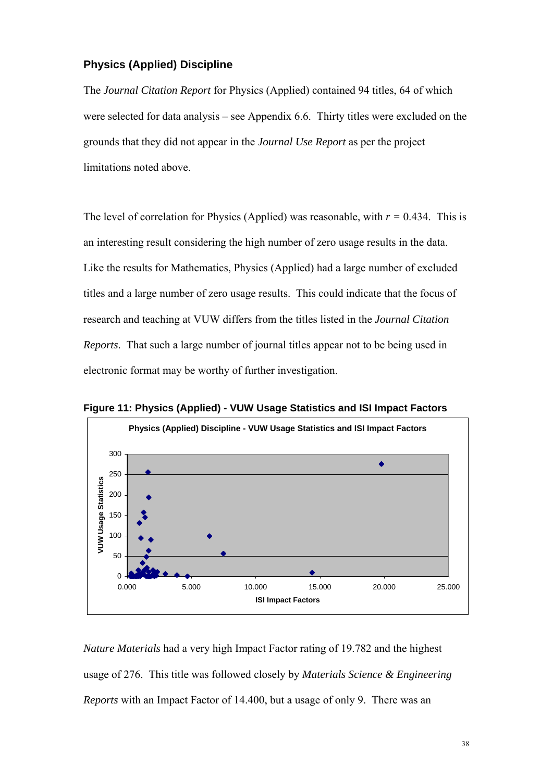#### **Physics (Applied) Discipline**

The *Journal Citation Report* for Physics (Applied) contained 94 titles, 64 of which were selected for data analysis – see Appendix 6.6. Thirty titles were excluded on the grounds that they did not appear in the *Journal Use Report* as per the project limitations noted above.

The level of correlation for Physics (Applied) was reasonable, with  $r = 0.434$ . This is an interesting result considering the high number of zero usage results in the data. Like the results for Mathematics, Physics (Applied) had a large number of excluded titles and a large number of zero usage results. This could indicate that the focus of research and teaching at VUW differs from the titles listed in the *Journal Citation Reports*. That such a large number of journal titles appear not to be being used in electronic format may be worthy of further investigation.



**Figure 11: Physics (Applied) - VUW Usage Statistics and ISI Impact Factors** 

*Nature Materials* had a very high Impact Factor rating of 19.782 and the highest usage of 276. This title was followed closely by *Materials Science & Engineering Reports* with an Impact Factor of 14.400, but a usage of only 9. There was an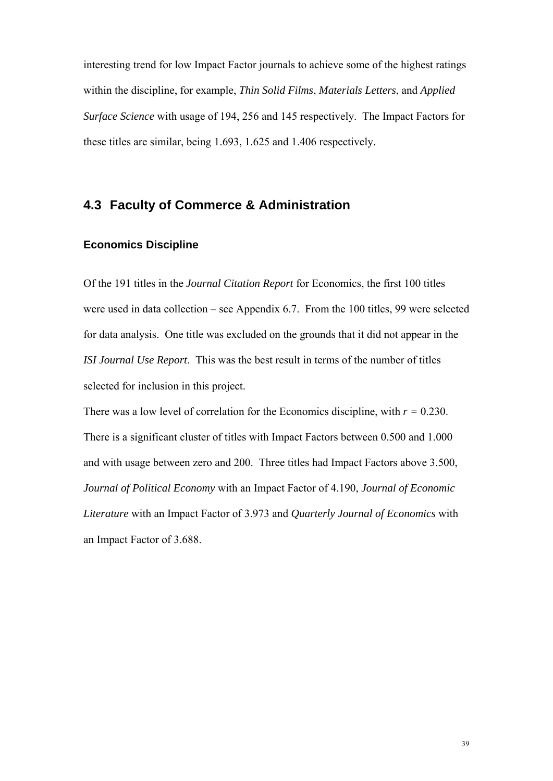interesting trend for low Impact Factor journals to achieve some of the highest ratings within the discipline, for example, *Thin Solid Films*, *Materials Letters*, and *Applied Surface Science* with usage of 194, 256 and 145 respectively. The Impact Factors for these titles are similar, being 1.693, 1.625 and 1.406 respectively.

## **4.3 Faculty of Commerce & Administration**

#### **Economics Discipline**

Of the 191 titles in the *Journal Citation Report* for Economics, the first 100 titles were used in data collection – see Appendix 6.7. From the 100 titles, 99 were selected for data analysis. One title was excluded on the grounds that it did not appear in the *ISI Journal Use Report*. This was the best result in terms of the number of titles selected for inclusion in this project.

There was a low level of correlation for the Economics discipline, with  $r = 0.230$ . There is a significant cluster of titles with Impact Factors between 0.500 and 1.000 and with usage between zero and 200. Three titles had Impact Factors above 3.500, *Journal of Political Economy* with an Impact Factor of 4.190, *Journal of Economic Literature* with an Impact Factor of 3.973 and *Quarterly Journal of Economics* with an Impact Factor of 3.688.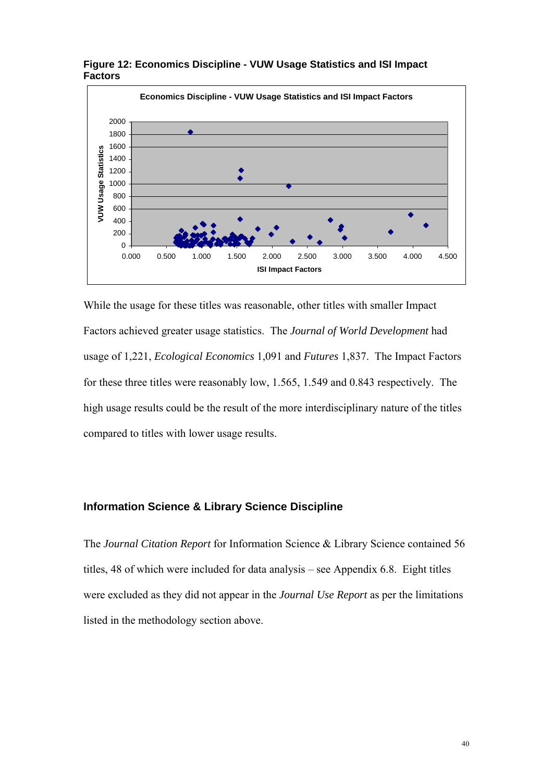

**Figure 12: Economics Discipline - VUW Usage Statistics and ISI Impact Factors**

While the usage for these titles was reasonable, other titles with smaller Impact Factors achieved greater usage statistics. The *Journal of World Development* had usage of 1,221, *Ecological Economics* 1,091 and *Futures* 1,837. The Impact Factors for these three titles were reasonably low, 1.565, 1.549 and 0.843 respectively. The high usage results could be the result of the more interdisciplinary nature of the titles compared to titles with lower usage results.

### **Information Science & Library Science Discipline**

The *Journal Citation Report* for Information Science & Library Science contained 56 titles, 48 of which were included for data analysis – see Appendix 6.8. Eight titles were excluded as they did not appear in the *Journal Use Report* as per the limitations listed in the methodology section above.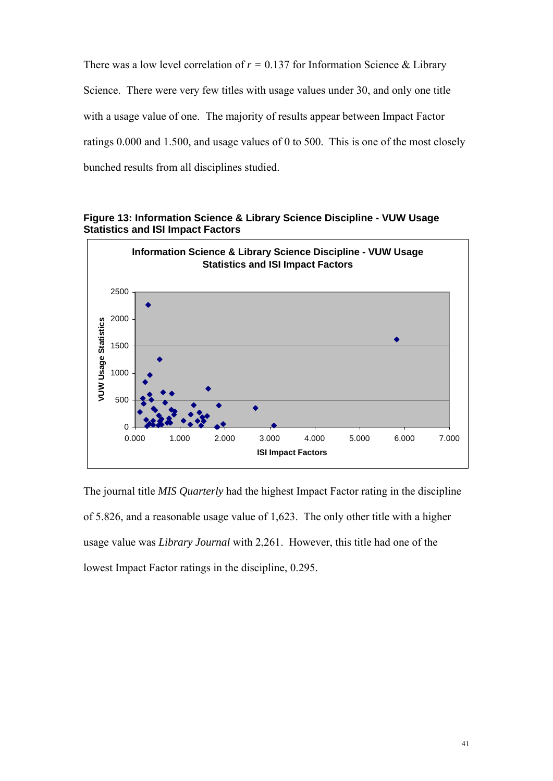There was a low level correlation of  $r = 0.137$  for Information Science & Library Science. There were very few titles with usage values under 30, and only one title with a usage value of one. The majority of results appear between Impact Factor ratings 0.000 and 1.500, and usage values of 0 to 500. This is one of the most closely bunched results from all disciplines studied.



**Figure 13: Information Science & Library Science Discipline - VUW Usage Statistics and ISI Impact Factors**

The journal title *MIS Quarterly* had the highest Impact Factor rating in the discipline of 5.826, and a reasonable usage value of 1,623. The only other title with a higher usage value was *Library Journal* with 2,261. However, this title had one of the lowest Impact Factor ratings in the discipline, 0.295.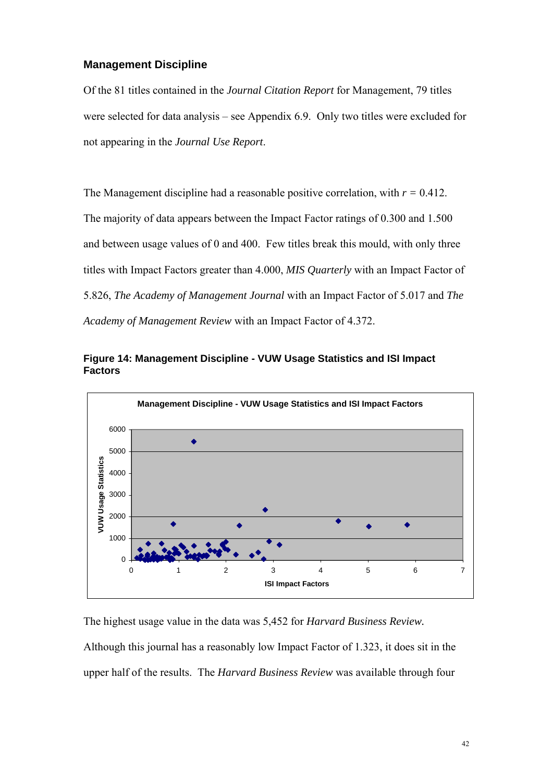#### **Management Discipline**

Of the 81 titles contained in the *Journal Citation Report* for Management, 79 titles were selected for data analysis – see Appendix 6.9. Only two titles were excluded for not appearing in the *Journal Use Report*.

The Management discipline had a reasonable positive correlation, with  $r = 0.412$ . The majority of data appears between the Impact Factor ratings of 0.300 and 1.500 and between usage values of 0 and 400. Few titles break this mould, with only three titles with Impact Factors greater than 4.000, *MIS Quarterly* with an Impact Factor of 5.826, *The Academy of Management Journal* with an Impact Factor of 5.017 and *The Academy of Management Review* with an Impact Factor of 4.372.





The highest usage value in the data was 5,452 for *Harvard Business Review.* 

Although this journal has a reasonably low Impact Factor of 1.323, it does sit in the upper half of the results. The *Harvard Business Review* was available through four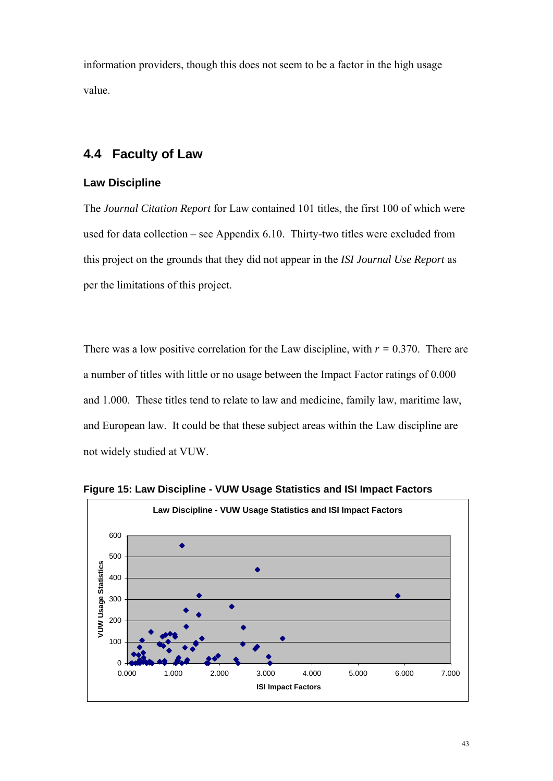information providers, though this does not seem to be a factor in the high usage value.

## **4.4 Faculty of Law**

#### **Law Discipline**

The *Journal Citation Report* for Law contained 101 titles, the first 100 of which were used for data collection – see Appendix 6.10. Thirty-two titles were excluded from this project on the grounds that they did not appear in the *ISI Journal Use Report* as per the limitations of this project.

There was a low positive correlation for the Law discipline, with  $r = 0.370$ . There are a number of titles with little or no usage between the Impact Factor ratings of 0.000 and 1.000. These titles tend to relate to law and medicine, family law, maritime law, and European law. It could be that these subject areas within the Law discipline are not widely studied at VUW.



**Figure 15: Law Discipline - VUW Usage Statistics and ISI Impact Factors**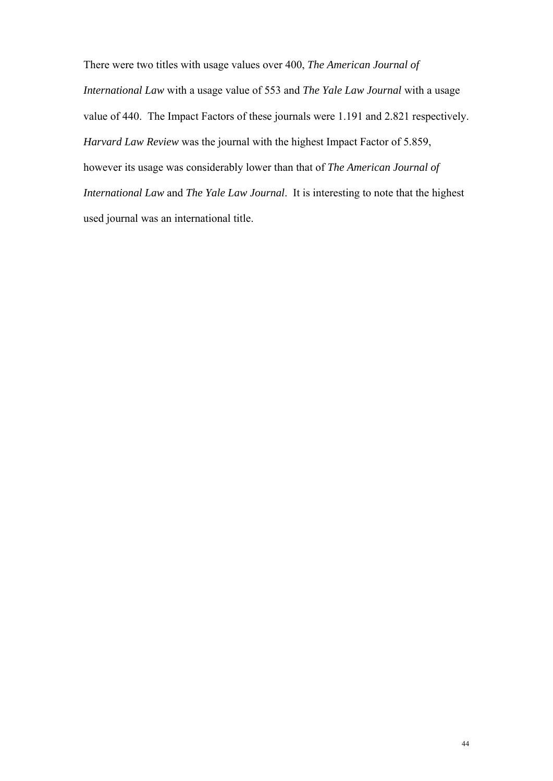There were two titles with usage values over 400, *The American Journal of International Law* with a usage value of 553 and *The Yale Law Journal* with a usage value of 440. The Impact Factors of these journals were 1.191 and 2.821 respectively. *Harvard Law Review* was the journal with the highest Impact Factor of 5.859, however its usage was considerably lower than that of *The American Journal of International Law* and *The Yale Law Journal*. It is interesting to note that the highest used journal was an international title.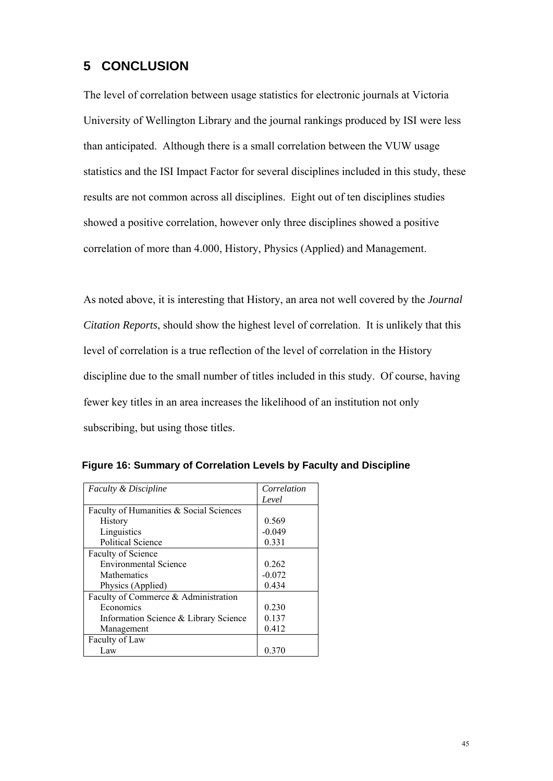## **5 CONCLUSION**

The level of correlation between usage statistics for electronic journals at Victoria University of Wellington Library and the journal rankings produced by ISI were less than anticipated. Although there is a small correlation between the VUW usage statistics and the ISI Impact Factor for several disciplines included in this study, these results are not common across all disciplines. Eight out of ten disciplines studies showed a positive correlation, however only three disciplines showed a positive correlation of more than 4.000, History, Physics (Applied) and Management.

As noted above, it is interesting that History, an area not well covered by the *Journal Citation Reports*, should show the highest level of correlation. It is unlikely that this level of correlation is a true reflection of the level of correlation in the History discipline due to the small number of titles included in this study. Of course, having fewer key titles in an area increases the likelihood of an institution not only subscribing, but using those titles.

| Faculty & Discipline                    | Correlation |
|-----------------------------------------|-------------|
|                                         | Level       |
| Faculty of Humanities & Social Sciences |             |
| History                                 | 0.569       |
| Linguistics                             | $-0.049$    |
| <b>Political Science</b>                | 0.331       |
| Faculty of Science                      |             |
| <b>Environmental Science</b>            | 0.262       |
| <b>Mathematics</b>                      | $-0.072$    |
| Physics (Applied)                       | 0.434       |
| Faculty of Commerce & Administration    |             |
| Economics                               | 0.230       |
| Information Science & Library Science   | 0.137       |
| Management                              | 0.412       |
| Faculty of Law                          |             |
| Law                                     | 0.370       |

|  | Figure 16: Summary of Correlation Levels by Faculty and Discipline |  |  |
|--|--------------------------------------------------------------------|--|--|
|--|--------------------------------------------------------------------|--|--|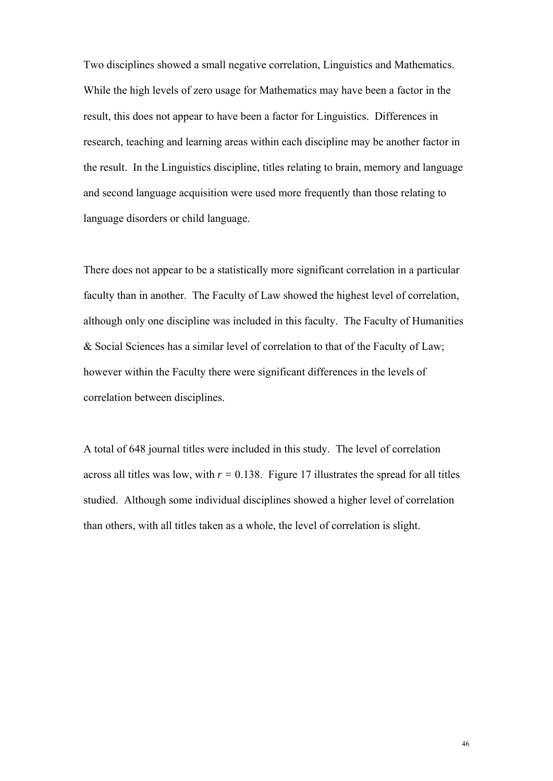Two disciplines showed a small negative correlation, Linguistics and Mathematics. While the high levels of zero usage for Mathematics may have been a factor in the result, this does not appear to have been a factor for Linguistics. Differences in research, teaching and learning areas within each discipline may be another factor in the result. In the Linguistics discipline, titles relating to brain, memory and language and second language acquisition were used more frequently than those relating to language disorders or child language.

There does not appear to be a statistically more significant correlation in a particular faculty than in another. The Faculty of Law showed the highest level of correlation, although only one discipline was included in this faculty. The Faculty of Humanities & Social Sciences has a similar level of correlation to that of the Faculty of Law; however within the Faculty there were significant differences in the levels of correlation between disciplines.

A total of 648 journal titles were included in this study. The level of correlation across all titles was low, with  $r = 0.138$ . Figure 17 illustrates the spread for all titles studied. Although some individual disciplines showed a higher level of correlation than others, with all titles taken as a whole, the level of correlation is slight.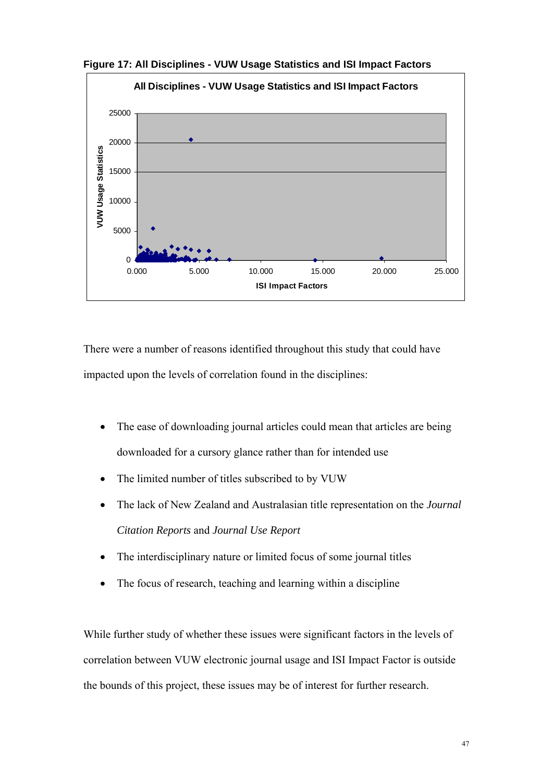

**Figure 17: All Disciplines - VUW Usage Statistics and ISI Impact Factors**

There were a number of reasons identified throughout this study that could have impacted upon the levels of correlation found in the disciplines:

- The ease of downloading journal articles could mean that articles are being downloaded for a cursory glance rather than for intended use
- The limited number of titles subscribed to by VUW
- The lack of New Zealand and Australasian title representation on the *Journal Citation Reports* and *Journal Use Report*
- The interdisciplinary nature or limited focus of some journal titles
- The focus of research, teaching and learning within a discipline

While further study of whether these issues were significant factors in the levels of correlation between VUW electronic journal usage and ISI Impact Factor is outside the bounds of this project, these issues may be of interest for further research.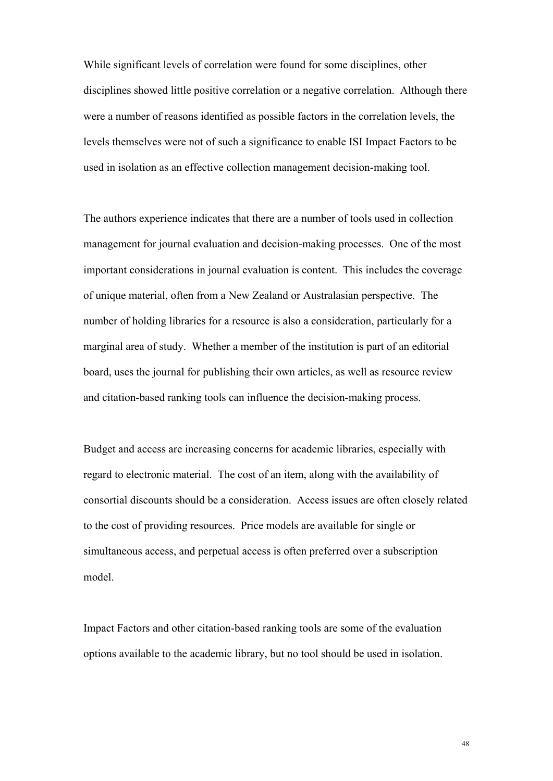While significant levels of correlation were found for some disciplines, other disciplines showed little positive correlation or a negative correlation. Although there were a number of reasons identified as possible factors in the correlation levels, the levels themselves were not of such a significance to enable ISI Impact Factors to be used in isolation as an effective collection management decision-making tool.

The authors experience indicates that there are a number of tools used in collection management for journal evaluation and decision-making processes. One of the most important considerations in journal evaluation is content. This includes the coverage of unique material, often from a New Zealand or Australasian perspective. The number of holding libraries for a resource is also a consideration, particularly for a marginal area of study. Whether a member of the institution is part of an editorial board, uses the journal for publishing their own articles, as well as resource review and citation-based ranking tools can influence the decision-making process.

Budget and access are increasing concerns for academic libraries, especially with regard to electronic material. The cost of an item, along with the availability of consortial discounts should be a consideration. Access issues are often closely related to the cost of providing resources. Price models are available for single or simultaneous access, and perpetual access is often preferred over a subscription model.

Impact Factors and other citation-based ranking tools are some of the evaluation options available to the academic library, but no tool should be used in isolation.

48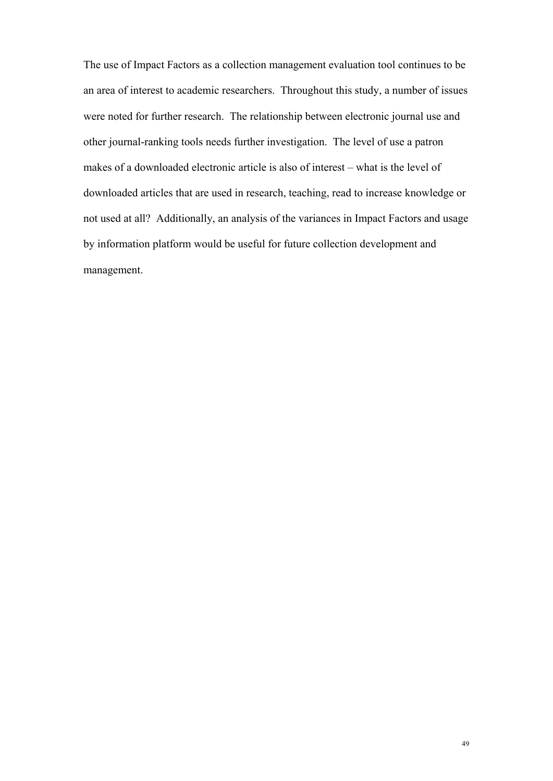The use of Impact Factors as a collection management evaluation tool continues to be an area of interest to academic researchers. Throughout this study, a number of issues were noted for further research. The relationship between electronic journal use and other journal-ranking tools needs further investigation. The level of use a patron makes of a downloaded electronic article is also of interest – what is the level of downloaded articles that are used in research, teaching, read to increase knowledge or not used at all? Additionally, an analysis of the variances in Impact Factors and usage by information platform would be useful for future collection development and management.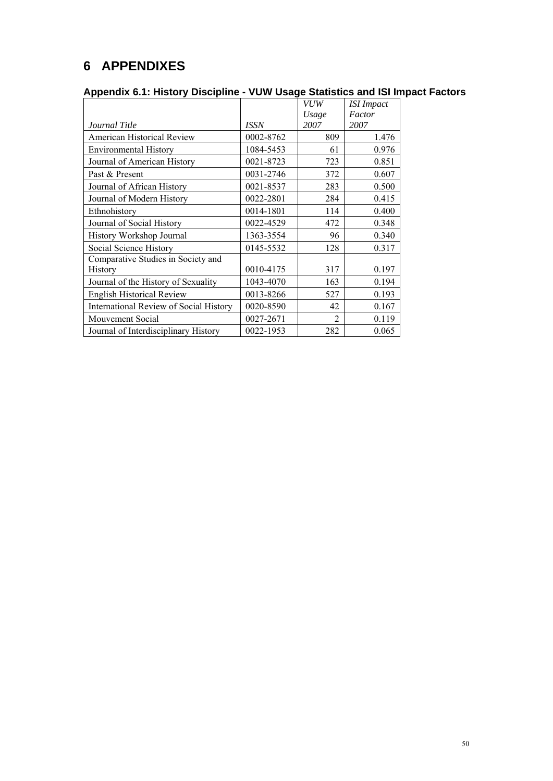# **6 APPENDIXES**

| Appendix 6.1: History Discipline - VUW Usage Statistics and ISI Impact Factors |  |  |  |
|--------------------------------------------------------------------------------|--|--|--|

|                                               |             | <b>VUW</b>     | <b>ISI</b> Impact |
|-----------------------------------------------|-------------|----------------|-------------------|
|                                               |             | Usage          | Factor            |
| Journal Title                                 | <b>ISSN</b> | 2007           | 2007              |
| <b>American Historical Review</b>             | 0002-8762   | 809            | 1.476             |
| <b>Environmental History</b>                  | 1084-5453   | 61             | 0.976             |
| Journal of American History                   | 0021-8723   | 723            | 0.851             |
| Past & Present                                | 0031-2746   | 372            | 0.607             |
| Journal of African History                    | 0021-8537   | 283            | 0.500             |
| Journal of Modern History                     | 0022-2801   | 284            | 0.415             |
| Ethnohistory                                  | 0014-1801   | 114            | 0.400             |
| Journal of Social History                     | 0022-4529   | 472            | 0.348             |
| History Workshop Journal                      | 1363-3554   | 96             | 0.340             |
| Social Science History                        | 0145-5532   | 128            | 0.317             |
| Comparative Studies in Society and            |             |                |                   |
| <b>History</b>                                | 0010-4175   | 317            | 0.197             |
| Journal of the History of Sexuality           | 1043-4070   | 163            | 0.194             |
| <b>English Historical Review</b>              | 0013-8266   | 527            | 0.193             |
| <b>International Review of Social History</b> | 0020-8590   | 42             | 0.167             |
| Mouvement Social                              | 0027-2671   | $\mathfrak{D}$ | 0.119             |
| Journal of Interdisciplinary History          | 0022-1953   | 282            | 0.065             |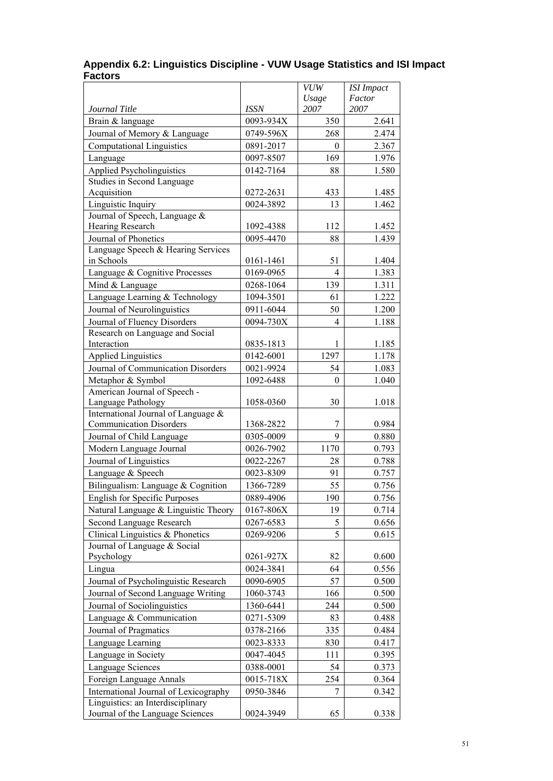|                                                                       |             | <b>VUW</b>           | <b>ISI</b> Impact |
|-----------------------------------------------------------------------|-------------|----------------------|-------------------|
|                                                                       |             | Usage                | Factor            |
| Journal Title                                                         | <b>ISSN</b> | 2007                 | 2007              |
| Brain & language                                                      | 0093-934X   | 350                  | 2.641             |
| Journal of Memory & Language                                          | 0749-596X   | 268                  | 2.474             |
| <b>Computational Linguistics</b>                                      | 0891-2017   | $\boldsymbol{0}$     | 2.367             |
| Language                                                              | 0097-8507   | 169                  | 1.976             |
| <b>Applied Psycholinguistics</b>                                      | 0142-7164   | 88                   | 1.580             |
| Studies in Second Language                                            |             |                      |                   |
| Acquisition                                                           | 0272-2631   | 433                  | 1.485             |
| Linguistic Inquiry                                                    | 0024-3892   | 13                   | 1.462             |
| Journal of Speech, Language &                                         |             |                      |                   |
| Hearing Research                                                      | 1092-4388   | 112                  | 1.452             |
| Journal of Phonetics                                                  | 0095-4470   | 88                   | 1.439             |
| Language Speech & Hearing Services<br>in Schools                      | 0161-1461   |                      |                   |
|                                                                       | 0169-0965   | 51<br>$\overline{4}$ | 1.404             |
| Language & Cognitive Processes                                        |             |                      | 1.383             |
| Mind & Language                                                       | 0268-1064   | 139                  | 1.311             |
| Language Learning & Technology                                        | 1094-3501   | 61                   | 1.222             |
| Journal of Neurolinguistics                                           | 0911-6044   | 50                   | 1.200             |
| Journal of Fluency Disorders                                          | 0094-730X   | $\overline{4}$       | 1.188             |
| Research on Language and Social<br>Interaction                        |             |                      |                   |
|                                                                       | 0835-1813   | 1                    | 1.185             |
| <b>Applied Linguistics</b>                                            | 0142-6001   | 1297                 | 1.178             |
| Journal of Communication Disorders                                    | 0021-9924   | 54                   | 1.083             |
| Metaphor & Symbol                                                     | 1092-6488   | 0                    | 1.040             |
| American Journal of Speech -<br>Language Pathology                    | 1058-0360   | 30                   | 1.018             |
| International Journal of Language &                                   |             |                      |                   |
| <b>Communication Disorders</b>                                        | 1368-2822   | 7                    | 0.984             |
| Journal of Child Language                                             | 0305-0009   | 9                    | 0.880             |
| Modern Language Journal                                               | 0026-7902   | 1170                 | 0.793             |
| Journal of Linguistics                                                | 0022-2267   | 28                   | 0.788             |
| Language & Speech                                                     | 0023-8309   | 91                   | 0.757             |
| Bilingualism: Language & Cognition                                    | 1366-7289   | 55                   | 0.756             |
| English for Specific Purposes                                         | 0889-4906   | 190                  | 0.756             |
| Natural Language & Linguistic Theory                                  | 0167-806X   | 19                   | 0.714             |
| Second Language Research                                              | 0267-6583   | 5                    | 0.656             |
| Clinical Linguistics & Phonetics                                      | 0269-9206   | 5                    | 0.615             |
| Journal of Language & Social                                          |             |                      |                   |
| Psychology                                                            | 0261-927X   | 82                   | 0.600             |
| Lingua                                                                | 0024-3841   | 64                   | 0.556             |
| Journal of Psycholinguistic Research                                  | 0090-6905   | 57                   | 0.500             |
| Journal of Second Language Writing                                    | 1060-3743   | 166                  | 0.500             |
| Journal of Sociolinguistics                                           | 1360-6441   | 244                  | 0.500             |
| Language & Communication                                              | 0271-5309   | 83                   | 0.488             |
| Journal of Pragmatics                                                 | 0378-2166   | 335                  | 0.484             |
|                                                                       |             |                      |                   |
| Language Learning                                                     | 0023-8333   | 830                  | 0.417             |
| Language in Society                                                   | 0047-4045   | 111                  | 0.395             |
| Language Sciences                                                     | 0388-0001   | 54                   | 0.373             |
| Foreign Language Annals                                               | 0015-718X   | 254                  | 0.364             |
| International Journal of Lexicography                                 | 0950-3846   | 7                    | 0.342             |
| Linguistics: an Interdisciplinary<br>Journal of the Language Sciences | 0024-3949   | 65                   | 0.338             |
|                                                                       |             |                      |                   |

#### **Appendix 6.2: Linguistics Discipline - VUW Usage Statistics and ISI Impact Factors**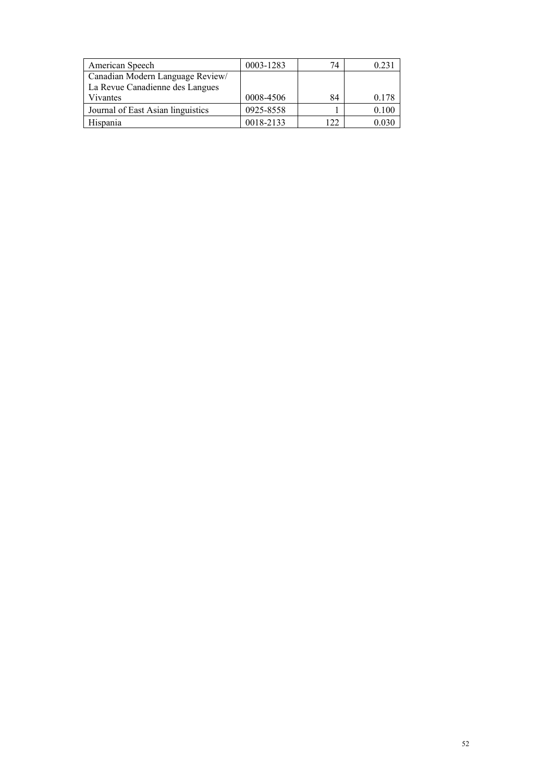| American Speech                   | 0003-1283 | 74    | 0.23  |
|-----------------------------------|-----------|-------|-------|
| Canadian Modern Language Review/  |           |       |       |
| La Revue Canadienne des Langues   |           |       |       |
| Vivantes                          | 0008-4506 | 84    | 0.178 |
| Journal of East Asian linguistics | 0925-8558 |       | 0.100 |
| Hispania                          | 0018-2133 | 1  າາ |       |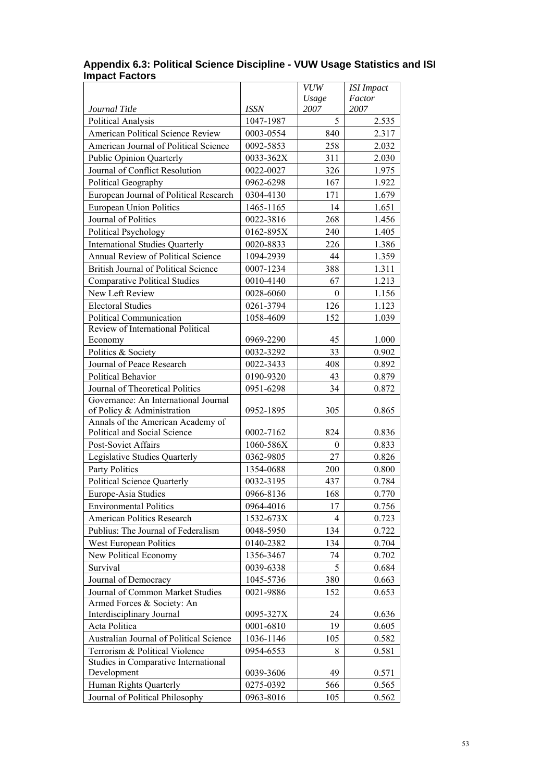|                                         |             | <b>VUW</b> | <b>ISI</b> Impact |
|-----------------------------------------|-------------|------------|-------------------|
|                                         |             | Usage      | Factor            |
| Journal Title                           | <b>ISSN</b> | 2007       | 2007              |
| Political Analysis                      | 1047-1987   | 5          | 2.535             |
| American Political Science Review       | 0003-0554   | 840        | 2.317             |
| American Journal of Political Science   | 0092-5853   | 258        | 2.032             |
| <b>Public Opinion Quarterly</b>         | 0033-362X   | 311        | 2.030             |
| Journal of Conflict Resolution          | 0022-0027   | 326        | 1.975             |
| Political Geography                     | 0962-6298   | 167        | 1.922             |
| European Journal of Political Research  | 0304-4130   | 171        | 1.679             |
| <b>European Union Politics</b>          | 1465-1165   | 14         | 1.651             |
| Journal of Politics                     | 0022-3816   | 268        | 1.456             |
| Political Psychology                    | 0162-895X   | 240        | 1.405             |
| <b>International Studies Quarterly</b>  | 0020-8833   | 226        | 1.386             |
| Annual Review of Political Science      | 1094-2939   | 44         | 1.359             |
| British Journal of Political Science    | 0007-1234   | 388        | 1.311             |
| <b>Comparative Political Studies</b>    | 0010-4140   | 67         | 1.213             |
| New Left Review                         | 0028-6060   | $\theta$   | 1.156             |
| <b>Electoral Studies</b>                | 0261-3794   | 126        | 1.123             |
| Political Communication                 | 1058-4609   | 152        | 1.039             |
| Review of International Political       |             |            |                   |
| Economy                                 | 0969-2290   | 45         | 1.000             |
| Politics & Society                      | 0032-3292   | 33         | 0.902             |
| Journal of Peace Research               | 0022-3433   | 408        | 0.892             |
| Political Behavior                      | 0190-9320   | 43         | 0.879             |
| Journal of Theoretical Politics         | 0951-6298   | 34         | 0.872             |
| Governance: An International Journal    |             |            |                   |
| of Policy & Administration              | 0952-1895   | 305        | 0.865             |
| Annals of the American Academy of       |             |            |                   |
| Political and Social Science            | 0002-7162   | 824        | 0.836             |
| Post-Soviet Affairs                     | 1060-586X   | $\theta$   | 0.833             |
| Legislative Studies Quarterly           | 0362-9805   | 27         | 0.826             |
| Party Politics                          | 1354-0688   | 200        | 0.800             |
| <b>Political Science Quarterly</b>      | 0032-3195   | 437        | 0.784             |
| Europe-Asia Studies                     | 0966-8136   | 168        | 0.770             |
| <b>Environmental Politics</b>           | 0964-4016   | 17         | 0.756             |
| <b>American Politics Research</b>       | 1532-673X   | 4          | 0.723             |
| Publius: The Journal of Federalism      | 0048-5950   | 134        | 0.722             |
| West European Politics                  | 0140-2382   | 134        | 0.704             |
| New Political Economy                   | 1356-3467   | 74         | 0.702             |
| Survival                                | 0039-6338   | 5          | 0.684             |
| Journal of Democracy                    | 1045-5736   | 380        | 0.663             |
| Journal of Common Market Studies        | 0021-9886   | 152        | 0.653             |
| Armed Forces & Society: An              |             |            |                   |
| Interdisciplinary Journal               | 0095-327X   | 24         | 0.636             |
| Acta Politica                           | 0001-6810   | 19         | 0.605             |
| Australian Journal of Political Science | 1036-1146   | 105        | 0.582             |
| Terrorism & Political Violence          | 0954-6553   | 8          | 0.581             |
| Studies in Comparative International    |             |            |                   |
| Development                             | 0039-3606   | 49         | 0.571             |
| Human Rights Quarterly                  | 0275-0392   | 566        | 0.565             |
| Journal of Political Philosophy         | 0963-8016   | 105        | 0.562             |

#### **Appendix 6.3: Political Science Discipline - VUW Usage Statistics and ISI Impact Factors**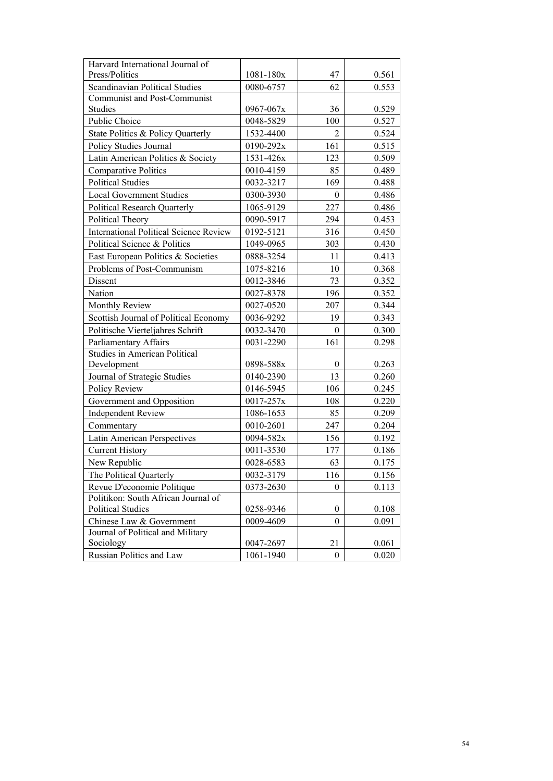| Harvard International Journal of<br>Press/Politics | 1081-180x | 47               | 0.561 |
|----------------------------------------------------|-----------|------------------|-------|
| <b>Scandinavian Political Studies</b>              | 0080-6757 | 62               | 0.553 |
| Communist and Post-Communist                       |           |                  |       |
| Studies                                            | 0967-067x | 36               | 0.529 |
| Public Choice                                      | 0048-5829 | 100              | 0.527 |
| State Politics & Policy Quarterly                  | 1532-4400 | $\overline{2}$   | 0.524 |
| Policy Studies Journal                             | 0190-292x | 161              | 0.515 |
| Latin American Politics & Society                  | 1531-426x | 123              | 0.509 |
| <b>Comparative Politics</b>                        | 0010-4159 | 85               | 0.489 |
| <b>Political Studies</b>                           | 0032-3217 | 169              | 0.488 |
| <b>Local Government Studies</b>                    | 0300-3930 | 0                | 0.486 |
| Political Research Quarterly                       | 1065-9129 | 227              | 0.486 |
| Political Theory                                   | 0090-5917 | 294              | 0.453 |
| <b>International Political Science Review</b>      | 0192-5121 | 316              | 0.450 |
| Political Science & Politics                       | 1049-0965 | 303              | 0.430 |
| East European Politics & Societies                 | 0888-3254 | 11               | 0.413 |
| Problems of Post-Communism                         | 1075-8216 | 10               | 0.368 |
| Dissent                                            | 0012-3846 | 73               | 0.352 |
| Nation                                             | 0027-8378 | 196              | 0.352 |
| Monthly Review                                     | 0027-0520 | 207              | 0.344 |
| Scottish Journal of Political Economy              | 0036-9292 | 19               | 0.343 |
| Politische Vierteljahres Schrift                   | 0032-3470 | $\boldsymbol{0}$ | 0.300 |
| Parliamentary Affairs                              | 0031-2290 | 161              | 0.298 |
| Studies in American Political                      |           |                  |       |
| Development                                        | 0898-588x | $\theta$         | 0.263 |
| Journal of Strategic Studies                       | 0140-2390 | 13               | 0.260 |
| Policy Review                                      | 0146-5945 | 106              | 0.245 |
| Government and Opposition                          | 0017-257x | 108              | 0.220 |
| <b>Independent Review</b>                          | 1086-1653 | 85               | 0.209 |
| Commentary                                         | 0010-2601 | 247              | 0.204 |
| Latin American Perspectives                        | 0094-582x | 156              | 0.192 |
| <b>Current History</b>                             | 0011-3530 | 177              | 0.186 |
| New Republic                                       | 0028-6583 | 63               | 0.175 |
| The Political Quarterly                            | 0032-3179 | 116              | 0.156 |
| Revue D'economie Politique                         | 0373-2630 | $\boldsymbol{0}$ | 0.113 |
| Politikon: South African Journal of                |           |                  |       |
| <b>Political Studies</b>                           | 0258-9346 | $\boldsymbol{0}$ | 0.108 |
| Chinese Law & Government                           | 0009-4609 | $\theta$         | 0.091 |
| Journal of Political and Military<br>Sociology     | 0047-2697 | 21               | 0.061 |
| Russian Politics and Law                           | 1061-1940 | $\boldsymbol{0}$ | 0.020 |
|                                                    |           |                  |       |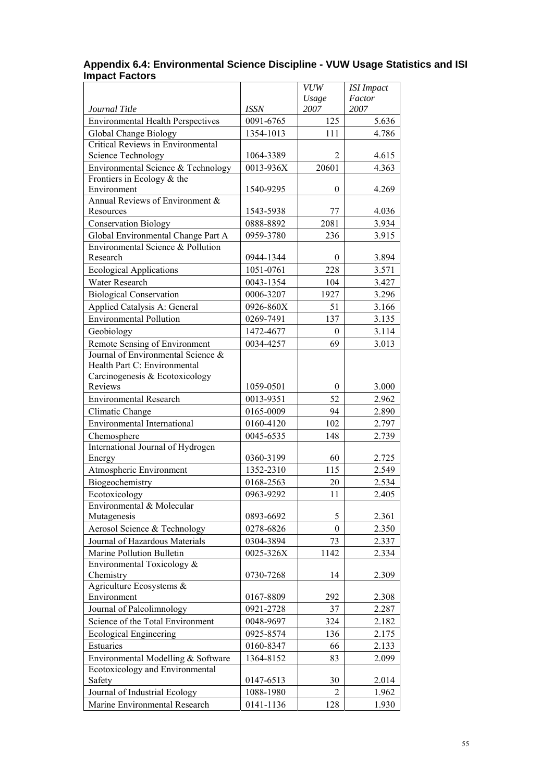|                                                                   |             | <b>VUW</b>       | <b>ISI</b> Impact |
|-------------------------------------------------------------------|-------------|------------------|-------------------|
| Journal Title                                                     | <b>ISSN</b> | Usage<br>2007    | Factor<br>2007    |
| <b>Environmental Health Perspectives</b>                          | 0091-6765   | 125              | 5.636             |
|                                                                   | 1354-1013   | 111              | 4.786             |
| Global Change Biology<br><b>Critical Reviews in Environmental</b> |             |                  |                   |
| <b>Science Technology</b>                                         | 1064-3389   | 2                | 4.615             |
| Environmental Science & Technology                                | 0013-936X   | 20601            | 4.363             |
| Frontiers in Ecology $&$ the                                      |             |                  |                   |
| Environment                                                       | 1540-9295   | $\theta$         | 4.269             |
| Annual Reviews of Environment &                                   |             |                  |                   |
| Resources                                                         | 1543-5938   | 77               | 4.036             |
| <b>Conservation Biology</b>                                       | 0888-8892   | 2081             | 3.934             |
| Global Environmental Change Part A                                | 0959-3780   | 236              | 3.915             |
| Environmental Science & Pollution                                 |             |                  |                   |
| Research                                                          | 0944-1344   | $\theta$         | 3.894             |
| <b>Ecological Applications</b>                                    | 1051-0761   | 228              | 3.571             |
| Water Research                                                    | 0043-1354   | 104              | 3.427             |
| <b>Biological Conservation</b>                                    | 0006-3207   | 1927             | 3.296             |
| Applied Catalysis A: General                                      | 0926-860X   | 51               | 3.166             |
| <b>Environmental Pollution</b>                                    | 0269-7491   | 137              | 3.135             |
| Geobiology                                                        | 1472-4677   | $\mathbf{0}$     | 3.114             |
| Remote Sensing of Environment                                     | 0034-4257   | 69               | 3.013             |
| Journal of Environmental Science &                                |             |                  |                   |
| Health Part C: Environmental                                      |             |                  |                   |
| Carcinogenesis & Ecotoxicology                                    |             |                  |                   |
| Reviews                                                           | 1059-0501   | $\boldsymbol{0}$ | 3.000             |
| <b>Environmental Research</b>                                     | 0013-9351   | 52               | 2.962             |
| Climatic Change                                                   | 0165-0009   | 94               | 2.890             |
| <b>Environmental International</b>                                | 0160-4120   | 102              | 2.797             |
| Chemosphere                                                       | 0045-6535   | 148              | 2.739             |
| International Journal of Hydrogen                                 |             |                  |                   |
| Energy                                                            | 0360-3199   | 60               | 2.725             |
| Atmospheric Environment                                           | 1352-2310   | 115              | 2.549             |
| Biogeochemistry                                                   | 0168-2563   | 20               | 2.534             |
| Ecotoxicology                                                     | 0963-9292   | 11               | 2.405             |
| Environmental & Molecular                                         |             |                  |                   |
| Mutagenesis                                                       | 0893-6692   | 5                | 2.361             |
| Aerosol Science & Technology                                      | 0278-6826   | $\theta$         | 2.350             |
| Journal of Hazardous Materials                                    | 0304-3894   | 73               | 2.337             |
| Marine Pollution Bulletin                                         | 0025-326X   | 1142             | 2.334             |
| Environmental Toxicology &                                        |             |                  |                   |
| Chemistry                                                         | 0730-7268   | 14               | 2.309             |
| Agriculture Ecosystems $&$                                        |             |                  |                   |
| Environment                                                       | 0167-8809   | 292              | 2.308             |
| Journal of Paleolimnology                                         | 0921-2728   | 37               | 2.287             |
| Science of the Total Environment                                  | 0048-9697   | 324              | 2.182             |
| <b>Ecological Engineering</b>                                     | 0925-8574   | 136              | 2.175             |
| Estuaries                                                         | 0160-8347   | 66               | 2.133             |
| Environmental Modelling & Software                                | 1364-8152   | 83               | 2.099             |
| Ecotoxicology and Environmental                                   |             |                  |                   |
| Safety                                                            | 0147-6513   | 30               | 2.014             |
| Journal of Industrial Ecology                                     | 1088-1980   | $\mathfrak{D}$   | 1.962             |
| Marine Environmental Research                                     | 0141-1136   | 128              | 1.930             |

#### **Appendix 6.4: Environmental Science Discipline - VUW Usage Statistics and ISI Impact Factors**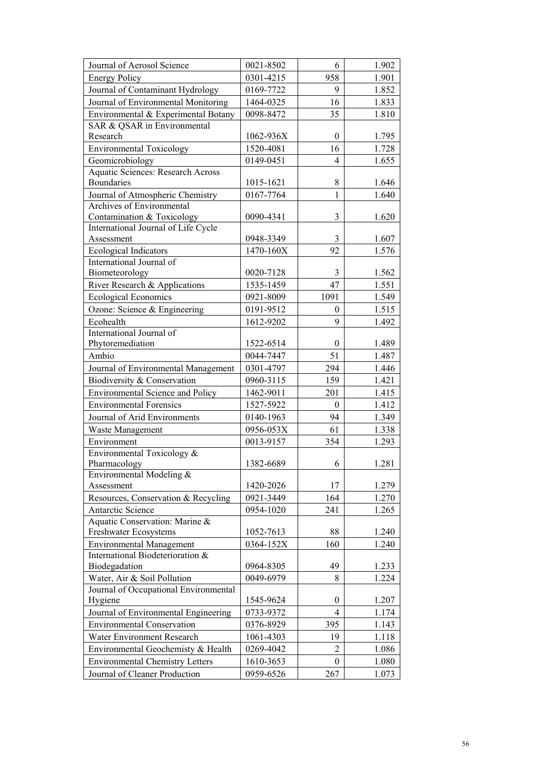| Journal of Aerosol Science                        | 0021-8502 | 6                | 1.902 |
|---------------------------------------------------|-----------|------------------|-------|
| <b>Energy Policy</b>                              | 0301-4215 | 958              | 1.901 |
| Journal of Contaminant Hydrology                  | 0169-7722 | 9                | 1.852 |
| Journal of Environmental Monitoring               | 1464-0325 | 16               | 1.833 |
| Environmental & Experimental Botany               | 0098-8472 | 35               | 1.810 |
| SAR & QSAR in Environmental                       |           |                  |       |
| Research                                          | 1062-936X | $\mathbf{0}$     | 1.795 |
| <b>Environmental Toxicology</b>                   | 1520-4081 | 16               | 1.728 |
| Geomicrobiology                                   | 0149-0451 | 4                | 1.655 |
| <b>Aquatic Sciences: Research Across</b>          |           |                  |       |
| Boundaries                                        | 1015-1621 | 8                | 1.646 |
| Journal of Atmospheric Chemistry                  | 0167-7764 | $\mathbf{1}$     | 1.640 |
| Archives of Environmental                         |           |                  |       |
| Contamination & Toxicology                        | 0090-4341 | 3                | 1.620 |
| International Journal of Life Cycle               |           |                  |       |
| Assessment                                        | 0948-3349 | 3                | 1.607 |
| <b>Ecological Indicators</b>                      | 1470-160X | 92               | 1.576 |
| International Journal of                          |           |                  |       |
| Biometeorology                                    | 0020-7128 | 3                | 1.562 |
| River Research & Applications                     | 1535-1459 | 47               | 1.551 |
| <b>Ecological Economics</b>                       | 0921-8009 | 1091             | 1.549 |
| Ozone: Science & Engineering                      | 0191-9512 | $\theta$         | 1.515 |
| Ecohealth                                         | 1612-9202 | 9                | 1.492 |
| International Journal of                          |           |                  |       |
| Phytoremediation                                  | 1522-6514 | $\theta$         | 1.489 |
| Ambio                                             | 0044-7447 | 51               | 1.487 |
| Journal of Environmental Management               | 0301-4797 | 294              | 1.446 |
| Biodiversity & Conservation                       | 0960-3115 | 159              | 1.421 |
| <b>Environmental Science and Policy</b>           | 1462-9011 | 201              | 1.415 |
| <b>Environmental Forensics</b>                    | 1527-5922 | $\mathbf{0}$     | 1.412 |
| Journal of Arid Environments                      | 0140-1963 | 94               | 1.349 |
| Waste Management                                  | 0956-053X | 61               | 1.338 |
| Environment                                       | 0013-9157 | 354              | 1.293 |
| Environmental Toxicology &                        |           |                  |       |
| Pharmacology                                      | 1382-6689 | 6                | 1.281 |
| Environmental Modeling &                          |           |                  |       |
| Assessment                                        | 1420-2026 | 17               | 1.279 |
| Resources, Conservation & Recycling               | 0921-3449 | 164              | 1.270 |
| Antarctic Science                                 | 0954-1020 | 241              | 1.265 |
| Aquatic Conservation: Marine &                    |           |                  |       |
| Freshwater Ecosystems                             | 1052-7613 | 88               | 1.240 |
| <b>Environmental Management</b>                   | 0364-152X | 160              | 1.240 |
| International Biodeterioration &<br>Biodegadation | 0964-8305 | 49               |       |
|                                                   | 0049-6979 |                  | 1.233 |
| Water, Air & Soil Pollution                       |           | 8                | 1.224 |
| Journal of Occupational Environmental<br>Hygiene  | 1545-9624 | $\boldsymbol{0}$ | 1.207 |
| Journal of Environmental Engineering              | 0733-9372 | $\overline{4}$   | 1.174 |
| <b>Environmental Conservation</b>                 | 0376-8929 | 395              | 1.143 |
|                                                   |           |                  |       |
| Water Environment Research                        | 1061-4303 | 19               | 1.118 |
| Environmental Geochemisty & Health                | 0269-4042 | $\overline{2}$   | 1.086 |
| <b>Environmental Chemistry Letters</b>            | 1610-3653 | $\boldsymbol{0}$ | 1.080 |
| Journal of Cleaner Production                     | 0959-6526 | 267              | 1.073 |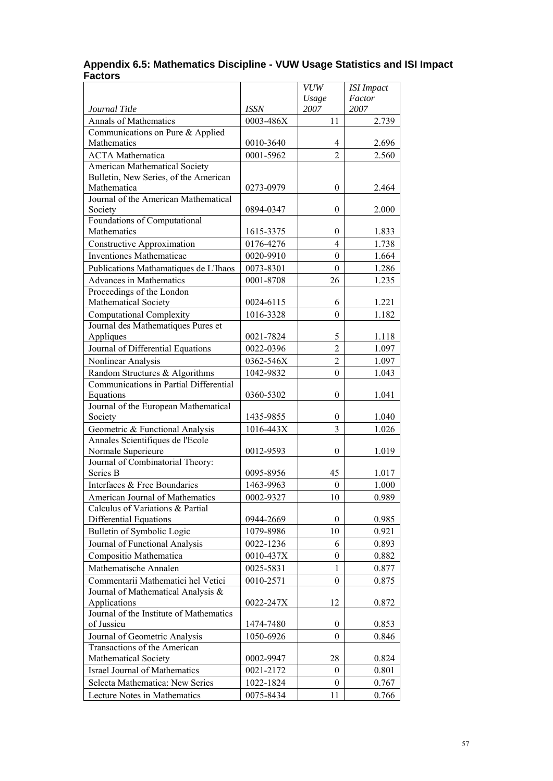| Appendix 6.5: Mathematics Discipline - VUW Usage Statistics and ISI Impact |  |
|----------------------------------------------------------------------------|--|
| <b>Factors</b>                                                             |  |

|                                                                               |             | <b>VUW</b>       | <b>ISI</b> Impact |
|-------------------------------------------------------------------------------|-------------|------------------|-------------------|
|                                                                               |             | Usage            | Factor            |
| Journal Title                                                                 | <b>ISSN</b> | 2007             | 2007              |
| Annals of Mathematics                                                         | 0003-486X   | 11               | 2.739             |
| Communications on Pure & Applied                                              |             |                  |                   |
| Mathematics                                                                   | 0010-3640   | $\overline{4}$   | 2.696             |
| <b>ACTA</b> Mathematica                                                       | 0001-5962   | $\overline{2}$   | 2.560             |
| <b>American Mathematical Society</b><br>Bulletin, New Series, of the American |             |                  |                   |
| Mathematica                                                                   | 0273-0979   | $\mathbf{0}$     | 2.464             |
| Journal of the American Mathematical                                          |             |                  |                   |
| Society                                                                       | 0894-0347   | $\boldsymbol{0}$ | 2.000             |
| Foundations of Computational                                                  |             |                  |                   |
| Mathematics                                                                   | 1615-3375   | $\theta$         | 1.833             |
| <b>Constructive Approximation</b>                                             | 0176-4276   | $\overline{4}$   | 1.738             |
| Inventiones Mathematicae                                                      | 0020-9910   | $\theta$         | 1.664             |
| Publications Mathamatiques de L'Ihaos                                         | 0073-8301   | $\mathbf{0}$     | 1.286             |
| <b>Advances in Mathematics</b>                                                | 0001-8708   | 26               | 1.235             |
| Proceedings of the London                                                     |             |                  |                   |
| Mathematical Society                                                          | 0024-6115   | 6                | 1.221             |
| <b>Computational Complexity</b>                                               | 1016-3328   | $\boldsymbol{0}$ | 1.182             |
| Journal des Mathematiques Pures et                                            |             |                  |                   |
| Appliques                                                                     | 0021-7824   | 5                | 1.118             |
| Journal of Differential Equations                                             | 0022-0396   | $\overline{2}$   | 1.097             |
| Nonlinear Analysis                                                            | 0362-546X   | $\overline{2}$   | 1.097             |
| Random Structures & Algorithms                                                | 1042-9832   | $\boldsymbol{0}$ | 1.043             |
| Communications in Partial Differential                                        |             |                  |                   |
| Equations                                                                     | 0360-5302   | $\boldsymbol{0}$ | 1.041             |
| Journal of the European Mathematical                                          |             |                  |                   |
| Society                                                                       | 1435-9855   | $\mathbf{0}$     | 1.040             |
| Geometric & Functional Analysis                                               | 1016-443X   | 3                | 1.026             |
| Annales Scientifiques de l'Ecole                                              |             |                  |                   |
| Normale Superieure                                                            | 0012-9593   | $\boldsymbol{0}$ | 1.019             |
| Journal of Combinatorial Theory:                                              |             |                  |                   |
| Series B                                                                      | 0095-8956   | 45               | 1.017             |
| Interfaces & Free Boundaries                                                  | 1463-9963   | $\boldsymbol{0}$ | 1.000             |
| American Journal of Mathematics                                               | 0002-9327   | 10               | 0.989             |
| Calculus of Variations & Partial                                              |             |                  |                   |
| Differential Equations                                                        | 0944-2669   | $\mathbf{0}$     | 0.985             |
| Bulletin of Symbolic Logic                                                    | 1079-8986   | 10               | 0.921             |
| Journal of Functional Analysis                                                | 0022-1236   | 6                | 0.893             |
| Compositio Mathematica                                                        | 0010-437X   | $\boldsymbol{0}$ | 0.882             |
| Mathematische Annalen                                                         | 0025-5831   | $\mathbf{1}$     | 0.877             |
| Commentarii Mathematici hel Vetici                                            | 0010-2571   | $\boldsymbol{0}$ | 0.875             |
| Journal of Mathematical Analysis &                                            |             |                  |                   |
| Applications<br>Journal of the Institute of Mathematics                       | 0022-247X   | 12               | 0.872             |
| of Jussieu                                                                    | 1474-7480   | $\boldsymbol{0}$ | 0.853             |
| Journal of Geometric Analysis                                                 | 1050-6926   | $\theta$         |                   |
| Transactions of the American                                                  |             |                  | 0.846             |
| Mathematical Society                                                          | 0002-9947   | 28               | 0.824             |
| Israel Journal of Mathematics                                                 | 0021-2172   | 0                | 0.801             |
| Selecta Mathematica: New Series                                               | 1022-1824   | $\boldsymbol{0}$ | 0.767             |
| Lecture Notes in Mathematics                                                  | 0075-8434   | 11               | 0.766             |
|                                                                               |             |                  |                   |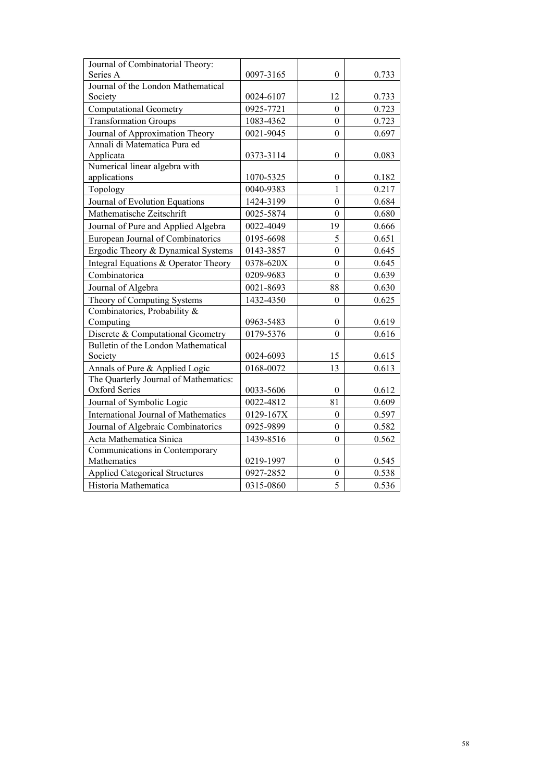| Journal of Combinatorial Theory:            |           |                  |       |
|---------------------------------------------|-----------|------------------|-------|
| Series A                                    | 0097-3165 | $\boldsymbol{0}$ | 0.733 |
| Journal of the London Mathematical          |           |                  |       |
| Society                                     | 0024-6107 | 12               | 0.733 |
| <b>Computational Geometry</b>               | 0925-7721 | $\mathbf{0}$     | 0.723 |
| <b>Transformation Groups</b>                | 1083-4362 | $\boldsymbol{0}$ | 0.723 |
| Journal of Approximation Theory             | 0021-9045 | $\boldsymbol{0}$ | 0.697 |
| Annali di Matematica Pura ed                |           |                  |       |
| Applicata                                   | 0373-3114 | $\boldsymbol{0}$ | 0.083 |
| Numerical linear algebra with               |           |                  |       |
| applications                                | 1070-5325 | $\boldsymbol{0}$ | 0.182 |
| Topology                                    | 0040-9383 | $\mathbf{1}$     | 0.217 |
| Journal of Evolution Equations              | 1424-3199 | $\overline{0}$   | 0.684 |
| Mathematische Zeitschrift                   | 0025-5874 | $\mathbf{0}$     | 0.680 |
| Journal of Pure and Applied Algebra         | 0022-4049 | 19               | 0.666 |
| European Journal of Combinatorics           | 0195-6698 | 5                | 0.651 |
| Ergodic Theory & Dynamical Systems          | 0143-3857 | $\overline{0}$   | 0.645 |
| Integral Equations & Operator Theory        | 0378-620X | $\theta$         | 0.645 |
| Combinatorica                               | 0209-9683 | $\boldsymbol{0}$ | 0.639 |
| Journal of Algebra                          | 0021-8693 | 88               | 0.630 |
| Theory of Computing Systems                 | 1432-4350 | $\overline{0}$   | 0.625 |
| Combinatorics, Probability &                |           |                  |       |
| Computing                                   | 0963-5483 | $\boldsymbol{0}$ | 0.619 |
| Discrete & Computational Geometry           | 0179-5376 | $\overline{0}$   | 0.616 |
| Bulletin of the London Mathematical         |           |                  |       |
| Society                                     | 0024-6093 | 15               | 0.615 |
| Annals of Pure & Applied Logic              | 0168-0072 | 13               | 0.613 |
| The Quarterly Journal of Mathematics:       |           |                  |       |
| <b>Oxford Series</b>                        | 0033-5606 | 0                | 0.612 |
| Journal of Symbolic Logic                   | 0022-4812 | 81               | 0.609 |
| <b>International Journal of Mathematics</b> | 0129-167X | $\boldsymbol{0}$ | 0.597 |
| Journal of Algebraic Combinatorics          | 0925-9899 | 0                | 0.582 |
| Acta Mathematica Sinica                     | 1439-8516 | $\overline{0}$   | 0.562 |
| Communications in Contemporary              |           |                  |       |
| Mathematics                                 | 0219-1997 | $\boldsymbol{0}$ | 0.545 |
| <b>Applied Categorical Structures</b>       | 0927-2852 | $\boldsymbol{0}$ | 0.538 |
| Historia Mathematica                        | 0315-0860 | 5                | 0.536 |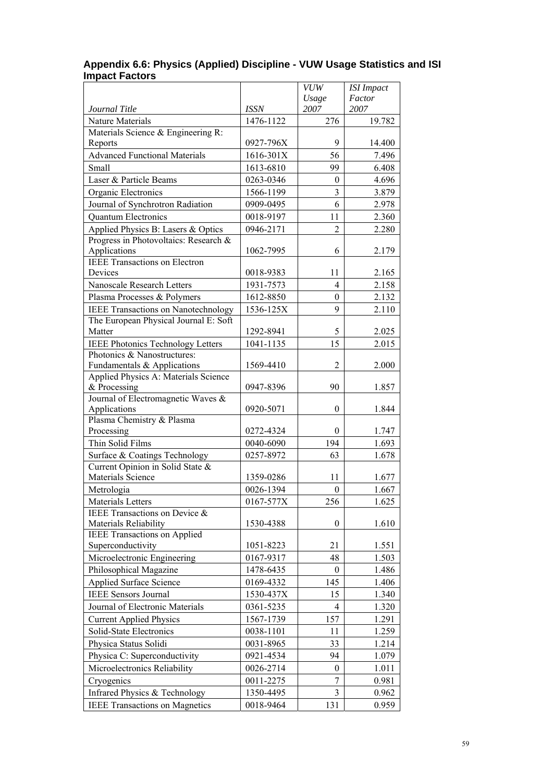|                                                      |             | <b>VUW</b>       | <b>ISI</b> Impact |
|------------------------------------------------------|-------------|------------------|-------------------|
| Journal Title                                        | <b>ISSN</b> | Usage<br>2007    | Factor<br>2007    |
| Nature Materials                                     | 1476-1122   | 276              | 19.782            |
| Materials Science & Engineering R:                   |             |                  |                   |
| Reports                                              | 0927-796X   | 9                | 14.400            |
| <b>Advanced Functional Materials</b>                 | 1616-301X   | 56               | 7.496             |
| Small                                                | 1613-6810   | 99               | 6.408             |
| Laser & Particle Beams                               | 0263-0346   | $\theta$         | 4.696             |
| Organic Electronics                                  | 1566-1199   | 3                | 3.879             |
| Journal of Synchrotron Radiation                     | 0909-0495   | 6                | 2.978             |
| <b>Ouantum Electronics</b>                           | 0018-9197   | 11               | 2.360             |
| Applied Physics B: Lasers & Optics                   | 0946-2171   | $\overline{2}$   | 2.280             |
| Progress in Photovoltaics: Research &                |             |                  |                   |
| Applications                                         | 1062-7995   | 6                | 2.179             |
| <b>IEEE Transactions on Electron</b>                 |             |                  |                   |
| Devices                                              | 0018-9383   | 11               | 2.165             |
| Nanoscale Research Letters                           | 1931-7573   | $\overline{4}$   | 2.158             |
| Plasma Processes & Polymers                          | 1612-8850   | $\boldsymbol{0}$ | 2.132             |
| <b>IEEE Transactions on Nanotechnology</b>           | 1536-125X   | 9                | 2.110             |
| The European Physical Journal E: Soft                |             |                  |                   |
| Matter                                               | 1292-8941   | 5                | 2.025             |
| <b>IEEE Photonics Technology Letters</b>             | 1041-1135   | 15               | 2.015             |
| Photonics & Nanostructures:                          |             |                  |                   |
| Fundamentals & Applications                          | 1569-4410   | $\overline{2}$   | 2.000             |
| Applied Physics A: Materials Science<br>& Processing |             | 90               |                   |
| Journal of Electromagnetic Waves &                   | 0947-8396   |                  | 1.857             |
| Applications                                         | 0920-5071   | $\boldsymbol{0}$ | 1.844             |
| Plasma Chemistry & Plasma                            |             |                  |                   |
| Processing                                           | 0272-4324   | $\mathbf{0}$     | 1.747             |
| Thin Solid Films                                     | 0040-6090   | 194              | 1.693             |
| Surface & Coatings Technology                        | 0257-8972   | 63               | 1.678             |
| Current Opinion in Solid State &                     |             |                  |                   |
| Materials Science                                    | 1359-0286   | 11               | 1.677             |
| Metrologia                                           | 0026-1394   | $\boldsymbol{0}$ | 1.667             |
| Materials Letters                                    | 0167-577X   | 256              | 1.625             |
| IEEE Transactions on Device &                        |             |                  |                   |
| <b>Materials Reliability</b>                         | 1530-4388   | $\boldsymbol{0}$ | 1.610             |
| <b>IEEE Transactions on Applied</b>                  |             |                  |                   |
| Superconductivity                                    | 1051-8223   | 21               | 1.551             |
| Microelectronic Engineering                          | 0167-9317   | 48               | 1.503             |
| Philosophical Magazine                               | 1478-6435   | $\overline{0}$   | 1.486             |
| Applied Surface Science                              | 0169-4332   | 145              | 1.406             |
| <b>IEEE</b> Sensors Journal                          | 1530-437X   | 15               | 1.340             |
| Journal of Electronic Materials                      | 0361-5235   | 4                | 1.320             |
| <b>Current Applied Physics</b>                       | 1567-1739   | 157              | 1.291             |
| Solid-State Electronics                              | 0038-1101   | 11               | 1.259             |
| Physica Status Solidi                                | 0031-8965   | 33               | 1.214             |
| Physica C: Superconductivity                         | 0921-4534   | 94               | 1.079             |
| Microelectronics Reliability                         | 0026-2714   | $\theta$         | 1.011             |
| Cryogenics                                           | 0011-2275   | 7                | 0.981             |
| Infrared Physics & Technology                        | 1350-4495   | $\overline{3}$   | 0.962             |
| <b>IEEE Transactions on Magnetics</b>                | 0018-9464   | 131              | 0.959             |

#### **Appendix 6.6: Physics (Applied) Discipline - VUW Usage Statistics and ISI Impact Factors**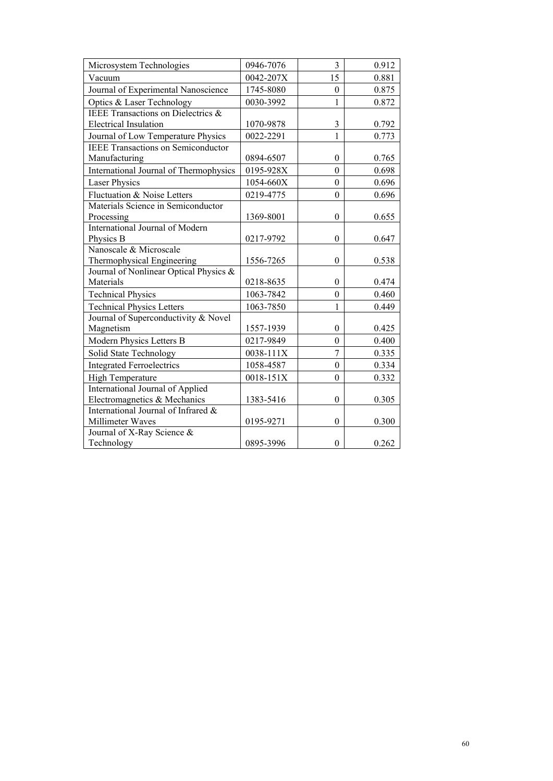| Microsystem Technologies                  | 0946-7076 | 3                | 0.912 |
|-------------------------------------------|-----------|------------------|-------|
| Vacuum                                    | 0042-207X | 15               | 0.881 |
| Journal of Experimental Nanoscience       | 1745-8080 | $\boldsymbol{0}$ | 0.875 |
| Optics & Laser Technology                 | 0030-3992 | $\mathbf{1}$     | 0.872 |
| IEEE Transactions on Dielectrics &        |           |                  |       |
| <b>Electrical Insulation</b>              | 1070-9878 | 3                | 0.792 |
| Journal of Low Temperature Physics        | 0022-2291 | $\mathbf{1}$     | 0.773 |
| <b>IEEE Transactions on Semiconductor</b> |           |                  |       |
| Manufacturing                             | 0894-6507 | $\theta$         | 0.765 |
| International Journal of Thermophysics    | 0195-928X | $\boldsymbol{0}$ | 0.698 |
| <b>Laser Physics</b>                      | 1054-660X | $\mathbf{0}$     | 0.696 |
| Fluctuation & Noise Letters               | 0219-4775 | $\boldsymbol{0}$ | 0.696 |
| Materials Science in Semiconductor        |           |                  |       |
| Processing                                | 1369-8001 | $\theta$         | 0.655 |
| International Journal of Modern           |           |                  |       |
| Physics B                                 | 0217-9792 | $\theta$         | 0.647 |
| Nanoscale & Microscale                    |           |                  |       |
| Thermophysical Engineering                | 1556-7265 | $\boldsymbol{0}$ | 0.538 |
| Journal of Nonlinear Optical Physics &    |           |                  |       |
| Materials                                 | 0218-8635 | $\boldsymbol{0}$ | 0.474 |
| <b>Technical Physics</b>                  | 1063-7842 | $\boldsymbol{0}$ | 0.460 |
| <b>Technical Physics Letters</b>          | 1063-7850 | $\mathbf{1}$     | 0.449 |
| Journal of Superconductivity & Novel      |           |                  |       |
| Magnetism                                 | 1557-1939 | $\boldsymbol{0}$ | 0.425 |
| Modern Physics Letters B                  | 0217-9849 | $\boldsymbol{0}$ | 0.400 |
| Solid State Technology                    | 0038-111X | $\overline{7}$   | 0.335 |
| <b>Integrated Ferroelectrics</b>          | 1058-4587 | $\boldsymbol{0}$ | 0.334 |
| High Temperature                          | 0018-151X | $\boldsymbol{0}$ | 0.332 |
| International Journal of Applied          |           |                  |       |
| Electromagnetics & Mechanics              | 1383-5416 | $\boldsymbol{0}$ | 0.305 |
| International Journal of Infrared &       |           |                  |       |
| Millimeter Waves                          | 0195-9271 | $\boldsymbol{0}$ | 0.300 |
| Journal of X-Ray Science &                |           |                  |       |
| Technology                                | 0895-3996 | $\boldsymbol{0}$ | 0.262 |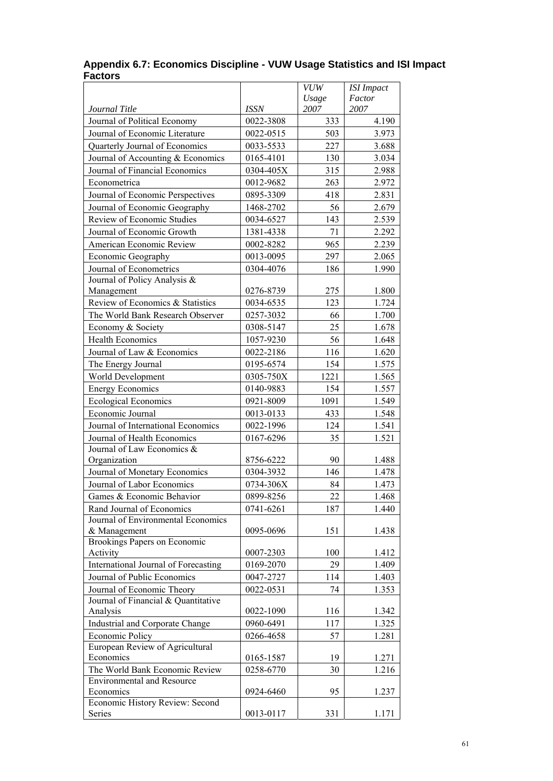|                                                                     |             | <b>VUW</b>    | <b>ISI</b> Impact |
|---------------------------------------------------------------------|-------------|---------------|-------------------|
| Journal Title                                                       | <b>ISSN</b> | Usage<br>2007 | Factor<br>2007    |
| Journal of Political Economy                                        | 0022-3808   | 333           | 4.190             |
| Journal of Economic Literature                                      | 0022-0515   | 503           | 3.973             |
| Quarterly Journal of Economics                                      | 0033-5533   | 227           | 3.688             |
| Journal of Accounting & Economics                                   | 0165-4101   | 130           | 3.034             |
| Journal of Financial Economics                                      | 0304-405X   | 315           | 2.988             |
| Econometrica                                                        | 0012-9682   | 263           | 2.972             |
| Journal of Economic Perspectives                                    | 0895-3309   | 418           | 2.831             |
| Journal of Economic Geography                                       | 1468-2702   | 56            | 2.679             |
| Review of Economic Studies                                          | 0034-6527   | 143           | 2.539             |
| Journal of Economic Growth                                          | 1381-4338   | 71            | 2.292             |
| American Economic Review                                            | 0002-8282   | 965           | 2.239             |
| Economic Geography                                                  | 0013-0095   | 297           | 2.065             |
| Journal of Econometrics                                             | 0304-4076   | 186           | 1.990             |
| Journal of Policy Analysis &                                        |             |               |                   |
| Management                                                          | 0276-8739   | 275           | 1.800             |
| Review of Economics & Statistics                                    | 0034-6535   | 123           | 1.724             |
| The World Bank Research Observer                                    | 0257-3032   | 66            | 1.700             |
| Economy & Society                                                   | 0308-5147   | 25            | 1.678             |
| <b>Health Economics</b>                                             | 1057-9230   | 56            | 1.648             |
| Journal of Law & Economics                                          | 0022-2186   | 116           | 1.620             |
| The Energy Journal                                                  | 0195-6574   | 154           | 1.575             |
| World Development                                                   | 0305-750X   | 1221          | 1.565             |
| <b>Energy Economics</b>                                             | 0140-9883   | 154           | 1.557             |
| <b>Ecological Economics</b>                                         | 0921-8009   | 1091          | 1.549             |
| Economic Journal                                                    | 0013-0133   | 433           | 1.548             |
| Journal of International Economics                                  | 0022-1996   | 124           | 1.541             |
| Journal of Health Economics                                         | 0167-6296   | 35            | 1.521             |
| Journal of Law Economics &                                          |             |               |                   |
| Organization                                                        | 8756-6222   | 90            | 1.488             |
| Journal of Monetary Economics                                       | 0304-3932   | 146           | 1.478             |
| Journal of Labor Economics                                          | 0734-306X   | 84            | 1.473             |
| Games & Economic Behavior                                           | 0899-8256   | 22            | 1.468             |
| Rand Journal of Economics                                           | 0741-6261   | 187           | 1.440             |
| Journal of Environmental Economics                                  |             |               |                   |
| & Management                                                        | 0095-0696   | 151           | 1.438             |
| Brookings Papers on Economic                                        |             |               |                   |
| Activity                                                            | 0007-2303   | 100           | 1.412             |
| International Journal of Forecasting                                | 0169-2070   | 29            | 1.409             |
| Journal of Public Economics                                         | 0047-2727   | 114           | 1.403             |
| Journal of Economic Theory                                          | 0022-0531   | 74            | 1.353             |
| Journal of Financial & Quantitative                                 |             |               |                   |
| Analysis                                                            | 0022-1090   | 116           | 1.342             |
| Industrial and Corporate Change                                     | 0960-6491   | 117           | 1.325             |
| <b>Economic Policy</b>                                              | 0266-4658   | 57            | 1.281             |
| European Review of Agricultural                                     |             |               |                   |
| Economics                                                           | 0165-1587   | 19            | 1.271             |
| The World Bank Economic Review<br><b>Environmental and Resource</b> | 0258-6770   | 30            | 1.216             |
| Economics                                                           | 0924-6460   | 95            | 1.237             |
| Economic History Review: Second                                     |             |               |                   |
| Series                                                              | 0013-0117   | 331           | 1.171             |

#### **Appendix 6.7: Economics Discipline - VUW Usage Statistics and ISI Impact Factors**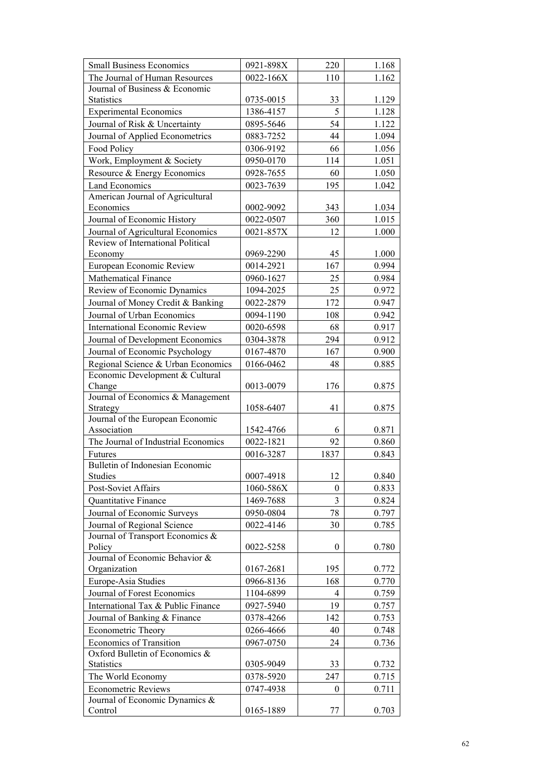| <b>Small Business Economics</b>            | 0921-898X | 220      | 1.168 |
|--------------------------------------------|-----------|----------|-------|
| The Journal of Human Resources             | 0022-166X | 110      | 1.162 |
| Journal of Business & Economic             |           |          |       |
| Statistics                                 | 0735-0015 | 33       | 1.129 |
| <b>Experimental Economics</b>              | 1386-4157 | 5        | 1.128 |
| Journal of Risk & Uncertainty              | 0895-5646 | 54       | 1.122 |
| Journal of Applied Econometrics            | 0883-7252 | 44       | 1.094 |
| Food Policy                                | 0306-9192 | 66       | 1.056 |
| Work, Employment & Society                 | 0950-0170 | 114      | 1.051 |
| Resource & Energy Economics                | 0928-7655 | 60       | 1.050 |
| <b>Land Economics</b>                      | 0023-7639 | 195      | 1.042 |
| American Journal of Agricultural           |           |          |       |
| Economics                                  | 0002-9092 | 343      | 1.034 |
| Journal of Economic History                | 0022-0507 | 360      | 1.015 |
| Journal of Agricultural Economics          | 0021-857X | 12       | 1.000 |
| Review of International Political          |           |          |       |
| Economy                                    | 0969-2290 | 45       | 1.000 |
| European Economic Review                   | 0014-2921 | 167      | 0.994 |
| <b>Mathematical Finance</b>                | 0960-1627 | 25       | 0.984 |
| Review of Economic Dynamics                | 1094-2025 | 25       | 0.972 |
| Journal of Money Credit & Banking          | 0022-2879 | 172      | 0.947 |
| Journal of Urban Economics                 | 0094-1190 | 108      | 0.942 |
| <b>International Economic Review</b>       | 0020-6598 | 68       | 0.917 |
| Journal of Development Economics           | 0304-3878 | 294      | 0.912 |
| Journal of Economic Psychology             | 0167-4870 | 167      | 0.900 |
| Regional Science & Urban Economics         | 0166-0462 | 48       | 0.885 |
| Economic Development & Cultural            |           |          |       |
| Change                                     | 0013-0079 | 176      | 0.875 |
| Journal of Economics & Management          |           |          |       |
| Strategy                                   | 1058-6407 | 41       | 0.875 |
| Journal of the European Economic           |           |          |       |
| Association                                | 1542-4766 | 6        | 0.871 |
| The Journal of Industrial Economics        | 0022-1821 | 92       | 0.860 |
| Futures<br>Bulletin of Indonesian Economic | 0016-3287 | 1837     | 0.843 |
| Studies                                    | 0007-4918 | 12       | 0.840 |
| Post-Soviet Affairs                        | 1060-586X | $\theta$ | 0.833 |
| Quantitative Finance                       | 1469-7688 | 3        | 0.824 |
| Journal of Economic Surveys                | 0950-0804 | 78       | 0.797 |
| Journal of Regional Science                | 0022-4146 | 30       | 0.785 |
| Journal of Transport Economics &           |           |          |       |
| Policy                                     | 0022-5258 | $\theta$ | 0.780 |
| Journal of Economic Behavior &             |           |          |       |
| Organization                               | 0167-2681 | 195      | 0.772 |
| Europe-Asia Studies                        | 0966-8136 | 168      | 0.770 |
| Journal of Forest Economics                | 1104-6899 | 4        | 0.759 |
| International Tax & Public Finance         | 0927-5940 | 19       | 0.757 |
| Journal of Banking & Finance               | 0378-4266 | 142      | 0.753 |
| Econometric Theory                         | 0266-4666 | 40       | 0.748 |
| Economics of Transition                    | 0967-0750 | 24       | 0.736 |
| Oxford Bulletin of Economics &             |           |          |       |
| <b>Statistics</b>                          | 0305-9049 | 33       | 0.732 |
| The World Economy                          | 0378-5920 | 247      | 0.715 |
| <b>Econometric Reviews</b>                 | 0747-4938 | 0        | 0.711 |
| Journal of Economic Dynamics &             |           |          |       |
| Control                                    | 0165-1889 | 77       | 0.703 |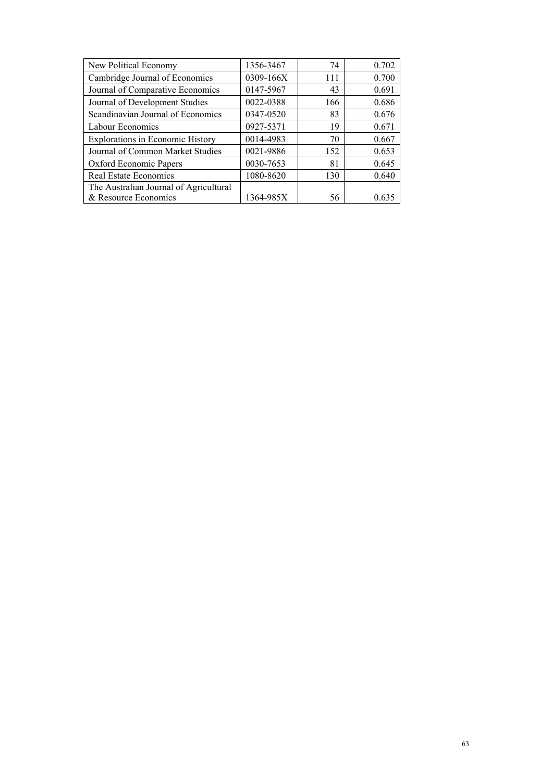| New Political Economy                   | 1356-3467 | 74  | 0.702 |
|-----------------------------------------|-----------|-----|-------|
| Cambridge Journal of Economics          | 0309-166X | 111 | 0.700 |
| Journal of Comparative Economics        | 0147-5967 | 43  | 0.691 |
| Journal of Development Studies          | 0022-0388 | 166 | 0.686 |
| Scandinavian Journal of Economics       | 0347-0520 | 83  | 0.676 |
| Labour Economics                        | 0927-5371 | 19  | 0.671 |
| <b>Explorations in Economic History</b> | 0014-4983 | 70  | 0.667 |
| Journal of Common Market Studies        | 0021-9886 | 152 | 0.653 |
| Oxford Economic Papers                  | 0030-7653 | 81  | 0.645 |
| <b>Real Estate Economics</b>            | 1080-8620 | 130 | 0.640 |
| The Australian Journal of Agricultural  |           |     |       |
| & Resource Economics                    | 1364-985X | 56  | 0.635 |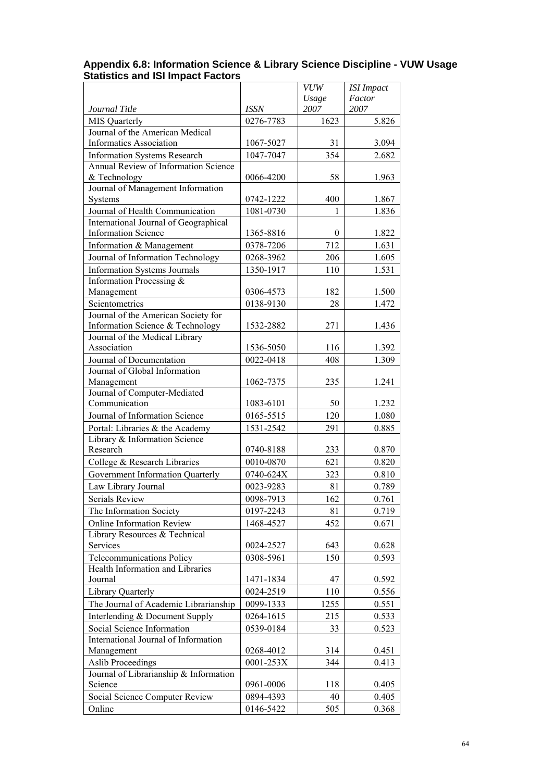|                                                   |             | <b>VUW</b> | <b>ISI</b> Impact |
|---------------------------------------------------|-------------|------------|-------------------|
|                                                   |             | Usage      | Factor            |
| Journal Title                                     | <b>ISSN</b> | 2007       | 2007              |
| <b>MIS Quarterly</b>                              | 0276-7783   | 1623       | 5.826             |
| Journal of the American Medical                   |             |            |                   |
| <b>Informatics Association</b>                    | 1067-5027   | 31         | 3.094             |
| <b>Information Systems Research</b>               | 1047-7047   | 354        | 2.682             |
| <b>Annual Review of Information Science</b>       |             |            |                   |
| & Technology<br>Journal of Management Information | 0066-4200   | 58         | 1.963             |
| Systems                                           | 0742-1222   | 400        | 1.867             |
| Journal of Health Communication                   | 1081-0730   | 1          |                   |
| International Journal of Geographical             |             |            | 1.836             |
| <b>Information Science</b>                        | 1365-8816   | 0          | 1.822             |
| Information & Management                          | 0378-7206   | 712        | 1.631             |
| Journal of Information Technology                 | 0268-3962   | 206        | 1.605             |
| <b>Information Systems Journals</b>               | 1350-1917   | 110        | 1.531             |
| Information Processing &                          |             |            |                   |
| Management                                        | 0306-4573   | 182        | 1.500             |
| Scientometrics                                    | 0138-9130   | 28         | 1.472             |
| Journal of the American Society for               |             |            |                   |
| Information Science & Technology                  | 1532-2882   | 271        | 1.436             |
| Journal of the Medical Library                    |             |            |                   |
| Association                                       | 1536-5050   | 116        | 1.392             |
| Journal of Documentation                          | 0022-0418   | 408        | 1.309             |
| Journal of Global Information                     |             |            |                   |
| Management                                        | 1062-7375   | 235        | 1.241             |
| Journal of Computer-Mediated                      |             |            |                   |
| Communication                                     | 1083-6101   | 50         | 1.232             |
| Journal of Information Science                    | 0165-5515   | 120        | 1.080             |
| Portal: Libraries & the Academy                   | 1531-2542   | 291        | 0.885             |
| Library & Information Science                     |             |            |                   |
| Research                                          | 0740-8188   | 233        | 0.870             |
| College & Research Libraries                      | 0010-0870   | 621        | 0.820             |
| Government Information Quarterly                  | 0740-624X   | 323        | 0.810             |
| Law Library Journal                               | 0023-9283   | 81         | 0.789             |
| Serials Review                                    | 0098-7913   | 162        | 0.761             |
| The Information Society                           | 0197-2243   | 81         | 0.719             |
| <b>Online Information Review</b>                  | 1468-4527   | 452        | 0.671             |
| Library Resources & Technical                     |             |            |                   |
| Services                                          | 0024-2527   | 643        | 0.628             |
| Telecommunications Policy                         | 0308-5961   | 150        | 0.593             |
| Health Information and Libraries                  |             |            |                   |
| Journal                                           | 1471-1834   | 47         | 0.592             |
| <b>Library Quarterly</b>                          | 0024-2519   | 110        | 0.556             |
| The Journal of Academic Librarianship             | 0099-1333   | 1255       | 0.551             |
| Interlending & Document Supply                    | 0264-1615   | 215        | 0.533             |
| Social Science Information                        | 0539-0184   | 33         | 0.523             |
| International Journal of Information              |             |            |                   |
| Management                                        | 0268-4012   | 314        | 0.451             |
| <b>Aslib Proceedings</b>                          | 0001-253X   | 344        | 0.413             |
| Journal of Librarianship & Information            |             |            |                   |
| Science                                           | 0961-0006   | 118        | 0.405             |
| Social Science Computer Review                    | 0894-4393   | 40         | 0.405             |
| Online                                            | 0146-5422   | 505        | 0.368             |

#### **Appendix 6.8: Information Science & Library Science Discipline - VUW Usage Statistics and ISI Impact Factors**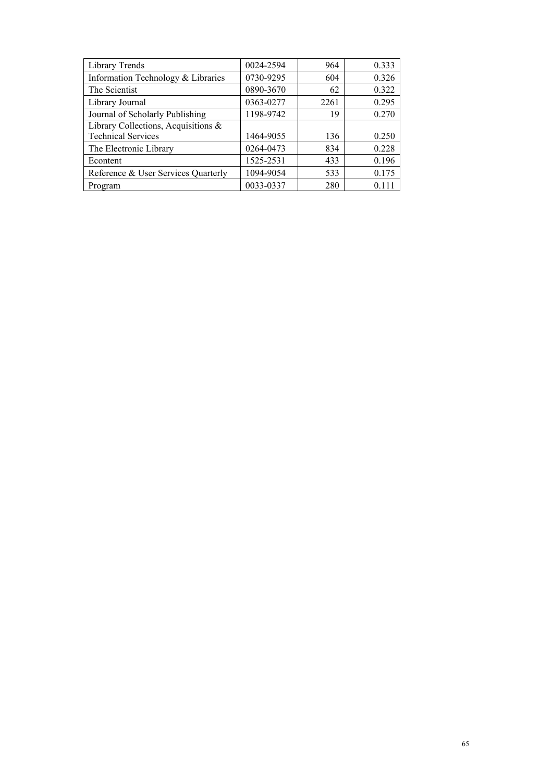| Library Trends                      | 0024-2594 | 964  | 0.333 |
|-------------------------------------|-----------|------|-------|
| Information Technology & Libraries  | 0730-9295 | 604  | 0.326 |
| The Scientist                       | 0890-3670 | 62   | 0.322 |
| Library Journal                     | 0363-0277 | 2261 | 0.295 |
| Journal of Scholarly Publishing     | 1198-9742 | 19   | 0.270 |
| Library Collections, Acquisitions & |           |      |       |
| <b>Technical Services</b>           | 1464-9055 | 136  | 0.250 |
| The Electronic Library              | 0264-0473 | 834  | 0.228 |
| Econtent                            | 1525-2531 | 433  | 0.196 |
| Reference & User Services Quarterly | 1094-9054 | 533  | 0.175 |
| Program                             | 0033-0337 | 280  | 0.111 |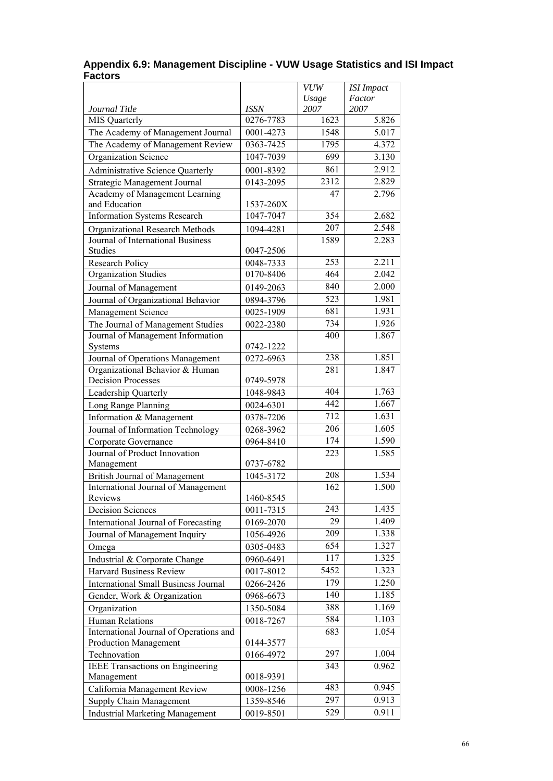| Factor<br>Usage<br>2007<br>2007<br>Journal Title<br><b>ISSN</b><br>0276-7783<br>5.826<br>1623<br><b>MIS Quarterly</b><br>The Academy of Management Journal<br>0001-4273<br>1548<br>5.017<br>The Academy of Management Review<br>4.372<br>1795<br>0363-7425<br>Organization Science<br>1047-7039<br>699<br>3.130<br>2.912<br>861<br><b>Administrative Science Quarterly</b><br>0001-8392<br>2312<br>2.829<br>Strategic Management Journal<br>0143-2095<br>Academy of Management Learning<br>47<br>2.796<br>and Education<br>1537-260X<br><b>Information Systems Research</b><br>2.682<br>1047-7047<br>354<br>2.548<br>207<br>Organizational Research Methods<br>1094-4281<br>1589<br>2.283<br>Journal of International Business<br>Studies<br>0047-2506<br>2.211<br>253<br>0048-7333<br><b>Research Policy</b><br>Organization Studies<br>0170-8406<br>464<br>2.042<br>2.000<br>840<br>0149-2063<br>Journal of Management<br>523<br>1.981<br>Journal of Organizational Behavior<br>0894-3796<br>681<br>1.931<br>Management Science<br>0025-1909<br>734<br>1.926<br>The Journal of Management Studies<br>0022-2380<br>Journal of Management Information<br>400<br>1.867<br>0742-1222<br>Systems<br>1.851<br>238<br>Journal of Operations Management<br>0272-6963<br>Organizational Behavior & Human<br>1.847<br>281<br><b>Decision Processes</b><br>0749-5978<br>1.763<br>404<br>Leadership Quarterly<br>1048-9843<br>442<br>1.667<br>0024-6301<br>Long Range Planning<br>712<br>1.631<br>Information & Management<br>0378-7206<br>1.605<br>206<br>Journal of Information Technology<br>0268-3962<br>1.590<br>174<br>0964-8410<br>Corporate Governance<br>Journal of Product Innovation<br>223<br>1.585<br>Management<br>0737-6782<br>1.534<br>208<br><b>British Journal of Management</b><br>1045-3172<br>1.500<br>International Journal of Management<br>162<br>1460-8545<br>Reviews<br>1.435<br>243<br>0011-7315<br><b>Decision Sciences</b><br>29<br>1.409<br>International Journal of Forecasting<br>0169-2070<br>1.338<br>209<br>Journal of Management Inquiry<br>1056-4926<br>654<br>1.327<br>0305-0483<br>Omega<br>1.325<br>117<br>Industrial & Corporate Change<br>0960-6491<br>5452<br>1.323<br>Harvard Business Review<br>0017-8012<br>1.250<br>179<br><b>International Small Business Journal</b><br>0266-2426<br>1.185<br>140<br>Gender, Work & Organization<br>0968-6673<br>388<br>1.169<br>Organization<br>1350-5084<br>1.103<br>584<br><b>Human Relations</b><br>0018-7267<br>International Journal of Operations and<br>1.054<br>683<br><b>Production Management</b><br>0144-3577<br>297<br>1.004<br>Technovation<br>0166-4972<br>IEEE Transactions on Engineering<br>343<br>0.962<br>0018-9391<br>Management<br>483<br>0.945<br>California Management Review<br>0008-1256<br>297<br>0.913<br><b>Supply Chain Management</b><br>1359-8546<br>529 |                                        |           | VUW | <b>ISI</b> Impact |
|-----------------------------------------------------------------------------------------------------------------------------------------------------------------------------------------------------------------------------------------------------------------------------------------------------------------------------------------------------------------------------------------------------------------------------------------------------------------------------------------------------------------------------------------------------------------------------------------------------------------------------------------------------------------------------------------------------------------------------------------------------------------------------------------------------------------------------------------------------------------------------------------------------------------------------------------------------------------------------------------------------------------------------------------------------------------------------------------------------------------------------------------------------------------------------------------------------------------------------------------------------------------------------------------------------------------------------------------------------------------------------------------------------------------------------------------------------------------------------------------------------------------------------------------------------------------------------------------------------------------------------------------------------------------------------------------------------------------------------------------------------------------------------------------------------------------------------------------------------------------------------------------------------------------------------------------------------------------------------------------------------------------------------------------------------------------------------------------------------------------------------------------------------------------------------------------------------------------------------------------------------------------------------------------------------------------------------------------------------------------------------------------------------------------------------------------------------------------------------------------------------------------------------------------------------------------------------------------------------------------------------------------------------------------------------------------------------------------------------------------------------------------------------------------------------------------------------------------------------------------|----------------------------------------|-----------|-----|-------------------|
|                                                                                                                                                                                                                                                                                                                                                                                                                                                                                                                                                                                                                                                                                                                                                                                                                                                                                                                                                                                                                                                                                                                                                                                                                                                                                                                                                                                                                                                                                                                                                                                                                                                                                                                                                                                                                                                                                                                                                                                                                                                                                                                                                                                                                                                                                                                                                                                                                                                                                                                                                                                                                                                                                                                                                                                                                                                                 |                                        |           |     |                   |
|                                                                                                                                                                                                                                                                                                                                                                                                                                                                                                                                                                                                                                                                                                                                                                                                                                                                                                                                                                                                                                                                                                                                                                                                                                                                                                                                                                                                                                                                                                                                                                                                                                                                                                                                                                                                                                                                                                                                                                                                                                                                                                                                                                                                                                                                                                                                                                                                                                                                                                                                                                                                                                                                                                                                                                                                                                                                 |                                        |           |     |                   |
|                                                                                                                                                                                                                                                                                                                                                                                                                                                                                                                                                                                                                                                                                                                                                                                                                                                                                                                                                                                                                                                                                                                                                                                                                                                                                                                                                                                                                                                                                                                                                                                                                                                                                                                                                                                                                                                                                                                                                                                                                                                                                                                                                                                                                                                                                                                                                                                                                                                                                                                                                                                                                                                                                                                                                                                                                                                                 |                                        |           |     |                   |
|                                                                                                                                                                                                                                                                                                                                                                                                                                                                                                                                                                                                                                                                                                                                                                                                                                                                                                                                                                                                                                                                                                                                                                                                                                                                                                                                                                                                                                                                                                                                                                                                                                                                                                                                                                                                                                                                                                                                                                                                                                                                                                                                                                                                                                                                                                                                                                                                                                                                                                                                                                                                                                                                                                                                                                                                                                                                 |                                        |           |     |                   |
|                                                                                                                                                                                                                                                                                                                                                                                                                                                                                                                                                                                                                                                                                                                                                                                                                                                                                                                                                                                                                                                                                                                                                                                                                                                                                                                                                                                                                                                                                                                                                                                                                                                                                                                                                                                                                                                                                                                                                                                                                                                                                                                                                                                                                                                                                                                                                                                                                                                                                                                                                                                                                                                                                                                                                                                                                                                                 |                                        |           |     |                   |
|                                                                                                                                                                                                                                                                                                                                                                                                                                                                                                                                                                                                                                                                                                                                                                                                                                                                                                                                                                                                                                                                                                                                                                                                                                                                                                                                                                                                                                                                                                                                                                                                                                                                                                                                                                                                                                                                                                                                                                                                                                                                                                                                                                                                                                                                                                                                                                                                                                                                                                                                                                                                                                                                                                                                                                                                                                                                 |                                        |           |     |                   |
|                                                                                                                                                                                                                                                                                                                                                                                                                                                                                                                                                                                                                                                                                                                                                                                                                                                                                                                                                                                                                                                                                                                                                                                                                                                                                                                                                                                                                                                                                                                                                                                                                                                                                                                                                                                                                                                                                                                                                                                                                                                                                                                                                                                                                                                                                                                                                                                                                                                                                                                                                                                                                                                                                                                                                                                                                                                                 |                                        |           |     |                   |
|                                                                                                                                                                                                                                                                                                                                                                                                                                                                                                                                                                                                                                                                                                                                                                                                                                                                                                                                                                                                                                                                                                                                                                                                                                                                                                                                                                                                                                                                                                                                                                                                                                                                                                                                                                                                                                                                                                                                                                                                                                                                                                                                                                                                                                                                                                                                                                                                                                                                                                                                                                                                                                                                                                                                                                                                                                                                 |                                        |           |     |                   |
|                                                                                                                                                                                                                                                                                                                                                                                                                                                                                                                                                                                                                                                                                                                                                                                                                                                                                                                                                                                                                                                                                                                                                                                                                                                                                                                                                                                                                                                                                                                                                                                                                                                                                                                                                                                                                                                                                                                                                                                                                                                                                                                                                                                                                                                                                                                                                                                                                                                                                                                                                                                                                                                                                                                                                                                                                                                                 |                                        |           |     |                   |
|                                                                                                                                                                                                                                                                                                                                                                                                                                                                                                                                                                                                                                                                                                                                                                                                                                                                                                                                                                                                                                                                                                                                                                                                                                                                                                                                                                                                                                                                                                                                                                                                                                                                                                                                                                                                                                                                                                                                                                                                                                                                                                                                                                                                                                                                                                                                                                                                                                                                                                                                                                                                                                                                                                                                                                                                                                                                 |                                        |           |     |                   |
|                                                                                                                                                                                                                                                                                                                                                                                                                                                                                                                                                                                                                                                                                                                                                                                                                                                                                                                                                                                                                                                                                                                                                                                                                                                                                                                                                                                                                                                                                                                                                                                                                                                                                                                                                                                                                                                                                                                                                                                                                                                                                                                                                                                                                                                                                                                                                                                                                                                                                                                                                                                                                                                                                                                                                                                                                                                                 |                                        |           |     |                   |
|                                                                                                                                                                                                                                                                                                                                                                                                                                                                                                                                                                                                                                                                                                                                                                                                                                                                                                                                                                                                                                                                                                                                                                                                                                                                                                                                                                                                                                                                                                                                                                                                                                                                                                                                                                                                                                                                                                                                                                                                                                                                                                                                                                                                                                                                                                                                                                                                                                                                                                                                                                                                                                                                                                                                                                                                                                                                 |                                        |           |     |                   |
|                                                                                                                                                                                                                                                                                                                                                                                                                                                                                                                                                                                                                                                                                                                                                                                                                                                                                                                                                                                                                                                                                                                                                                                                                                                                                                                                                                                                                                                                                                                                                                                                                                                                                                                                                                                                                                                                                                                                                                                                                                                                                                                                                                                                                                                                                                                                                                                                                                                                                                                                                                                                                                                                                                                                                                                                                                                                 |                                        |           |     |                   |
|                                                                                                                                                                                                                                                                                                                                                                                                                                                                                                                                                                                                                                                                                                                                                                                                                                                                                                                                                                                                                                                                                                                                                                                                                                                                                                                                                                                                                                                                                                                                                                                                                                                                                                                                                                                                                                                                                                                                                                                                                                                                                                                                                                                                                                                                                                                                                                                                                                                                                                                                                                                                                                                                                                                                                                                                                                                                 |                                        |           |     |                   |
|                                                                                                                                                                                                                                                                                                                                                                                                                                                                                                                                                                                                                                                                                                                                                                                                                                                                                                                                                                                                                                                                                                                                                                                                                                                                                                                                                                                                                                                                                                                                                                                                                                                                                                                                                                                                                                                                                                                                                                                                                                                                                                                                                                                                                                                                                                                                                                                                                                                                                                                                                                                                                                                                                                                                                                                                                                                                 |                                        |           |     |                   |
|                                                                                                                                                                                                                                                                                                                                                                                                                                                                                                                                                                                                                                                                                                                                                                                                                                                                                                                                                                                                                                                                                                                                                                                                                                                                                                                                                                                                                                                                                                                                                                                                                                                                                                                                                                                                                                                                                                                                                                                                                                                                                                                                                                                                                                                                                                                                                                                                                                                                                                                                                                                                                                                                                                                                                                                                                                                                 |                                        |           |     |                   |
|                                                                                                                                                                                                                                                                                                                                                                                                                                                                                                                                                                                                                                                                                                                                                                                                                                                                                                                                                                                                                                                                                                                                                                                                                                                                                                                                                                                                                                                                                                                                                                                                                                                                                                                                                                                                                                                                                                                                                                                                                                                                                                                                                                                                                                                                                                                                                                                                                                                                                                                                                                                                                                                                                                                                                                                                                                                                 |                                        |           |     |                   |
|                                                                                                                                                                                                                                                                                                                                                                                                                                                                                                                                                                                                                                                                                                                                                                                                                                                                                                                                                                                                                                                                                                                                                                                                                                                                                                                                                                                                                                                                                                                                                                                                                                                                                                                                                                                                                                                                                                                                                                                                                                                                                                                                                                                                                                                                                                                                                                                                                                                                                                                                                                                                                                                                                                                                                                                                                                                                 |                                        |           |     |                   |
|                                                                                                                                                                                                                                                                                                                                                                                                                                                                                                                                                                                                                                                                                                                                                                                                                                                                                                                                                                                                                                                                                                                                                                                                                                                                                                                                                                                                                                                                                                                                                                                                                                                                                                                                                                                                                                                                                                                                                                                                                                                                                                                                                                                                                                                                                                                                                                                                                                                                                                                                                                                                                                                                                                                                                                                                                                                                 |                                        |           |     |                   |
|                                                                                                                                                                                                                                                                                                                                                                                                                                                                                                                                                                                                                                                                                                                                                                                                                                                                                                                                                                                                                                                                                                                                                                                                                                                                                                                                                                                                                                                                                                                                                                                                                                                                                                                                                                                                                                                                                                                                                                                                                                                                                                                                                                                                                                                                                                                                                                                                                                                                                                                                                                                                                                                                                                                                                                                                                                                                 |                                        |           |     |                   |
|                                                                                                                                                                                                                                                                                                                                                                                                                                                                                                                                                                                                                                                                                                                                                                                                                                                                                                                                                                                                                                                                                                                                                                                                                                                                                                                                                                                                                                                                                                                                                                                                                                                                                                                                                                                                                                                                                                                                                                                                                                                                                                                                                                                                                                                                                                                                                                                                                                                                                                                                                                                                                                                                                                                                                                                                                                                                 |                                        |           |     |                   |
|                                                                                                                                                                                                                                                                                                                                                                                                                                                                                                                                                                                                                                                                                                                                                                                                                                                                                                                                                                                                                                                                                                                                                                                                                                                                                                                                                                                                                                                                                                                                                                                                                                                                                                                                                                                                                                                                                                                                                                                                                                                                                                                                                                                                                                                                                                                                                                                                                                                                                                                                                                                                                                                                                                                                                                                                                                                                 |                                        |           |     |                   |
|                                                                                                                                                                                                                                                                                                                                                                                                                                                                                                                                                                                                                                                                                                                                                                                                                                                                                                                                                                                                                                                                                                                                                                                                                                                                                                                                                                                                                                                                                                                                                                                                                                                                                                                                                                                                                                                                                                                                                                                                                                                                                                                                                                                                                                                                                                                                                                                                                                                                                                                                                                                                                                                                                                                                                                                                                                                                 |                                        |           |     |                   |
|                                                                                                                                                                                                                                                                                                                                                                                                                                                                                                                                                                                                                                                                                                                                                                                                                                                                                                                                                                                                                                                                                                                                                                                                                                                                                                                                                                                                                                                                                                                                                                                                                                                                                                                                                                                                                                                                                                                                                                                                                                                                                                                                                                                                                                                                                                                                                                                                                                                                                                                                                                                                                                                                                                                                                                                                                                                                 |                                        |           |     |                   |
|                                                                                                                                                                                                                                                                                                                                                                                                                                                                                                                                                                                                                                                                                                                                                                                                                                                                                                                                                                                                                                                                                                                                                                                                                                                                                                                                                                                                                                                                                                                                                                                                                                                                                                                                                                                                                                                                                                                                                                                                                                                                                                                                                                                                                                                                                                                                                                                                                                                                                                                                                                                                                                                                                                                                                                                                                                                                 |                                        |           |     |                   |
|                                                                                                                                                                                                                                                                                                                                                                                                                                                                                                                                                                                                                                                                                                                                                                                                                                                                                                                                                                                                                                                                                                                                                                                                                                                                                                                                                                                                                                                                                                                                                                                                                                                                                                                                                                                                                                                                                                                                                                                                                                                                                                                                                                                                                                                                                                                                                                                                                                                                                                                                                                                                                                                                                                                                                                                                                                                                 |                                        |           |     |                   |
|                                                                                                                                                                                                                                                                                                                                                                                                                                                                                                                                                                                                                                                                                                                                                                                                                                                                                                                                                                                                                                                                                                                                                                                                                                                                                                                                                                                                                                                                                                                                                                                                                                                                                                                                                                                                                                                                                                                                                                                                                                                                                                                                                                                                                                                                                                                                                                                                                                                                                                                                                                                                                                                                                                                                                                                                                                                                 |                                        |           |     |                   |
|                                                                                                                                                                                                                                                                                                                                                                                                                                                                                                                                                                                                                                                                                                                                                                                                                                                                                                                                                                                                                                                                                                                                                                                                                                                                                                                                                                                                                                                                                                                                                                                                                                                                                                                                                                                                                                                                                                                                                                                                                                                                                                                                                                                                                                                                                                                                                                                                                                                                                                                                                                                                                                                                                                                                                                                                                                                                 |                                        |           |     |                   |
|                                                                                                                                                                                                                                                                                                                                                                                                                                                                                                                                                                                                                                                                                                                                                                                                                                                                                                                                                                                                                                                                                                                                                                                                                                                                                                                                                                                                                                                                                                                                                                                                                                                                                                                                                                                                                                                                                                                                                                                                                                                                                                                                                                                                                                                                                                                                                                                                                                                                                                                                                                                                                                                                                                                                                                                                                                                                 |                                        |           |     |                   |
|                                                                                                                                                                                                                                                                                                                                                                                                                                                                                                                                                                                                                                                                                                                                                                                                                                                                                                                                                                                                                                                                                                                                                                                                                                                                                                                                                                                                                                                                                                                                                                                                                                                                                                                                                                                                                                                                                                                                                                                                                                                                                                                                                                                                                                                                                                                                                                                                                                                                                                                                                                                                                                                                                                                                                                                                                                                                 |                                        |           |     |                   |
|                                                                                                                                                                                                                                                                                                                                                                                                                                                                                                                                                                                                                                                                                                                                                                                                                                                                                                                                                                                                                                                                                                                                                                                                                                                                                                                                                                                                                                                                                                                                                                                                                                                                                                                                                                                                                                                                                                                                                                                                                                                                                                                                                                                                                                                                                                                                                                                                                                                                                                                                                                                                                                                                                                                                                                                                                                                                 |                                        |           |     |                   |
|                                                                                                                                                                                                                                                                                                                                                                                                                                                                                                                                                                                                                                                                                                                                                                                                                                                                                                                                                                                                                                                                                                                                                                                                                                                                                                                                                                                                                                                                                                                                                                                                                                                                                                                                                                                                                                                                                                                                                                                                                                                                                                                                                                                                                                                                                                                                                                                                                                                                                                                                                                                                                                                                                                                                                                                                                                                                 |                                        |           |     |                   |
|                                                                                                                                                                                                                                                                                                                                                                                                                                                                                                                                                                                                                                                                                                                                                                                                                                                                                                                                                                                                                                                                                                                                                                                                                                                                                                                                                                                                                                                                                                                                                                                                                                                                                                                                                                                                                                                                                                                                                                                                                                                                                                                                                                                                                                                                                                                                                                                                                                                                                                                                                                                                                                                                                                                                                                                                                                                                 |                                        |           |     |                   |
|                                                                                                                                                                                                                                                                                                                                                                                                                                                                                                                                                                                                                                                                                                                                                                                                                                                                                                                                                                                                                                                                                                                                                                                                                                                                                                                                                                                                                                                                                                                                                                                                                                                                                                                                                                                                                                                                                                                                                                                                                                                                                                                                                                                                                                                                                                                                                                                                                                                                                                                                                                                                                                                                                                                                                                                                                                                                 |                                        |           |     |                   |
|                                                                                                                                                                                                                                                                                                                                                                                                                                                                                                                                                                                                                                                                                                                                                                                                                                                                                                                                                                                                                                                                                                                                                                                                                                                                                                                                                                                                                                                                                                                                                                                                                                                                                                                                                                                                                                                                                                                                                                                                                                                                                                                                                                                                                                                                                                                                                                                                                                                                                                                                                                                                                                                                                                                                                                                                                                                                 |                                        |           |     |                   |
|                                                                                                                                                                                                                                                                                                                                                                                                                                                                                                                                                                                                                                                                                                                                                                                                                                                                                                                                                                                                                                                                                                                                                                                                                                                                                                                                                                                                                                                                                                                                                                                                                                                                                                                                                                                                                                                                                                                                                                                                                                                                                                                                                                                                                                                                                                                                                                                                                                                                                                                                                                                                                                                                                                                                                                                                                                                                 |                                        |           |     |                   |
|                                                                                                                                                                                                                                                                                                                                                                                                                                                                                                                                                                                                                                                                                                                                                                                                                                                                                                                                                                                                                                                                                                                                                                                                                                                                                                                                                                                                                                                                                                                                                                                                                                                                                                                                                                                                                                                                                                                                                                                                                                                                                                                                                                                                                                                                                                                                                                                                                                                                                                                                                                                                                                                                                                                                                                                                                                                                 |                                        |           |     |                   |
|                                                                                                                                                                                                                                                                                                                                                                                                                                                                                                                                                                                                                                                                                                                                                                                                                                                                                                                                                                                                                                                                                                                                                                                                                                                                                                                                                                                                                                                                                                                                                                                                                                                                                                                                                                                                                                                                                                                                                                                                                                                                                                                                                                                                                                                                                                                                                                                                                                                                                                                                                                                                                                                                                                                                                                                                                                                                 |                                        |           |     |                   |
|                                                                                                                                                                                                                                                                                                                                                                                                                                                                                                                                                                                                                                                                                                                                                                                                                                                                                                                                                                                                                                                                                                                                                                                                                                                                                                                                                                                                                                                                                                                                                                                                                                                                                                                                                                                                                                                                                                                                                                                                                                                                                                                                                                                                                                                                                                                                                                                                                                                                                                                                                                                                                                                                                                                                                                                                                                                                 |                                        |           |     |                   |
|                                                                                                                                                                                                                                                                                                                                                                                                                                                                                                                                                                                                                                                                                                                                                                                                                                                                                                                                                                                                                                                                                                                                                                                                                                                                                                                                                                                                                                                                                                                                                                                                                                                                                                                                                                                                                                                                                                                                                                                                                                                                                                                                                                                                                                                                                                                                                                                                                                                                                                                                                                                                                                                                                                                                                                                                                                                                 |                                        |           |     |                   |
|                                                                                                                                                                                                                                                                                                                                                                                                                                                                                                                                                                                                                                                                                                                                                                                                                                                                                                                                                                                                                                                                                                                                                                                                                                                                                                                                                                                                                                                                                                                                                                                                                                                                                                                                                                                                                                                                                                                                                                                                                                                                                                                                                                                                                                                                                                                                                                                                                                                                                                                                                                                                                                                                                                                                                                                                                                                                 |                                        |           |     |                   |
|                                                                                                                                                                                                                                                                                                                                                                                                                                                                                                                                                                                                                                                                                                                                                                                                                                                                                                                                                                                                                                                                                                                                                                                                                                                                                                                                                                                                                                                                                                                                                                                                                                                                                                                                                                                                                                                                                                                                                                                                                                                                                                                                                                                                                                                                                                                                                                                                                                                                                                                                                                                                                                                                                                                                                                                                                                                                 |                                        |           |     |                   |
|                                                                                                                                                                                                                                                                                                                                                                                                                                                                                                                                                                                                                                                                                                                                                                                                                                                                                                                                                                                                                                                                                                                                                                                                                                                                                                                                                                                                                                                                                                                                                                                                                                                                                                                                                                                                                                                                                                                                                                                                                                                                                                                                                                                                                                                                                                                                                                                                                                                                                                                                                                                                                                                                                                                                                                                                                                                                 |                                        |           |     |                   |
|                                                                                                                                                                                                                                                                                                                                                                                                                                                                                                                                                                                                                                                                                                                                                                                                                                                                                                                                                                                                                                                                                                                                                                                                                                                                                                                                                                                                                                                                                                                                                                                                                                                                                                                                                                                                                                                                                                                                                                                                                                                                                                                                                                                                                                                                                                                                                                                                                                                                                                                                                                                                                                                                                                                                                                                                                                                                 |                                        |           |     |                   |
|                                                                                                                                                                                                                                                                                                                                                                                                                                                                                                                                                                                                                                                                                                                                                                                                                                                                                                                                                                                                                                                                                                                                                                                                                                                                                                                                                                                                                                                                                                                                                                                                                                                                                                                                                                                                                                                                                                                                                                                                                                                                                                                                                                                                                                                                                                                                                                                                                                                                                                                                                                                                                                                                                                                                                                                                                                                                 |                                        |           |     |                   |
|                                                                                                                                                                                                                                                                                                                                                                                                                                                                                                                                                                                                                                                                                                                                                                                                                                                                                                                                                                                                                                                                                                                                                                                                                                                                                                                                                                                                                                                                                                                                                                                                                                                                                                                                                                                                                                                                                                                                                                                                                                                                                                                                                                                                                                                                                                                                                                                                                                                                                                                                                                                                                                                                                                                                                                                                                                                                 |                                        |           |     |                   |
|                                                                                                                                                                                                                                                                                                                                                                                                                                                                                                                                                                                                                                                                                                                                                                                                                                                                                                                                                                                                                                                                                                                                                                                                                                                                                                                                                                                                                                                                                                                                                                                                                                                                                                                                                                                                                                                                                                                                                                                                                                                                                                                                                                                                                                                                                                                                                                                                                                                                                                                                                                                                                                                                                                                                                                                                                                                                 |                                        |           |     |                   |
|                                                                                                                                                                                                                                                                                                                                                                                                                                                                                                                                                                                                                                                                                                                                                                                                                                                                                                                                                                                                                                                                                                                                                                                                                                                                                                                                                                                                                                                                                                                                                                                                                                                                                                                                                                                                                                                                                                                                                                                                                                                                                                                                                                                                                                                                                                                                                                                                                                                                                                                                                                                                                                                                                                                                                                                                                                                                 |                                        |           |     |                   |
|                                                                                                                                                                                                                                                                                                                                                                                                                                                                                                                                                                                                                                                                                                                                                                                                                                                                                                                                                                                                                                                                                                                                                                                                                                                                                                                                                                                                                                                                                                                                                                                                                                                                                                                                                                                                                                                                                                                                                                                                                                                                                                                                                                                                                                                                                                                                                                                                                                                                                                                                                                                                                                                                                                                                                                                                                                                                 |                                        |           |     |                   |
|                                                                                                                                                                                                                                                                                                                                                                                                                                                                                                                                                                                                                                                                                                                                                                                                                                                                                                                                                                                                                                                                                                                                                                                                                                                                                                                                                                                                                                                                                                                                                                                                                                                                                                                                                                                                                                                                                                                                                                                                                                                                                                                                                                                                                                                                                                                                                                                                                                                                                                                                                                                                                                                                                                                                                                                                                                                                 |                                        |           |     |                   |
|                                                                                                                                                                                                                                                                                                                                                                                                                                                                                                                                                                                                                                                                                                                                                                                                                                                                                                                                                                                                                                                                                                                                                                                                                                                                                                                                                                                                                                                                                                                                                                                                                                                                                                                                                                                                                                                                                                                                                                                                                                                                                                                                                                                                                                                                                                                                                                                                                                                                                                                                                                                                                                                                                                                                                                                                                                                                 |                                        |           |     |                   |
|                                                                                                                                                                                                                                                                                                                                                                                                                                                                                                                                                                                                                                                                                                                                                                                                                                                                                                                                                                                                                                                                                                                                                                                                                                                                                                                                                                                                                                                                                                                                                                                                                                                                                                                                                                                                                                                                                                                                                                                                                                                                                                                                                                                                                                                                                                                                                                                                                                                                                                                                                                                                                                                                                                                                                                                                                                                                 | <b>Industrial Marketing Management</b> | 0019-8501 |     | 0.911             |

#### **Appendix 6.9: Management Discipline - VUW Usage Statistics and ISI Impact Factors**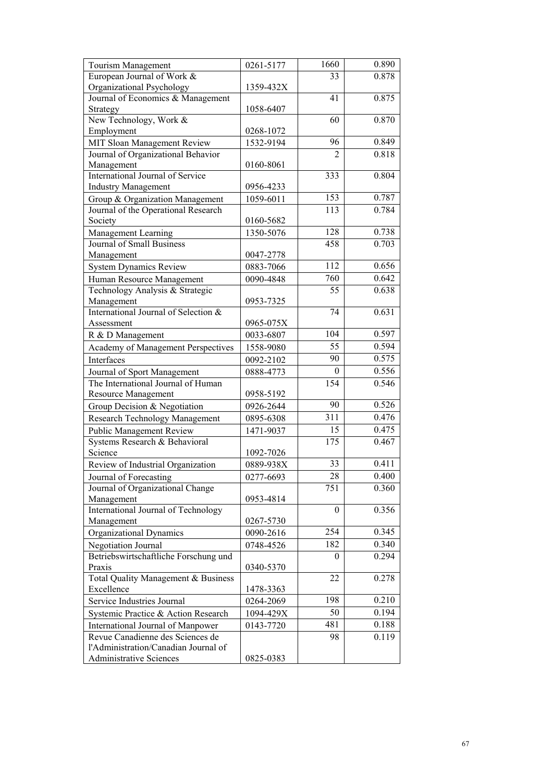| European Journal of Work &<br>0.878<br>33<br>Organizational Psychology<br>1359-432X<br>Journal of Economics & Management<br>41<br>0.875<br>1058-6407<br>Strategy<br>New Technology, Work &<br>0.870<br>60<br>Employment<br>0268-1072<br>0.849<br>MIT Sloan Management Review<br>96<br>1532-9194<br>0.818<br>Journal of Organizational Behavior<br>$\overline{2}$<br>Management<br>0160-8061<br>International Journal of Service<br>333<br>0.804<br><b>Industry Management</b><br>0956-4233<br>153<br>0.787<br>Group & Organization Management<br>1059-6011<br>0.784<br>113<br>Journal of the Operational Research<br>0160-5682<br>Society<br>0.738<br>128<br>Management Learning<br>1350-5076<br><b>Journal of Small Business</b><br>0.703<br>458<br>0047-2778<br>Management<br>112<br>0.656<br><b>System Dynamics Review</b><br>0883-7066<br>0.642<br>760<br>0090-4848<br>Human Resource Management<br>0.638<br>Technology Analysis & Strategic<br>55<br>Management<br>0953-7325<br>International Journal of Selection &<br>0.631<br>74<br>0965-075X<br>Assessment<br>104<br>0.597<br>R & D Management<br>0033-6807<br>55<br>0.594<br>1558-9080<br>Academy of Management Perspectives<br>90<br>0.575<br>Interfaces<br>0092-2102<br>0.556<br>$\bf{0}$<br>Journal of Sport Management<br>0888-4773<br>0.546<br>The International Journal of Human<br>154<br><b>Resource Management</b><br>0958-5192<br>0.526<br>90<br>Group Decision & Negotiation<br>0926-2644<br>311<br>0.476<br><b>Research Technology Management</b><br>0895-6308<br>0.475<br>15<br><b>Public Management Review</b><br>1471-9037<br>175<br>Systems Research & Behavioral<br>0.467<br>Science<br>1092-7026<br>33<br>0.411<br>Review of Industrial Organization<br>0889-938X<br>Journal of Forecasting<br>0277-6693<br>28<br>0.400<br>Journal of Organizational Change<br>0.360<br>751<br>Management<br>0953-4814<br>International Journal of Technology<br>0.356<br>$\boldsymbol{0}$<br>0267-5730<br>Management<br>254<br>0.345<br>Organizational Dynamics<br>0090-2616<br>0.340<br>182<br><b>Negotiation Journal</b><br>0748-4526<br>Betriebswirtschaftliche Forschung und<br>0.294<br>0<br>0340-5370<br>Praxis<br>0.278<br>Total Quality Management & Business<br>22<br>Excellence<br>1478-3363<br>0.210<br>198<br>Service Industries Journal<br>0264-2069<br>0.194<br>50<br>Systemic Practice & Action Research<br>1094-429X<br>481<br>0.188<br>International Journal of Manpower<br>0143-7720<br>Revue Canadienne des Sciences de<br>0.119<br>98<br>l'Administration/Canadian Journal of | Tourism Management      | 0261-5177 | 1660 | 0.890 |
|----------------------------------------------------------------------------------------------------------------------------------------------------------------------------------------------------------------------------------------------------------------------------------------------------------------------------------------------------------------------------------------------------------------------------------------------------------------------------------------------------------------------------------------------------------------------------------------------------------------------------------------------------------------------------------------------------------------------------------------------------------------------------------------------------------------------------------------------------------------------------------------------------------------------------------------------------------------------------------------------------------------------------------------------------------------------------------------------------------------------------------------------------------------------------------------------------------------------------------------------------------------------------------------------------------------------------------------------------------------------------------------------------------------------------------------------------------------------------------------------------------------------------------------------------------------------------------------------------------------------------------------------------------------------------------------------------------------------------------------------------------------------------------------------------------------------------------------------------------------------------------------------------------------------------------------------------------------------------------------------------------------------------------------------------------------------------------------------------------------------------------------------------------------------------------------------------------------------------------------------------------------------------------------------------------------------------------------------------------------------------------------------------------------------------------------------------------------------------------------------------------------------------------------------------------------|-------------------------|-----------|------|-------|
|                                                                                                                                                                                                                                                                                                                                                                                                                                                                                                                                                                                                                                                                                                                                                                                                                                                                                                                                                                                                                                                                                                                                                                                                                                                                                                                                                                                                                                                                                                                                                                                                                                                                                                                                                                                                                                                                                                                                                                                                                                                                                                                                                                                                                                                                                                                                                                                                                                                                                                                                                                |                         |           |      |       |
|                                                                                                                                                                                                                                                                                                                                                                                                                                                                                                                                                                                                                                                                                                                                                                                                                                                                                                                                                                                                                                                                                                                                                                                                                                                                                                                                                                                                                                                                                                                                                                                                                                                                                                                                                                                                                                                                                                                                                                                                                                                                                                                                                                                                                                                                                                                                                                                                                                                                                                                                                                |                         |           |      |       |
|                                                                                                                                                                                                                                                                                                                                                                                                                                                                                                                                                                                                                                                                                                                                                                                                                                                                                                                                                                                                                                                                                                                                                                                                                                                                                                                                                                                                                                                                                                                                                                                                                                                                                                                                                                                                                                                                                                                                                                                                                                                                                                                                                                                                                                                                                                                                                                                                                                                                                                                                                                |                         |           |      |       |
|                                                                                                                                                                                                                                                                                                                                                                                                                                                                                                                                                                                                                                                                                                                                                                                                                                                                                                                                                                                                                                                                                                                                                                                                                                                                                                                                                                                                                                                                                                                                                                                                                                                                                                                                                                                                                                                                                                                                                                                                                                                                                                                                                                                                                                                                                                                                                                                                                                                                                                                                                                |                         |           |      |       |
|                                                                                                                                                                                                                                                                                                                                                                                                                                                                                                                                                                                                                                                                                                                                                                                                                                                                                                                                                                                                                                                                                                                                                                                                                                                                                                                                                                                                                                                                                                                                                                                                                                                                                                                                                                                                                                                                                                                                                                                                                                                                                                                                                                                                                                                                                                                                                                                                                                                                                                                                                                |                         |           |      |       |
|                                                                                                                                                                                                                                                                                                                                                                                                                                                                                                                                                                                                                                                                                                                                                                                                                                                                                                                                                                                                                                                                                                                                                                                                                                                                                                                                                                                                                                                                                                                                                                                                                                                                                                                                                                                                                                                                                                                                                                                                                                                                                                                                                                                                                                                                                                                                                                                                                                                                                                                                                                |                         |           |      |       |
|                                                                                                                                                                                                                                                                                                                                                                                                                                                                                                                                                                                                                                                                                                                                                                                                                                                                                                                                                                                                                                                                                                                                                                                                                                                                                                                                                                                                                                                                                                                                                                                                                                                                                                                                                                                                                                                                                                                                                                                                                                                                                                                                                                                                                                                                                                                                                                                                                                                                                                                                                                |                         |           |      |       |
|                                                                                                                                                                                                                                                                                                                                                                                                                                                                                                                                                                                                                                                                                                                                                                                                                                                                                                                                                                                                                                                                                                                                                                                                                                                                                                                                                                                                                                                                                                                                                                                                                                                                                                                                                                                                                                                                                                                                                                                                                                                                                                                                                                                                                                                                                                                                                                                                                                                                                                                                                                |                         |           |      |       |
|                                                                                                                                                                                                                                                                                                                                                                                                                                                                                                                                                                                                                                                                                                                                                                                                                                                                                                                                                                                                                                                                                                                                                                                                                                                                                                                                                                                                                                                                                                                                                                                                                                                                                                                                                                                                                                                                                                                                                                                                                                                                                                                                                                                                                                                                                                                                                                                                                                                                                                                                                                |                         |           |      |       |
|                                                                                                                                                                                                                                                                                                                                                                                                                                                                                                                                                                                                                                                                                                                                                                                                                                                                                                                                                                                                                                                                                                                                                                                                                                                                                                                                                                                                                                                                                                                                                                                                                                                                                                                                                                                                                                                                                                                                                                                                                                                                                                                                                                                                                                                                                                                                                                                                                                                                                                                                                                |                         |           |      |       |
|                                                                                                                                                                                                                                                                                                                                                                                                                                                                                                                                                                                                                                                                                                                                                                                                                                                                                                                                                                                                                                                                                                                                                                                                                                                                                                                                                                                                                                                                                                                                                                                                                                                                                                                                                                                                                                                                                                                                                                                                                                                                                                                                                                                                                                                                                                                                                                                                                                                                                                                                                                |                         |           |      |       |
|                                                                                                                                                                                                                                                                                                                                                                                                                                                                                                                                                                                                                                                                                                                                                                                                                                                                                                                                                                                                                                                                                                                                                                                                                                                                                                                                                                                                                                                                                                                                                                                                                                                                                                                                                                                                                                                                                                                                                                                                                                                                                                                                                                                                                                                                                                                                                                                                                                                                                                                                                                |                         |           |      |       |
|                                                                                                                                                                                                                                                                                                                                                                                                                                                                                                                                                                                                                                                                                                                                                                                                                                                                                                                                                                                                                                                                                                                                                                                                                                                                                                                                                                                                                                                                                                                                                                                                                                                                                                                                                                                                                                                                                                                                                                                                                                                                                                                                                                                                                                                                                                                                                                                                                                                                                                                                                                |                         |           |      |       |
|                                                                                                                                                                                                                                                                                                                                                                                                                                                                                                                                                                                                                                                                                                                                                                                                                                                                                                                                                                                                                                                                                                                                                                                                                                                                                                                                                                                                                                                                                                                                                                                                                                                                                                                                                                                                                                                                                                                                                                                                                                                                                                                                                                                                                                                                                                                                                                                                                                                                                                                                                                |                         |           |      |       |
|                                                                                                                                                                                                                                                                                                                                                                                                                                                                                                                                                                                                                                                                                                                                                                                                                                                                                                                                                                                                                                                                                                                                                                                                                                                                                                                                                                                                                                                                                                                                                                                                                                                                                                                                                                                                                                                                                                                                                                                                                                                                                                                                                                                                                                                                                                                                                                                                                                                                                                                                                                |                         |           |      |       |
|                                                                                                                                                                                                                                                                                                                                                                                                                                                                                                                                                                                                                                                                                                                                                                                                                                                                                                                                                                                                                                                                                                                                                                                                                                                                                                                                                                                                                                                                                                                                                                                                                                                                                                                                                                                                                                                                                                                                                                                                                                                                                                                                                                                                                                                                                                                                                                                                                                                                                                                                                                |                         |           |      |       |
|                                                                                                                                                                                                                                                                                                                                                                                                                                                                                                                                                                                                                                                                                                                                                                                                                                                                                                                                                                                                                                                                                                                                                                                                                                                                                                                                                                                                                                                                                                                                                                                                                                                                                                                                                                                                                                                                                                                                                                                                                                                                                                                                                                                                                                                                                                                                                                                                                                                                                                                                                                |                         |           |      |       |
|                                                                                                                                                                                                                                                                                                                                                                                                                                                                                                                                                                                                                                                                                                                                                                                                                                                                                                                                                                                                                                                                                                                                                                                                                                                                                                                                                                                                                                                                                                                                                                                                                                                                                                                                                                                                                                                                                                                                                                                                                                                                                                                                                                                                                                                                                                                                                                                                                                                                                                                                                                |                         |           |      |       |
|                                                                                                                                                                                                                                                                                                                                                                                                                                                                                                                                                                                                                                                                                                                                                                                                                                                                                                                                                                                                                                                                                                                                                                                                                                                                                                                                                                                                                                                                                                                                                                                                                                                                                                                                                                                                                                                                                                                                                                                                                                                                                                                                                                                                                                                                                                                                                                                                                                                                                                                                                                |                         |           |      |       |
|                                                                                                                                                                                                                                                                                                                                                                                                                                                                                                                                                                                                                                                                                                                                                                                                                                                                                                                                                                                                                                                                                                                                                                                                                                                                                                                                                                                                                                                                                                                                                                                                                                                                                                                                                                                                                                                                                                                                                                                                                                                                                                                                                                                                                                                                                                                                                                                                                                                                                                                                                                |                         |           |      |       |
|                                                                                                                                                                                                                                                                                                                                                                                                                                                                                                                                                                                                                                                                                                                                                                                                                                                                                                                                                                                                                                                                                                                                                                                                                                                                                                                                                                                                                                                                                                                                                                                                                                                                                                                                                                                                                                                                                                                                                                                                                                                                                                                                                                                                                                                                                                                                                                                                                                                                                                                                                                |                         |           |      |       |
|                                                                                                                                                                                                                                                                                                                                                                                                                                                                                                                                                                                                                                                                                                                                                                                                                                                                                                                                                                                                                                                                                                                                                                                                                                                                                                                                                                                                                                                                                                                                                                                                                                                                                                                                                                                                                                                                                                                                                                                                                                                                                                                                                                                                                                                                                                                                                                                                                                                                                                                                                                |                         |           |      |       |
|                                                                                                                                                                                                                                                                                                                                                                                                                                                                                                                                                                                                                                                                                                                                                                                                                                                                                                                                                                                                                                                                                                                                                                                                                                                                                                                                                                                                                                                                                                                                                                                                                                                                                                                                                                                                                                                                                                                                                                                                                                                                                                                                                                                                                                                                                                                                                                                                                                                                                                                                                                |                         |           |      |       |
|                                                                                                                                                                                                                                                                                                                                                                                                                                                                                                                                                                                                                                                                                                                                                                                                                                                                                                                                                                                                                                                                                                                                                                                                                                                                                                                                                                                                                                                                                                                                                                                                                                                                                                                                                                                                                                                                                                                                                                                                                                                                                                                                                                                                                                                                                                                                                                                                                                                                                                                                                                |                         |           |      |       |
|                                                                                                                                                                                                                                                                                                                                                                                                                                                                                                                                                                                                                                                                                                                                                                                                                                                                                                                                                                                                                                                                                                                                                                                                                                                                                                                                                                                                                                                                                                                                                                                                                                                                                                                                                                                                                                                                                                                                                                                                                                                                                                                                                                                                                                                                                                                                                                                                                                                                                                                                                                |                         |           |      |       |
|                                                                                                                                                                                                                                                                                                                                                                                                                                                                                                                                                                                                                                                                                                                                                                                                                                                                                                                                                                                                                                                                                                                                                                                                                                                                                                                                                                                                                                                                                                                                                                                                                                                                                                                                                                                                                                                                                                                                                                                                                                                                                                                                                                                                                                                                                                                                                                                                                                                                                                                                                                |                         |           |      |       |
|                                                                                                                                                                                                                                                                                                                                                                                                                                                                                                                                                                                                                                                                                                                                                                                                                                                                                                                                                                                                                                                                                                                                                                                                                                                                                                                                                                                                                                                                                                                                                                                                                                                                                                                                                                                                                                                                                                                                                                                                                                                                                                                                                                                                                                                                                                                                                                                                                                                                                                                                                                |                         |           |      |       |
|                                                                                                                                                                                                                                                                                                                                                                                                                                                                                                                                                                                                                                                                                                                                                                                                                                                                                                                                                                                                                                                                                                                                                                                                                                                                                                                                                                                                                                                                                                                                                                                                                                                                                                                                                                                                                                                                                                                                                                                                                                                                                                                                                                                                                                                                                                                                                                                                                                                                                                                                                                |                         |           |      |       |
|                                                                                                                                                                                                                                                                                                                                                                                                                                                                                                                                                                                                                                                                                                                                                                                                                                                                                                                                                                                                                                                                                                                                                                                                                                                                                                                                                                                                                                                                                                                                                                                                                                                                                                                                                                                                                                                                                                                                                                                                                                                                                                                                                                                                                                                                                                                                                                                                                                                                                                                                                                |                         |           |      |       |
|                                                                                                                                                                                                                                                                                                                                                                                                                                                                                                                                                                                                                                                                                                                                                                                                                                                                                                                                                                                                                                                                                                                                                                                                                                                                                                                                                                                                                                                                                                                                                                                                                                                                                                                                                                                                                                                                                                                                                                                                                                                                                                                                                                                                                                                                                                                                                                                                                                                                                                                                                                |                         |           |      |       |
|                                                                                                                                                                                                                                                                                                                                                                                                                                                                                                                                                                                                                                                                                                                                                                                                                                                                                                                                                                                                                                                                                                                                                                                                                                                                                                                                                                                                                                                                                                                                                                                                                                                                                                                                                                                                                                                                                                                                                                                                                                                                                                                                                                                                                                                                                                                                                                                                                                                                                                                                                                |                         |           |      |       |
|                                                                                                                                                                                                                                                                                                                                                                                                                                                                                                                                                                                                                                                                                                                                                                                                                                                                                                                                                                                                                                                                                                                                                                                                                                                                                                                                                                                                                                                                                                                                                                                                                                                                                                                                                                                                                                                                                                                                                                                                                                                                                                                                                                                                                                                                                                                                                                                                                                                                                                                                                                |                         |           |      |       |
|                                                                                                                                                                                                                                                                                                                                                                                                                                                                                                                                                                                                                                                                                                                                                                                                                                                                                                                                                                                                                                                                                                                                                                                                                                                                                                                                                                                                                                                                                                                                                                                                                                                                                                                                                                                                                                                                                                                                                                                                                                                                                                                                                                                                                                                                                                                                                                                                                                                                                                                                                                |                         |           |      |       |
|                                                                                                                                                                                                                                                                                                                                                                                                                                                                                                                                                                                                                                                                                                                                                                                                                                                                                                                                                                                                                                                                                                                                                                                                                                                                                                                                                                                                                                                                                                                                                                                                                                                                                                                                                                                                                                                                                                                                                                                                                                                                                                                                                                                                                                                                                                                                                                                                                                                                                                                                                                |                         |           |      |       |
|                                                                                                                                                                                                                                                                                                                                                                                                                                                                                                                                                                                                                                                                                                                                                                                                                                                                                                                                                                                                                                                                                                                                                                                                                                                                                                                                                                                                                                                                                                                                                                                                                                                                                                                                                                                                                                                                                                                                                                                                                                                                                                                                                                                                                                                                                                                                                                                                                                                                                                                                                                |                         |           |      |       |
|                                                                                                                                                                                                                                                                                                                                                                                                                                                                                                                                                                                                                                                                                                                                                                                                                                                                                                                                                                                                                                                                                                                                                                                                                                                                                                                                                                                                                                                                                                                                                                                                                                                                                                                                                                                                                                                                                                                                                                                                                                                                                                                                                                                                                                                                                                                                                                                                                                                                                                                                                                |                         |           |      |       |
|                                                                                                                                                                                                                                                                                                                                                                                                                                                                                                                                                                                                                                                                                                                                                                                                                                                                                                                                                                                                                                                                                                                                                                                                                                                                                                                                                                                                                                                                                                                                                                                                                                                                                                                                                                                                                                                                                                                                                                                                                                                                                                                                                                                                                                                                                                                                                                                                                                                                                                                                                                |                         |           |      |       |
|                                                                                                                                                                                                                                                                                                                                                                                                                                                                                                                                                                                                                                                                                                                                                                                                                                                                                                                                                                                                                                                                                                                                                                                                                                                                                                                                                                                                                                                                                                                                                                                                                                                                                                                                                                                                                                                                                                                                                                                                                                                                                                                                                                                                                                                                                                                                                                                                                                                                                                                                                                |                         |           |      |       |
|                                                                                                                                                                                                                                                                                                                                                                                                                                                                                                                                                                                                                                                                                                                                                                                                                                                                                                                                                                                                                                                                                                                                                                                                                                                                                                                                                                                                                                                                                                                                                                                                                                                                                                                                                                                                                                                                                                                                                                                                                                                                                                                                                                                                                                                                                                                                                                                                                                                                                                                                                                |                         |           |      |       |
|                                                                                                                                                                                                                                                                                                                                                                                                                                                                                                                                                                                                                                                                                                                                                                                                                                                                                                                                                                                                                                                                                                                                                                                                                                                                                                                                                                                                                                                                                                                                                                                                                                                                                                                                                                                                                                                                                                                                                                                                                                                                                                                                                                                                                                                                                                                                                                                                                                                                                                                                                                |                         |           |      |       |
|                                                                                                                                                                                                                                                                                                                                                                                                                                                                                                                                                                                                                                                                                                                                                                                                                                                                                                                                                                                                                                                                                                                                                                                                                                                                                                                                                                                                                                                                                                                                                                                                                                                                                                                                                                                                                                                                                                                                                                                                                                                                                                                                                                                                                                                                                                                                                                                                                                                                                                                                                                |                         |           |      |       |
|                                                                                                                                                                                                                                                                                                                                                                                                                                                                                                                                                                                                                                                                                                                                                                                                                                                                                                                                                                                                                                                                                                                                                                                                                                                                                                                                                                                                                                                                                                                                                                                                                                                                                                                                                                                                                                                                                                                                                                                                                                                                                                                                                                                                                                                                                                                                                                                                                                                                                                                                                                |                         |           |      |       |
|                                                                                                                                                                                                                                                                                                                                                                                                                                                                                                                                                                                                                                                                                                                                                                                                                                                                                                                                                                                                                                                                                                                                                                                                                                                                                                                                                                                                                                                                                                                                                                                                                                                                                                                                                                                                                                                                                                                                                                                                                                                                                                                                                                                                                                                                                                                                                                                                                                                                                                                                                                |                         |           |      |       |
|                                                                                                                                                                                                                                                                                                                                                                                                                                                                                                                                                                                                                                                                                                                                                                                                                                                                                                                                                                                                                                                                                                                                                                                                                                                                                                                                                                                                                                                                                                                                                                                                                                                                                                                                                                                                                                                                                                                                                                                                                                                                                                                                                                                                                                                                                                                                                                                                                                                                                                                                                                |                         |           |      |       |
|                                                                                                                                                                                                                                                                                                                                                                                                                                                                                                                                                                                                                                                                                                                                                                                                                                                                                                                                                                                                                                                                                                                                                                                                                                                                                                                                                                                                                                                                                                                                                                                                                                                                                                                                                                                                                                                                                                                                                                                                                                                                                                                                                                                                                                                                                                                                                                                                                                                                                                                                                                |                         |           |      |       |
|                                                                                                                                                                                                                                                                                                                                                                                                                                                                                                                                                                                                                                                                                                                                                                                                                                                                                                                                                                                                                                                                                                                                                                                                                                                                                                                                                                                                                                                                                                                                                                                                                                                                                                                                                                                                                                                                                                                                                                                                                                                                                                                                                                                                                                                                                                                                                                                                                                                                                                                                                                |                         |           |      |       |
|                                                                                                                                                                                                                                                                                                                                                                                                                                                                                                                                                                                                                                                                                                                                                                                                                                                                                                                                                                                                                                                                                                                                                                                                                                                                                                                                                                                                                                                                                                                                                                                                                                                                                                                                                                                                                                                                                                                                                                                                                                                                                                                                                                                                                                                                                                                                                                                                                                                                                                                                                                |                         |           |      |       |
|                                                                                                                                                                                                                                                                                                                                                                                                                                                                                                                                                                                                                                                                                                                                                                                                                                                                                                                                                                                                                                                                                                                                                                                                                                                                                                                                                                                                                                                                                                                                                                                                                                                                                                                                                                                                                                                                                                                                                                                                                                                                                                                                                                                                                                                                                                                                                                                                                                                                                                                                                                |                         |           |      |       |
|                                                                                                                                                                                                                                                                                                                                                                                                                                                                                                                                                                                                                                                                                                                                                                                                                                                                                                                                                                                                                                                                                                                                                                                                                                                                                                                                                                                                                                                                                                                                                                                                                                                                                                                                                                                                                                                                                                                                                                                                                                                                                                                                                                                                                                                                                                                                                                                                                                                                                                                                                                |                         |           |      |       |
|                                                                                                                                                                                                                                                                                                                                                                                                                                                                                                                                                                                                                                                                                                                                                                                                                                                                                                                                                                                                                                                                                                                                                                                                                                                                                                                                                                                                                                                                                                                                                                                                                                                                                                                                                                                                                                                                                                                                                                                                                                                                                                                                                                                                                                                                                                                                                                                                                                                                                                                                                                |                         |           |      |       |
|                                                                                                                                                                                                                                                                                                                                                                                                                                                                                                                                                                                                                                                                                                                                                                                                                                                                                                                                                                                                                                                                                                                                                                                                                                                                                                                                                                                                                                                                                                                                                                                                                                                                                                                                                                                                                                                                                                                                                                                                                                                                                                                                                                                                                                                                                                                                                                                                                                                                                                                                                                |                         |           |      |       |
|                                                                                                                                                                                                                                                                                                                                                                                                                                                                                                                                                                                                                                                                                                                                                                                                                                                                                                                                                                                                                                                                                                                                                                                                                                                                                                                                                                                                                                                                                                                                                                                                                                                                                                                                                                                                                                                                                                                                                                                                                                                                                                                                                                                                                                                                                                                                                                                                                                                                                                                                                                | Administrative Sciences | 0825-0383 |      |       |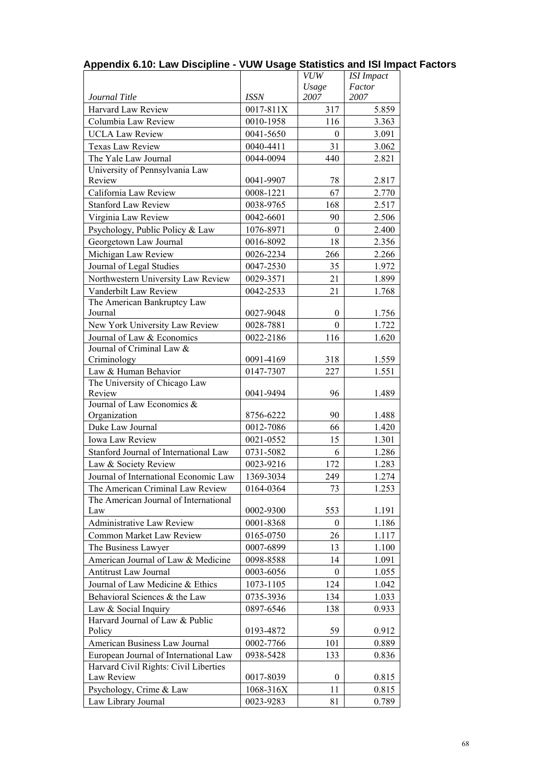|                                         |             | <b>VUW</b>       | <b>ISI</b> Impact |
|-----------------------------------------|-------------|------------------|-------------------|
|                                         |             | Usage            | Factor            |
| Journal Title                           | <b>ISSN</b> | 2007             | 2007              |
| Harvard Law Review                      | 0017-811X   | 317              | 5.859             |
| Columbia Law Review                     | 0010-1958   | 116              | 3.363             |
| <b>UCLA Law Review</b>                  | 0041-5650   | $\theta$         | 3.091             |
| Texas Law Review                        | 0040-4411   | 31               | 3.062             |
| The Yale Law Journal                    | 0044-0094   | 440              | 2.821             |
| University of Pennsylvania Law          |             |                  |                   |
| Review                                  | 0041-9907   | 78               | 2.817             |
| California Law Review                   | 0008-1221   | 67               | 2.770             |
| <b>Stanford Law Review</b>              | 0038-9765   | 168              | 2.517             |
| Virginia Law Review                     | 0042-6601   | 90               | 2.506             |
| Psychology, Public Policy & Law         | 1076-8971   | $\boldsymbol{0}$ | 2.400             |
| Georgetown Law Journal                  | 0016-8092   | 18               | 2.356             |
| Michigan Law Review                     | 0026-2234   | 266              | 2.266             |
| Journal of Legal Studies                | 0047-2530   | 35               | 1.972             |
| Northwestern University Law Review      | 0029-3571   | 21               | 1.899             |
| Vanderbilt Law Review                   | 0042-2533   | 21               | 1.768             |
| The American Bankruptcy Law             |             |                  |                   |
| Journal                                 | 0027-9048   | 0                | 1.756             |
| New York University Law Review          | 0028-7881   | $\mathbf{0}$     | 1.722             |
| Journal of Law & Economics              | 0022-2186   | 116              | 1.620             |
| Journal of Criminal Law &               |             |                  |                   |
| Criminology                             | 0091-4169   | 318              | 1.559             |
| Law & Human Behavior                    | 0147-7307   | 227              | 1.551             |
| The University of Chicago Law<br>Review | 0041-9494   | 96               | 1.489             |
| Journal of Law Economics &              |             |                  |                   |
| Organization                            | 8756-6222   | 90               | 1.488             |
| Duke Law Journal                        | 0012-7086   | 66               | 1.420             |
| Iowa Law Review                         | 0021-0552   | 15               | 1.301             |
| Stanford Journal of International Law   | 0731-5082   | 6                | 1.286             |
| Law & Society Review                    | 0023-9216   | 172              | 1.283             |
| Journal of International Economic Law   | 1369-3034   | 249              | 1.274             |
| The American Criminal Law Review        | 0164-0364   | 73               | 1.253             |
| The American Journal of International   |             |                  |                   |
| Law                                     | 0002-9300   | 553              | 1.191             |
| <b>Administrative Law Review</b>        | 0001-8368   | $\theta$         | 1.186             |
| Common Market Law Review                | 0165-0750   | 26               | 1.117             |
| The Business Lawyer                     | 0007-6899   | 13               | 1.100             |
| American Journal of Law & Medicine      | 0098-8588   | 14               | 1.091             |
| Antitrust Law Journal                   | 0003-6056   | 0                | 1.055             |
| Journal of Law Medicine & Ethics        | 1073-1105   | 124              | 1.042             |
| Behavioral Sciences & the Law           | 0735-3936   | 134              | 1.033             |
| Law & Social Inquiry                    | 0897-6546   | 138              | 0.933             |
| Harvard Journal of Law & Public         |             |                  |                   |
| Policy                                  | 0193-4872   | 59               | 0.912             |
| American Business Law Journal           | 0002-7766   | 101              | 0.889             |
| European Journal of International Law   | 0938-5428   | 133              | 0.836             |
| Harvard Civil Rights: Civil Liberties   |             |                  |                   |
| Law Review                              | 0017-8039   | $\theta$         | 0.815             |
| Psychology, Crime & Law                 | 1068-316X   | 11               | 0.815             |
| Law Library Journal                     | 0023-9283   | 81               | 0.789             |

## **Appendix 6.10: Law Discipline - VUW Usage Statistics and ISI Impact Factors**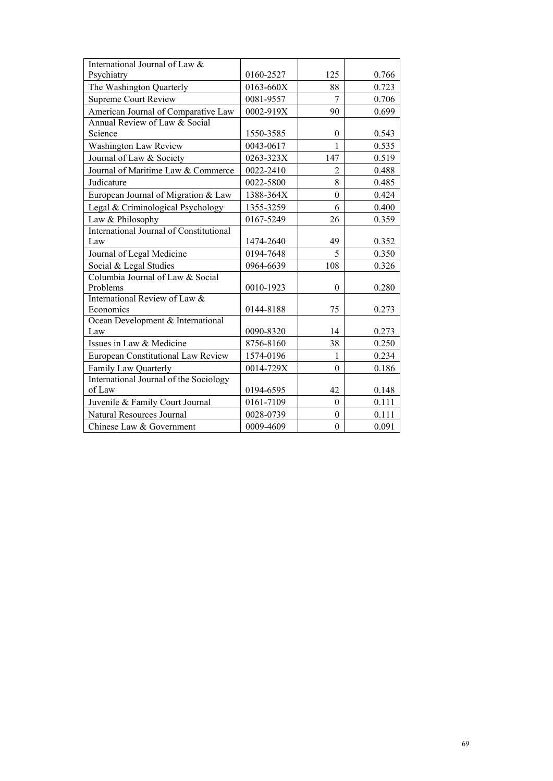| International Journal of Law &          |           |                  |       |
|-----------------------------------------|-----------|------------------|-------|
| Psychiatry                              | 0160-2527 | 125              | 0.766 |
| The Washington Quarterly                | 0163-660X | 88               | 0.723 |
| <b>Supreme Court Review</b>             | 0081-9557 | $\overline{7}$   | 0.706 |
| American Journal of Comparative Law     | 0002-919X | 90               | 0.699 |
| Annual Review of Law & Social           |           |                  |       |
| Science                                 | 1550-3585 | $\theta$         | 0.543 |
| Washington Law Review                   | 0043-0617 | $\mathbf{1}$     | 0.535 |
| Journal of Law & Society                | 0263-323X | 147              | 0.519 |
| Journal of Maritime Law & Commerce      | 0022-2410 | $\overline{2}$   | 0.488 |
| Judicature                              | 0022-5800 | 8                | 0.485 |
| European Journal of Migration & Law     | 1388-364X | $\boldsymbol{0}$ | 0.424 |
| Legal & Criminological Psychology       | 1355-3259 | 6                | 0.400 |
| Law & Philosophy                        | 0167-5249 | 26               | 0.359 |
| International Journal of Constitutional |           |                  |       |
| Law                                     | 1474-2640 | 49               | 0.352 |
| Journal of Legal Medicine               | 0194-7648 | 5                | 0.350 |
| Social & Legal Studies                  | 0964-6639 | 108              | 0.326 |
| Columbia Journal of Law & Social        |           |                  |       |
| Problems                                | 0010-1923 | $\boldsymbol{0}$ | 0.280 |
| International Review of Law &           |           |                  |       |
| Economics                               | 0144-8188 | 75               | 0.273 |
| Ocean Development & International       |           |                  |       |
| Law                                     | 0090-8320 | 14               | 0.273 |
| Issues in Law & Medicine                | 8756-8160 | 38               | 0.250 |
| European Constitutional Law Review      | 1574-0196 | 1                | 0.234 |
| Family Law Quarterly                    | 0014-729X | $\theta$         | 0.186 |
| International Journal of the Sociology  |           |                  |       |
| of Law                                  | 0194-6595 | 42               | 0.148 |
| Juvenile & Family Court Journal         | 0161-7109 | $\theta$         | 0.111 |
| Natural Resources Journal               | 0028-0739 | $\boldsymbol{0}$ | 0.111 |
| Chinese Law & Government                | 0009-4609 | $\boldsymbol{0}$ | 0.091 |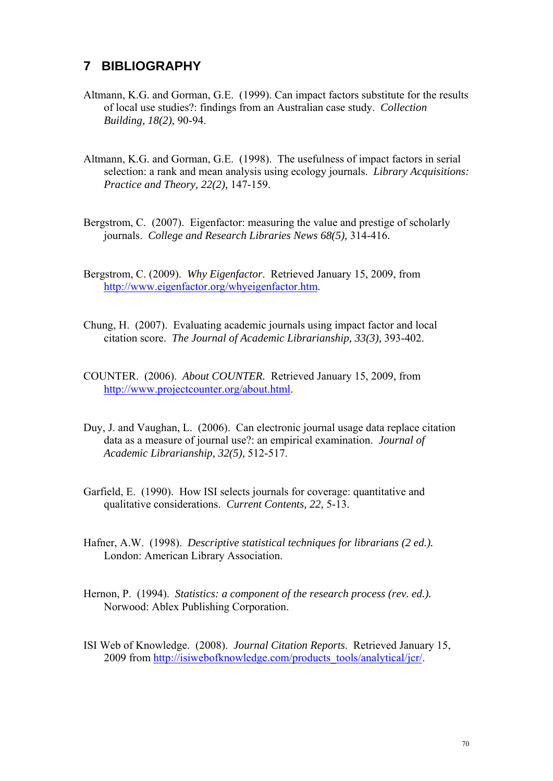## **7 BIBLIOGRAPHY**

- Altmann, K.G. and Gorman, G.E. (1999). Can impact factors substitute for the results of local use studies?: findings from an Australian case study. *Collection Building, 18(2),* 90-94.
- Altmann, K.G. and Gorman, G.E. (1998). The usefulness of impact factors in serial selection: a rank and mean analysis using ecology journals. *Library Acquisitions: Practice and Theory, 22(2),* 147-159.
- Bergstrom, C. (2007). Eigenfactor: measuring the value and prestige of scholarly journals. *College and Research Libraries News 68(5),* 314-416.
- Bergstrom, C. (2009). *Why Eigenfactor*. Retrieved January 15, 2009, from <http://www.eigenfactor.org/whyeigenfactor.htm>.
- Chung, H. (2007). Evaluating academic journals using impact factor and local citation score. *The Journal of Academic Librarianship, 33(3),* 393-402.
- COUNTER. (2006). *About COUNTER.* Retrieved January 15, 2009, from [http://www.projectcounter.org/about.html.](http://www.projectcounter.org/about.html)
- Duy, J. and Vaughan, L. (2006). Can electronic journal usage data replace citation data as a measure of journal use?: an empirical examination. *Journal of Academic Librarianship, 32(5),* 512-517.
- Garfield, E. (1990). How ISI selects journals for coverage: quantitative and qualitative considerations. *Current Contents, 22,* 5-13.
- Hafner, A.W. (1998). *Descriptive statistical techniques for librarians (2 ed.).*  London: American Library Association.
- Hernon, P. (1994). *Statistics: a component of the research process (rev. ed.).*  Norwood: Ablex Publishing Corporation.
- ISI Web of Knowledge. (2008). *Journal Citation Reports*. Retrieved January 15, 2009 from [http://isiwebofknowledge.com/products\\_tools/analytical/jcr/.](http://isiwebofknowledge.com/products_tools/analytical/jcr/)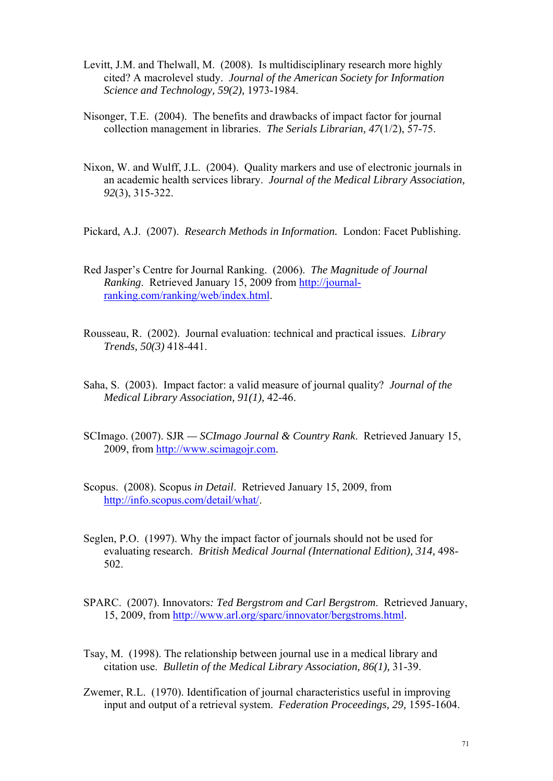- Levitt, J.M. and Thelwall, M. (2008). Is multidisciplinary research more highly cited? A macrolevel study. *Journal of the American Society for Information Science and Technology, 59(2),* 1973-1984.
- Nisonger, T.E. (2004). The benefits and drawbacks of impact factor for journal collection management in libraries. *The Serials Librarian, 47*(1/2), 57-75.
- Nixon, W. and Wulff, J.L. (2004). Quality markers and use of electronic journals in an academic health services library. *Journal of the Medical Library Association, 92*(3), 315-322.
- Pickard, A.J. (2007). *Research Methods in Information.* London: Facet Publishing.
- Red Jasper's Centre for Journal Ranking. (2006). *The Magnitude of Journal Ranking*. Retrieved January 15, 2009 from [http://journal](http://journal-ranking.com/ranking/web/index.html)[ranking.com/ranking/web/index.html](http://journal-ranking.com/ranking/web/index.html).
- Rousseau, R. (2002). Journal evaluation: technical and practical issues. *Library Trends, 50(3)* 418-441.
- Saha, S. (2003). Impact factor: a valid measure of journal quality? *Journal of the Medical Library Association, 91(1),* 42-46.
- SCImago. (2007). SJR *SCImago Journal & Country Rank*. Retrieved January 15, 2009, from [http://www.scimagojr.com.](http://www.scimagojr.com/)
- Scopus. (2008). Scopus *in Detail*. Retrieved January 15, 2009, from <http://info.scopus.com/detail/what/>.
- Seglen, P.O. (1997). Why the impact factor of journals should not be used for evaluating research. *British Medical Journal (International Edition), 314,* 498- 502.
- SPARC. (2007). Innovators*: Ted Bergstrom and Carl Bergstrom*. Retrieved January, 15, 2009, from<http://www.arl.org/sparc/innovator/bergstroms.html>.
- Tsay, M. (1998). The relationship between journal use in a medical library and citation use. *Bulletin of the Medical Library Association, 86(1),* 31-39.
- Zwemer, R.L. (1970). Identification of journal characteristics useful in improving input and output of a retrieval system. *Federation Proceedings, 29,* 1595-1604.